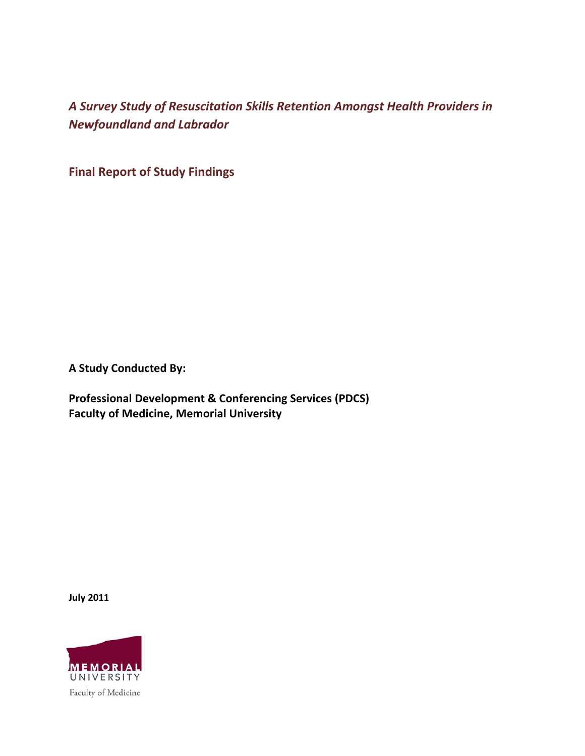**Final Report of Study Findings**

**A Study Conducted By:**

**Professional Development & Conferencing Services (PDCS) Faculty of Medicine, Memorial University** 

**July 2011**

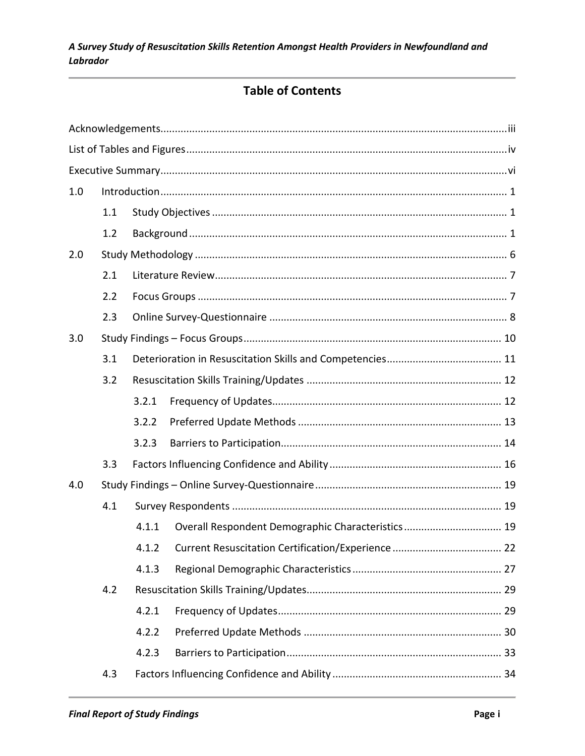## **Table of Contents**

| 1.0 |     |       |  |  |  |  |
|-----|-----|-------|--|--|--|--|
|     | 1.1 |       |  |  |  |  |
|     | 1.2 |       |  |  |  |  |
| 2.0 |     |       |  |  |  |  |
|     | 2.1 |       |  |  |  |  |
|     | 2.2 |       |  |  |  |  |
|     | 2.3 |       |  |  |  |  |
| 3.0 |     |       |  |  |  |  |
|     | 3.1 |       |  |  |  |  |
|     | 3.2 |       |  |  |  |  |
|     |     | 3.2.1 |  |  |  |  |
|     |     | 3.2.2 |  |  |  |  |
|     |     | 3.2.3 |  |  |  |  |
|     | 3.3 |       |  |  |  |  |
| 4.0 |     |       |  |  |  |  |
|     | 4.1 |       |  |  |  |  |
|     |     | 4.1.1 |  |  |  |  |
|     |     |       |  |  |  |  |
|     |     | 4.1.3 |  |  |  |  |
|     | 4.2 |       |  |  |  |  |
|     |     | 4.2.1 |  |  |  |  |
|     |     | 4.2.2 |  |  |  |  |
|     |     | 4.2.3 |  |  |  |  |
|     | 4.3 |       |  |  |  |  |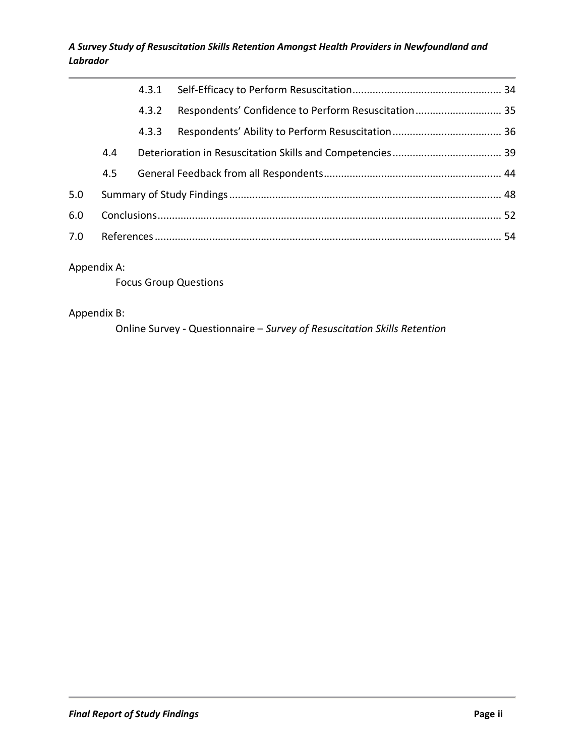|     |     | 4.3.1 |                                                     |  |
|-----|-----|-------|-----------------------------------------------------|--|
|     |     | 4.3.2 | Respondents' Confidence to Perform Resuscitation 35 |  |
|     |     | 4.3.3 |                                                     |  |
|     | 4.4 |       |                                                     |  |
|     | 4.5 |       |                                                     |  |
| 5.0 |     |       |                                                     |  |
| 6.0 |     |       |                                                     |  |
| 7.0 |     |       |                                                     |  |
|     |     |       |                                                     |  |

#### Appendix A:

Focus Group Questions

#### Appendix B:

Online Survey - Questionnaire – *Survey of Resuscitation Skills Retention*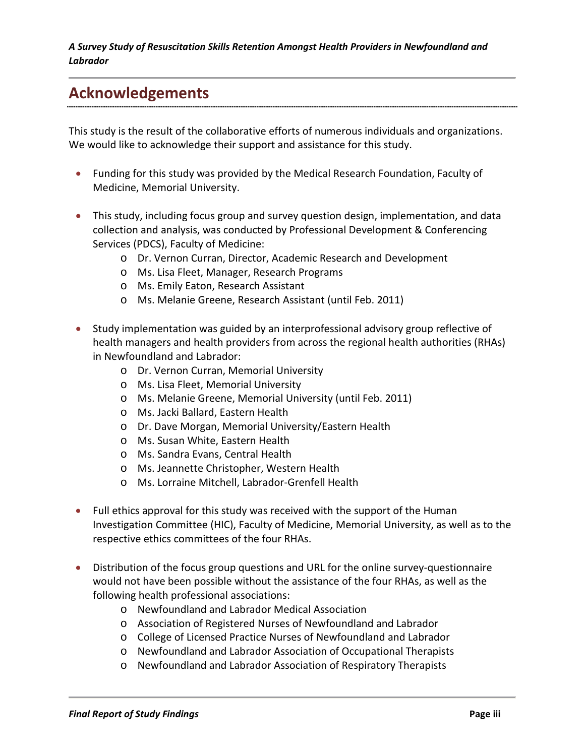## **Acknowledgements**

This study is the result of the collaborative efforts of numerous individuals and organizations. We would like to acknowledge their support and assistance for this study.

- Funding for this study was provided by the Medical Research Foundation, Faculty of Medicine, Memorial University.
- This study, including focus group and survey question design, implementation, and data collection and analysis, was conducted by Professional Development & Conferencing Services (PDCS), Faculty of Medicine:
	- o Dr. Vernon Curran, Director, Academic Research and Development
	- o Ms. Lisa Fleet, Manager, Research Programs
	- o Ms. Emily Eaton, Research Assistant
	- o Ms. Melanie Greene, Research Assistant (until Feb. 2011)
- Study implementation was guided by an interprofessional advisory group reflective of health managers and health providers from across the regional health authorities (RHAs) in Newfoundland and Labrador:
	- o Dr. Vernon Curran, Memorial University
	- o Ms. Lisa Fleet, Memorial University
	- o Ms. Melanie Greene, Memorial University (until Feb. 2011)
	- o Ms. Jacki Ballard, Eastern Health
	- o Dr. Dave Morgan, Memorial University/Eastern Health
	- o Ms. Susan White, Eastern Health
	- o Ms. Sandra Evans, Central Health
	- o Ms. Jeannette Christopher, Western Health
	- o Ms. Lorraine Mitchell, Labrador-Grenfell Health
- Full ethics approval for this study was received with the support of the Human Investigation Committee (HIC), Faculty of Medicine, Memorial University, as well as to the respective ethics committees of the four RHAs.
- Distribution of the focus group questions and URL for the online survey-questionnaire would not have been possible without the assistance of the four RHAs, as well as the following health professional associations:
	- o Newfoundland and Labrador Medical Association
	- o Association of Registered Nurses of Newfoundland and Labrador
	- o College of Licensed Practice Nurses of Newfoundland and Labrador
	- o Newfoundland and Labrador Association of Occupational Therapists
	- o Newfoundland and Labrador Association of Respiratory Therapists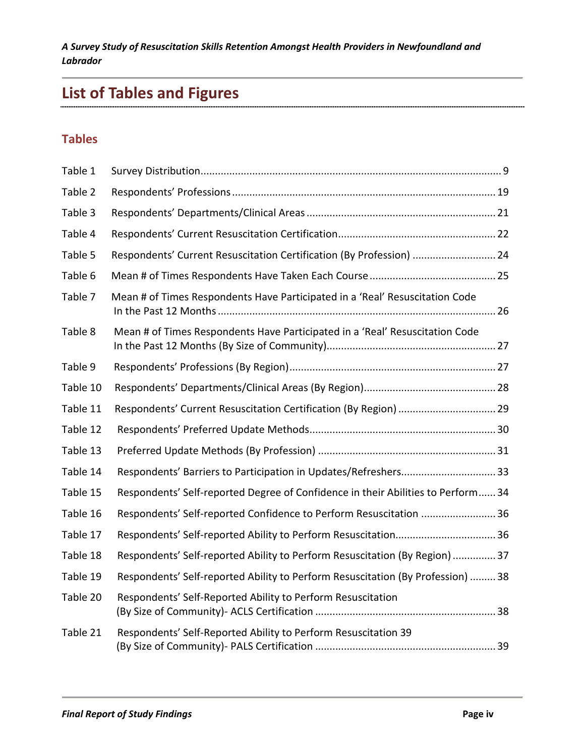# **List of Tables and Figures**

## **Tables**

| Table 1  |                                                                                  |
|----------|----------------------------------------------------------------------------------|
| Table 2  |                                                                                  |
| Table 3  |                                                                                  |
| Table 4  |                                                                                  |
| Table 5  | Respondents' Current Resuscitation Certification (By Profession)  24             |
| Table 6  |                                                                                  |
| Table 7  | Mean # of Times Respondents Have Participated in a 'Real' Resuscitation Code     |
| Table 8  | Mean # of Times Respondents Have Participated in a 'Real' Resuscitation Code     |
| Table 9  |                                                                                  |
| Table 10 |                                                                                  |
| Table 11 | Respondents' Current Resuscitation Certification (By Region)  29                 |
| Table 12 |                                                                                  |
| Table 13 |                                                                                  |
| Table 14 |                                                                                  |
| Table 15 | Respondents' Self-reported Degree of Confidence in their Abilities to Perform 34 |
| Table 16 | Respondents' Self-reported Confidence to Perform Resuscitation  36               |
| Table 17 | Respondents' Self-reported Ability to Perform Resuscitation 36                   |
| Table 18 | Respondents' Self-reported Ability to Perform Resuscitation (By Region)  37      |
| Table 19 | Respondents' Self-reported Ability to Perform Resuscitation (By Profession)  38  |
| Table 20 | Respondents' Self-Reported Ability to Perform Resuscitation                      |
| Table 21 | Respondents' Self-Reported Ability to Perform Resuscitation 39                   |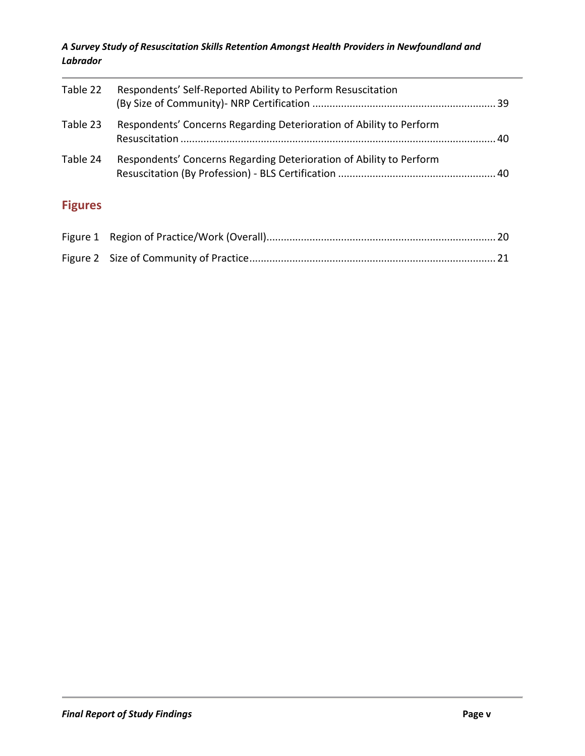| Table 22       | Respondents' Self-Reported Ability to Perform Resuscitation         |  |
|----------------|---------------------------------------------------------------------|--|
| Table 23       | Respondents' Concerns Regarding Deterioration of Ability to Perform |  |
| Table 24       | Respondents' Concerns Regarding Deterioration of Ability to Perform |  |
| <b>Figures</b> |                                                                     |  |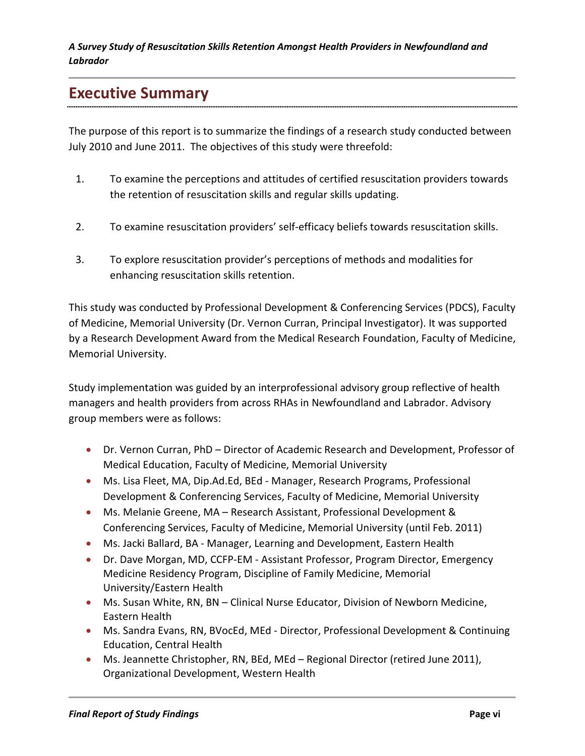## **Executive Summary**

The purpose of this report is to summarize the findings of a research study conducted between July 2010 and June 2011. The objectives of this study were threefold:

- 1. To examine the perceptions and attitudes of certified resuscitation providers towards the retention of resuscitation skills and regular skills updating.
- 2. To examine resuscitation providers' self-efficacy beliefs towards resuscitation skills.
- 3. To explore resuscitation provider's perceptions of methods and modalities for enhancing resuscitation skills retention.

This study was conducted by Professional Development & Conferencing Services (PDCS), Faculty of Medicine, Memorial University (Dr. Vernon Curran, Principal Investigator). It was supported by a Research Development Award from the Medical Research Foundation, Faculty of Medicine, Memorial University.

Study implementation was guided by an interprofessional advisory group reflective of health managers and health providers from across RHAs in Newfoundland and Labrador. Advisory group members were as follows:

- Dr. Vernon Curran, PhD Director of Academic Research and Development, Professor of Medical Education, Faculty of Medicine, Memorial University
- Ms. Lisa Fleet, MA, Dip.Ad.Ed, BEd Manager, Research Programs, Professional Development & Conferencing Services, Faculty of Medicine, Memorial University
- Ms. Melanie Greene, MA Research Assistant, Professional Development & Conferencing Services, Faculty of Medicine, Memorial University (until Feb. 2011)
- Ms. Jacki Ballard, BA Manager, Learning and Development, Eastern Health
- Dr. Dave Morgan, MD, CCFP-EM Assistant Professor, Program Director, Emergency Medicine Residency Program, Discipline of Family Medicine, Memorial University/Eastern Health
- Ms. Susan White, RN, BN Clinical Nurse Educator, Division of Newborn Medicine, Eastern Health
- Ms. Sandra Evans, RN, BVocEd, MEd Director, Professional Development & Continuing Education, Central Health
- Ms. Jeannette Christopher, RN, BEd, MEd Regional Director (retired June 2011), Organizational Development, Western Health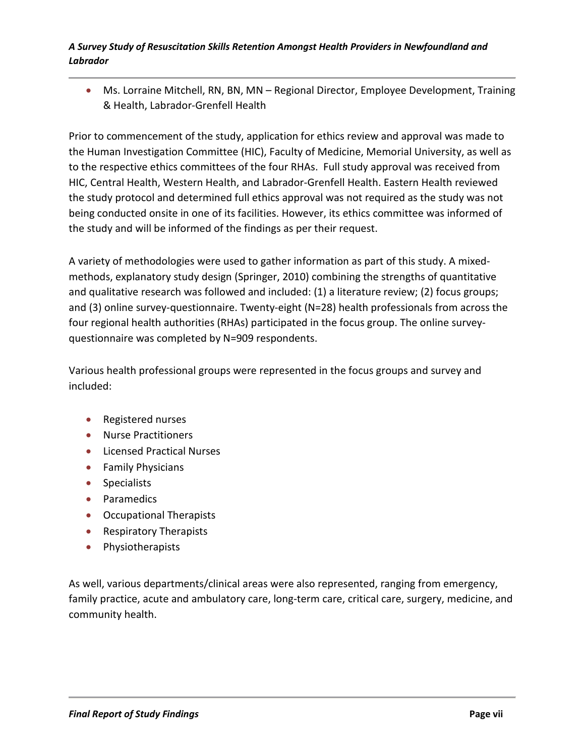• Ms. Lorraine Mitchell, RN, BN, MN - Regional Director, Employee Development, Training & Health, Labrador-Grenfell Health

Prior to commencement of the study, application for ethics review and approval was made to the Human Investigation Committee (HIC), Faculty of Medicine, Memorial University, as well as to the respective ethics committees of the four RHAs. Full study approval was received from HIC, Central Health, Western Health, and Labrador-Grenfell Health. Eastern Health reviewed the study protocol and determined full ethics approval was not required as the study was not being conducted onsite in one of its facilities. However, its ethics committee was informed of the study and will be informed of the findings as per their request.

A variety of methodologies were used to gather information as part of this study. A mixedmethods, explanatory study design (Springer, 2010) combining the strengths of quantitative and qualitative research was followed and included: (1) a literature review; (2) focus groups; and (3) online survey-questionnaire. Twenty-eight (N=28) health professionals from across the four regional health authorities (RHAs) participated in the focus group. The online surveyquestionnaire was completed by N=909 respondents.

Various health professional groups were represented in the focus groups and survey and included:

- Registered nurses
- Nurse Practitioners
- Licensed Practical Nurses
- Family Physicians
- Specialists
- Paramedics
- Occupational Therapists
- Respiratory Therapists
- Physiotherapists

As well, various departments/clinical areas were also represented, ranging from emergency, family practice, acute and ambulatory care, long-term care, critical care, surgery, medicine, and community health.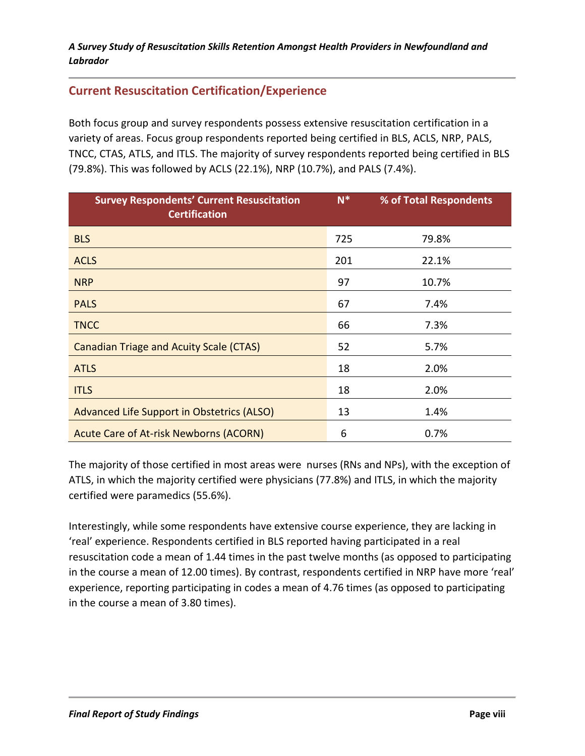## **Current Resuscitation Certification/Experience**

Both focus group and survey respondents possess extensive resuscitation certification in a variety of areas. Focus group respondents reported being certified in BLS, ACLS, NRP, PALS, TNCC, CTAS, ATLS, and ITLS. The majority of survey respondents reported being certified in BLS (79.8%). This was followed by ACLS (22.1%), NRP (10.7%), and PALS (7.4%).

| <b>Survey Respondents' Current Resuscitation</b><br><b>Certification</b> | $N^*$ | % of Total Respondents |
|--------------------------------------------------------------------------|-------|------------------------|
| <b>BLS</b>                                                               | 725   | 79.8%                  |
| <b>ACLS</b>                                                              | 201   | 22.1%                  |
| <b>NRP</b>                                                               | 97    | 10.7%                  |
| <b>PALS</b>                                                              | 67    | 7.4%                   |
| <b>TNCC</b>                                                              | 66    | 7.3%                   |
| <b>Canadian Triage and Acuity Scale (CTAS)</b>                           | 52    | 5.7%                   |
| <b>ATLS</b>                                                              | 18    | 2.0%                   |
| <b>ITLS</b>                                                              | 18    | 2.0%                   |
| Advanced Life Support in Obstetrics (ALSO)                               | 13    | 1.4%                   |
| <b>Acute Care of At-risk Newborns (ACORN)</b>                            | 6     | 0.7%                   |

The majority of those certified in most areas were nurses (RNs and NPs), with the exception of ATLS, in which the majority certified were physicians (77.8%) and ITLS, in which the majority certified were paramedics (55.6%).

Interestingly, while some respondents have extensive course experience, they are lacking in 'real' experience. Respondents certified in BLS reported having participated in a real resuscitation code a mean of 1.44 times in the past twelve months (as opposed to participating in the course a mean of 12.00 times). By contrast, respondents certified in NRP have more 'real' experience, reporting participating in codes a mean of 4.76 times (as opposed to participating in the course a mean of 3.80 times).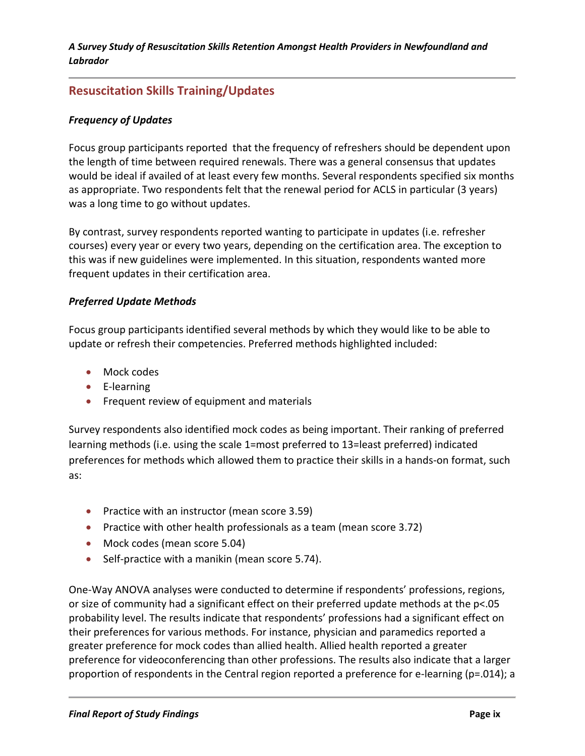## **Resuscitation Skills Training/Updates**

#### *Frequency of Updates*

Focus group participants reported that the frequency of refreshers should be dependent upon the length of time between required renewals. There was a general consensus that updates would be ideal if availed of at least every few months. Several respondents specified six months as appropriate. Two respondents felt that the renewal period for ACLS in particular (3 years) was a long time to go without updates.

By contrast, survey respondents reported wanting to participate in updates (i.e. refresher courses) every year or every two years, depending on the certification area. The exception to this was if new guidelines were implemented. In this situation, respondents wanted more frequent updates in their certification area.

#### *Preferred Update Methods*

Focus group participants identified several methods by which they would like to be able to update or refresh their competencies. Preferred methods highlighted included:

- Mock codes
- E-learning
- Frequent review of equipment and materials

Survey respondents also identified mock codes as being important. Their ranking of preferred learning methods (i.e. using the scale 1=most preferred to 13=least preferred) indicated preferences for methods which allowed them to practice their skills in a hands-on format, such as:

- Practice with an instructor (mean score 3.59)
- Practice with other health professionals as a team (mean score 3.72)
- Mock codes (mean score 5.04)
- Self-practice with a manikin (mean score 5.74).

One-Way ANOVA analyses were conducted to determine if respondents' professions, regions, or size of community had a significant effect on their preferred update methods at the p<.05 probability level. The results indicate that respondents' professions had a significant effect on their preferences for various methods. For instance, physician and paramedics reported a greater preference for mock codes than allied health. Allied health reported a greater preference for videoconferencing than other professions. The results also indicate that a larger proportion of respondents in the Central region reported a preference for e-learning (p=.014); a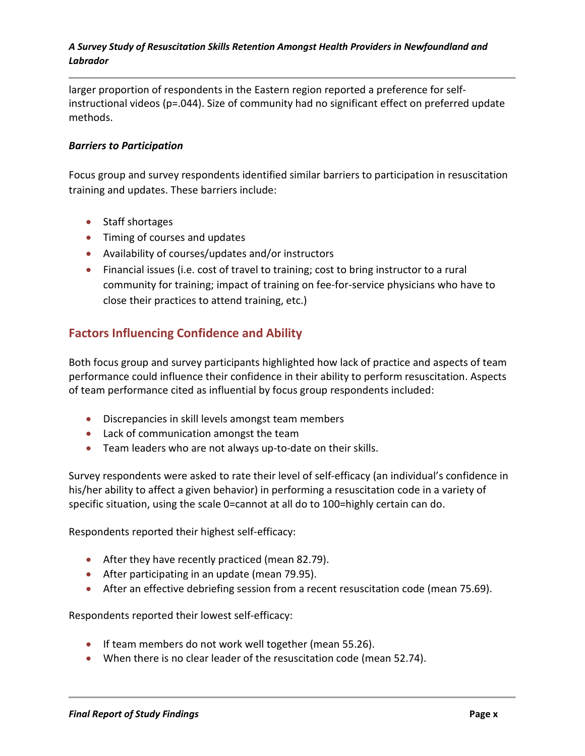larger proportion of respondents in the Eastern region reported a preference for selfinstructional videos (p=.044). Size of community had no significant effect on preferred update methods.

#### *Barriers to Participation*

Focus group and survey respondents identified similar barriers to participation in resuscitation training and updates. These barriers include:

- Staff shortages
- Timing of courses and updates
- Availability of courses/updates and/or instructors
- Financial issues (i.e. cost of travel to training; cost to bring instructor to a rural community for training; impact of training on fee-for-service physicians who have to close their practices to attend training, etc.)

### **Factors Influencing Confidence and Ability**

Both focus group and survey participants highlighted how lack of practice and aspects of team performance could influence their confidence in their ability to perform resuscitation. Aspects of team performance cited as influential by focus group respondents included:

- Discrepancies in skill levels amongst team members
- Lack of communication amongst the team
- Team leaders who are not always up-to-date on their skills.

Survey respondents were asked to rate their level of self-efficacy (an individual's confidence in his/her ability to affect a given behavior) in performing a resuscitation code in a variety of specific situation, using the scale 0=cannot at all do to 100=highly certain can do.

Respondents reported their highest self-efficacy:

- After they have recently practiced (mean 82.79).
- After participating in an update (mean 79.95).
- After an effective debriefing session from a recent resuscitation code (mean 75.69).

Respondents reported their lowest self-efficacy:

- If team members do not work well together (mean 55.26).
- When there is no clear leader of the resuscitation code (mean 52.74).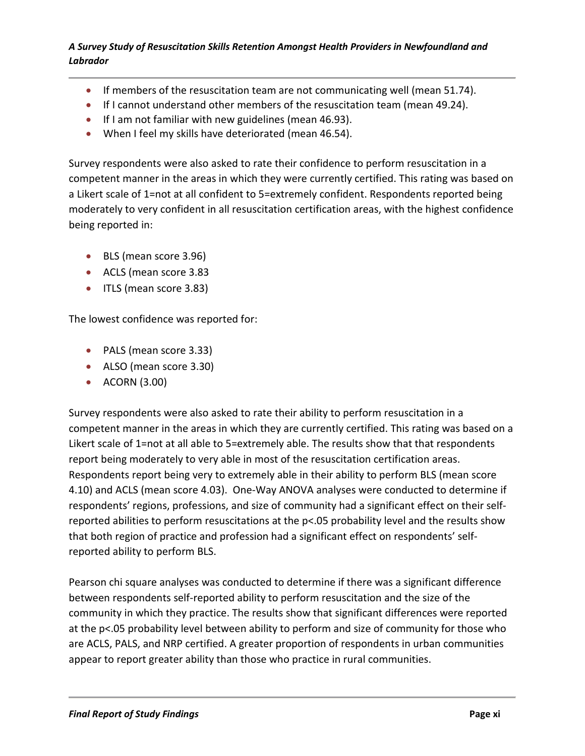- If members of the resuscitation team are not communicating well (mean 51.74).
- If I cannot understand other members of the resuscitation team (mean 49.24).
- If I am not familiar with new guidelines (mean 46.93).
- When I feel my skills have deteriorated (mean 46.54).

Survey respondents were also asked to rate their confidence to perform resuscitation in a competent manner in the areas in which they were currently certified. This rating was based on a Likert scale of 1=not at all confident to 5=extremely confident. Respondents reported being moderately to very confident in all resuscitation certification areas, with the highest confidence being reported in:

- BLS (mean score 3.96)
- ACLS (mean score 3.83
- ITLS (mean score 3.83)

The lowest confidence was reported for:

- PALS (mean score 3.33)
- ALSO (mean score 3.30)
- ACORN (3.00)

Survey respondents were also asked to rate their ability to perform resuscitation in a competent manner in the areas in which they are currently certified. This rating was based on a Likert scale of 1=not at all able to 5=extremely able. The results show that that respondents report being moderately to very able in most of the resuscitation certification areas. Respondents report being very to extremely able in their ability to perform BLS (mean score 4.10) and ACLS (mean score 4.03). One-Way ANOVA analyses were conducted to determine if respondents' regions, professions, and size of community had a significant effect on their selfreported abilities to perform resuscitations at the p<.05 probability level and the results show that both region of practice and profession had a significant effect on respondents' selfreported ability to perform BLS.

Pearson chi square analyses was conducted to determine if there was a significant difference between respondents self-reported ability to perform resuscitation and the size of the community in which they practice. The results show that significant differences were reported at the p<.05 probability level between ability to perform and size of community for those who are ACLS, PALS, and NRP certified. A greater proportion of respondents in urban communities appear to report greater ability than those who practice in rural communities.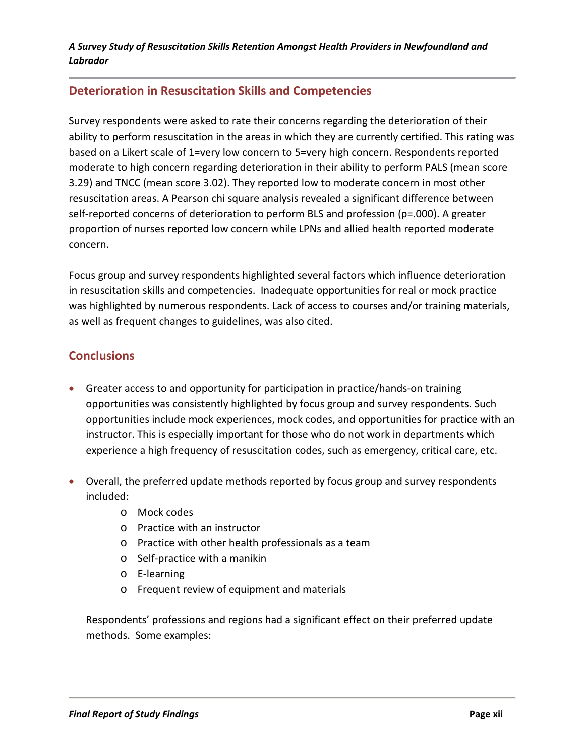## **Deterioration in Resuscitation Skills and Competencies**

Survey respondents were asked to rate their concerns regarding the deterioration of their ability to perform resuscitation in the areas in which they are currently certified. This rating was based on a Likert scale of 1=very low concern to 5=very high concern. Respondents reported moderate to high concern regarding deterioration in their ability to perform PALS (mean score 3.29) and TNCC (mean score 3.02). They reported low to moderate concern in most other resuscitation areas. A Pearson chi square analysis revealed a significant difference between self-reported concerns of deterioration to perform BLS and profession (p=.000). A greater proportion of nurses reported low concern while LPNs and allied health reported moderate concern.

Focus group and survey respondents highlighted several factors which influence deterioration in resuscitation skills and competencies. Inadequate opportunities for real or mock practice was highlighted by numerous respondents. Lack of access to courses and/or training materials, as well as frequent changes to guidelines, was also cited.

## **Conclusions**

- Greater access to and opportunity for participation in practice/hands-on training opportunities was consistently highlighted by focus group and survey respondents. Such opportunities include mock experiences, mock codes, and opportunities for practice with an instructor. This is especially important for those who do not work in departments which experience a high frequency of resuscitation codes, such as emergency, critical care, etc.
- Overall, the preferred update methods reported by focus group and survey respondents included:
	- o Mock codes
	- o Practice with an instructor
	- o Practice with other health professionals as a team
	- o Self-practice with a manikin
	- o E-learning
	- o Frequent review of equipment and materials

Respondents' professions and regions had a significant effect on their preferred update methods. Some examples: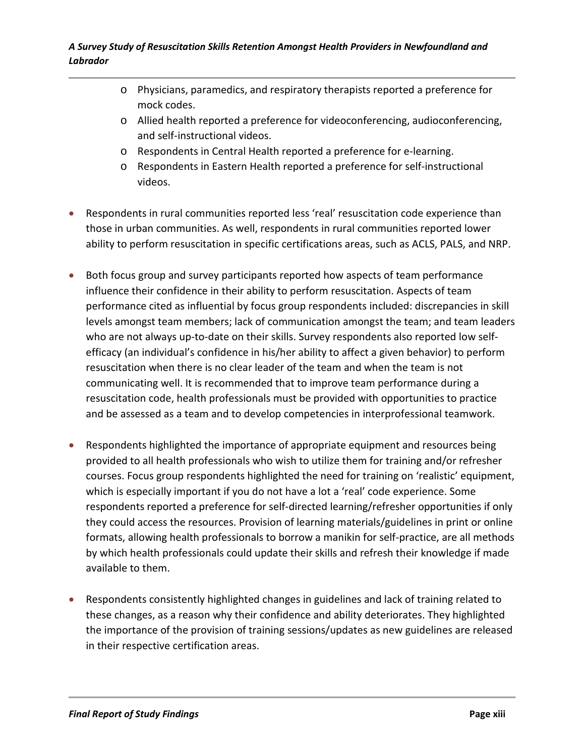- o Physicians, paramedics, and respiratory therapists reported a preference for mock codes.
- o Allied health reported a preference for videoconferencing, audioconferencing, and self-instructional videos.
- o Respondents in Central Health reported a preference for e-learning.
- o Respondents in Eastern Health reported a preference for self-instructional videos.
- Respondents in rural communities reported less 'real' resuscitation code experience than those in urban communities. As well, respondents in rural communities reported lower ability to perform resuscitation in specific certifications areas, such as ACLS, PALS, and NRP.
- Both focus group and survey participants reported how aspects of team performance influence their confidence in their ability to perform resuscitation. Aspects of team performance cited as influential by focus group respondents included: discrepancies in skill levels amongst team members; lack of communication amongst the team; and team leaders who are not always up-to-date on their skills. Survey respondents also reported low selfefficacy (an individual's confidence in his/her ability to affect a given behavior) to perform resuscitation when there is no clear leader of the team and when the team is not communicating well. It is recommended that to improve team performance during a resuscitation code, health professionals must be provided with opportunities to practice and be assessed as a team and to develop competencies in interprofessional teamwork.
- Respondents highlighted the importance of appropriate equipment and resources being provided to all health professionals who wish to utilize them for training and/or refresher courses. Focus group respondents highlighted the need for training on 'realistic' equipment, which is especially important if you do not have a lot a 'real' code experience. Some respondents reported a preference for self-directed learning/refresher opportunities if only they could access the resources. Provision of learning materials/guidelines in print or online formats, allowing health professionals to borrow a manikin for self-practice, are all methods by which health professionals could update their skills and refresh their knowledge if made available to them.
- Respondents consistently highlighted changes in guidelines and lack of training related to these changes, as a reason why their confidence and ability deteriorates. They highlighted the importance of the provision of training sessions/updates as new guidelines are released in their respective certification areas.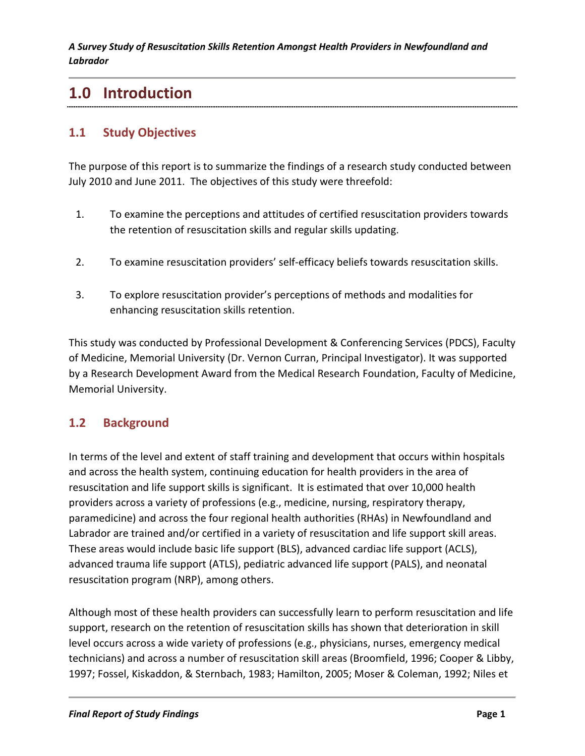## **1.0 Introduction**

## **1.1 Study Objectives**

The purpose of this report is to summarize the findings of a research study conducted between July 2010 and June 2011. The objectives of this study were threefold:

- 1. To examine the perceptions and attitudes of certified resuscitation providers towards the retention of resuscitation skills and regular skills updating.
- 2. To examine resuscitation providers' self-efficacy beliefs towards resuscitation skills.
- 3. To explore resuscitation provider's perceptions of methods and modalities for enhancing resuscitation skills retention.

This study was conducted by Professional Development & Conferencing Services (PDCS), Faculty of Medicine, Memorial University (Dr. Vernon Curran, Principal Investigator). It was supported by a Research Development Award from the Medical Research Foundation, Faculty of Medicine, Memorial University.

## **1.2 Background**

In terms of the level and extent of staff training and development that occurs within hospitals and across the health system, continuing education for health providers in the area of resuscitation and life support skills is significant. It is estimated that over 10,000 health providers across a variety of professions (e.g., medicine, nursing, respiratory therapy, paramedicine) and across the four regional health authorities (RHAs) in Newfoundland and Labrador are trained and/or certified in a variety of resuscitation and life support skill areas. These areas would include basic life support (BLS), advanced cardiac life support (ACLS), advanced trauma life support (ATLS), pediatric advanced life support (PALS), and neonatal resuscitation program (NRP), among others.

Although most of these health providers can successfully learn to perform resuscitation and life support, research on the retention of resuscitation skills has shown that deterioration in skill level occurs across a wide variety of professions (e.g., physicians, nurses, emergency medical technicians) and across a number of resuscitation skill areas (Broomfield, 1996; Cooper & Libby, 1997; Fossel, Kiskaddon, & Sternbach, 1983; Hamilton, 2005; Moser & Coleman, 1992; Niles et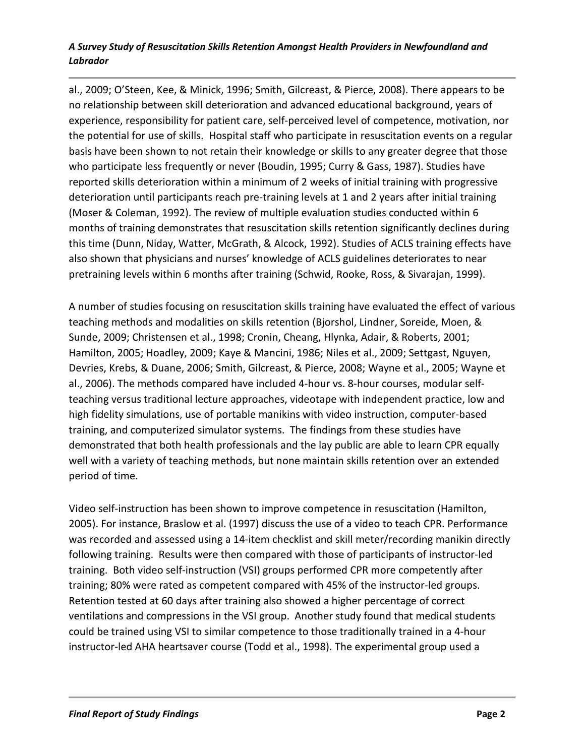al., 2009; O'Steen, Kee, & Minick, 1996; Smith, Gilcreast, & Pierce, 2008). There appears to be no relationship between skill deterioration and advanced educational background, years of experience, responsibility for patient care, self-perceived level of competence, motivation, nor the potential for use of skills. Hospital staff who participate in resuscitation events on a regular basis have been shown to not retain their knowledge or skills to any greater degree that those who participate less frequently or never (Boudin, 1995; Curry & Gass, 1987). Studies have reported skills deterioration within a minimum of 2 weeks of initial training with progressive deterioration until participants reach pre-training levels at 1 and 2 years after initial training (Moser & Coleman, 1992). The review of multiple evaluation studies conducted within 6 months of training demonstrates that resuscitation skills retention significantly declines during this time (Dunn, Niday, Watter, McGrath, & Alcock, 1992). Studies of ACLS training effects have also shown that physicians and nurses' knowledge of ACLS guidelines deteriorates to near pretraining levels within 6 months after training (Schwid, Rooke, Ross, & Sivarajan, 1999).

A number of studies focusing on resuscitation skills training have evaluated the effect of various teaching methods and modalities on skills retention (Bjorshol, Lindner, Soreide, Moen, & Sunde, 2009; Christensen et al., 1998; Cronin, Cheang, Hlynka, Adair, & Roberts, 2001; Hamilton, 2005; Hoadley, 2009; Kaye & Mancini, 1986; Niles et al., 2009; Settgast, Nguyen, Devries, Krebs, & Duane, 2006; Smith, Gilcreast, & Pierce, 2008; Wayne et al., 2005; Wayne et al., 2006). The methods compared have included 4-hour vs. 8-hour courses, modular selfteaching versus traditional lecture approaches, videotape with independent practice, low and high fidelity simulations, use of portable manikins with video instruction, computer-based training, and computerized simulator systems. The findings from these studies have demonstrated that both health professionals and the lay public are able to learn CPR equally well with a variety of teaching methods, but none maintain skills retention over an extended period of time.

Video self-instruction has been shown to improve competence in resuscitation (Hamilton, 2005). For instance, Braslow et al. (1997) discuss the use of a video to teach CPR. Performance was recorded and assessed using a 14-item checklist and skill meter/recording manikin directly following training. Results were then compared with those of participants of instructor-led training. Both video self-instruction (VSI) groups performed CPR more competently after training; 80% were rated as competent compared with 45% of the instructor-led groups. Retention tested at 60 days after training also showed a higher percentage of correct ventilations and compressions in the VSI group. Another study found that medical students could be trained using VSI to similar competence to those traditionally trained in a 4-hour instructor-led AHA heartsaver course (Todd et al., 1998). The experimental group used a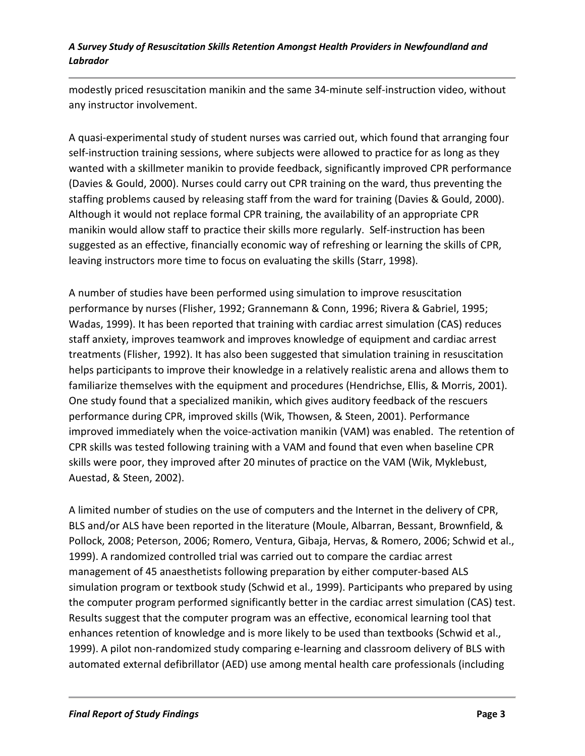modestly priced resuscitation manikin and the same 34-minute self-instruction video, without any instructor involvement.

A quasi-experimental study of student nurses was carried out, which found that arranging four self-instruction training sessions, where subjects were allowed to practice for as long as they wanted with a skillmeter manikin to provide feedback, significantly improved CPR performance (Davies & Gould, 2000). Nurses could carry out CPR training on the ward, thus preventing the staffing problems caused by releasing staff from the ward for training (Davies & Gould, 2000). Although it would not replace formal CPR training, the availability of an appropriate CPR manikin would allow staff to practice their skills more regularly. Self-instruction has been suggested as an effective, financially economic way of refreshing or learning the skills of CPR, leaving instructors more time to focus on evaluating the skills (Starr, 1998).

A number of studies have been performed using simulation to improve resuscitation performance by nurses (Flisher, 1992; Grannemann & Conn, 1996; Rivera & Gabriel, 1995; Wadas, 1999). It has been reported that training with cardiac arrest simulation (CAS) reduces staff anxiety, improves teamwork and improves knowledge of equipment and cardiac arrest treatments (Flisher, 1992). It has also been suggested that simulation training in resuscitation helps participants to improve their knowledge in a relatively realistic arena and allows them to familiarize themselves with the equipment and procedures (Hendrichse, Ellis, & Morris, 2001). One study found that a specialized manikin, which gives auditory feedback of the rescuers performance during CPR, improved skills (Wik, Thowsen, & Steen, 2001). Performance improved immediately when the voice-activation manikin (VAM) was enabled. The retention of CPR skills was tested following training with a VAM and found that even when baseline CPR skills were poor, they improved after 20 minutes of practice on the VAM (Wik, Myklebust, Auestad, & Steen, 2002).

A limited number of studies on the use of computers and the Internet in the delivery of CPR, BLS and/or ALS have been reported in the literature (Moule, Albarran, Bessant, Brownfield, & Pollock, 2008; Peterson, 2006; Romero, Ventura, Gibaja, Hervas, & Romero, 2006; Schwid et al., 1999). A randomized controlled trial was carried out to compare the cardiac arrest management of 45 anaesthetists following preparation by either computer-based ALS simulation program or textbook study (Schwid et al., 1999). Participants who prepared by using the computer program performed significantly better in the cardiac arrest simulation (CAS) test. Results suggest that the computer program was an effective, economical learning tool that enhances retention of knowledge and is more likely to be used than textbooks (Schwid et al., 1999). A pilot non-randomized study comparing e-learning and classroom delivery of BLS with automated external defibrillator (AED) use among mental health care professionals (including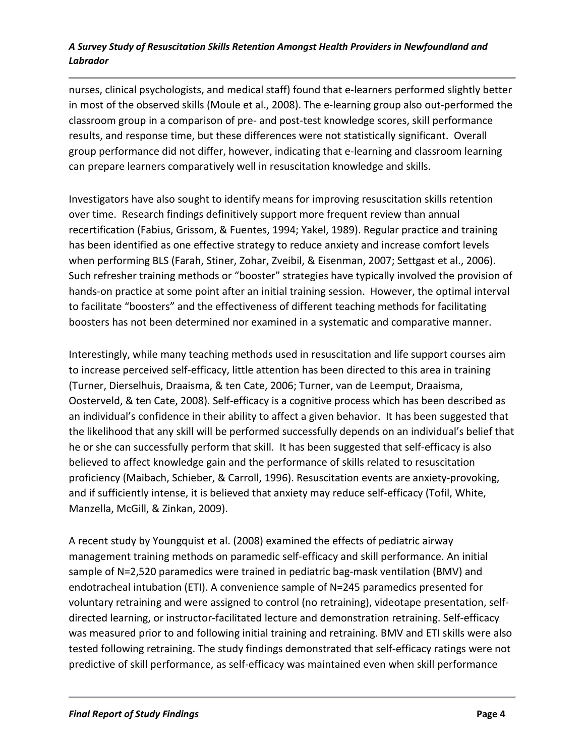nurses, clinical psychologists, and medical staff) found that e-learners performed slightly better in most of the observed skills (Moule et al., 2008). The e-learning group also out-performed the classroom group in a comparison of pre- and post-test knowledge scores, skill performance results, and response time, but these differences were not statistically significant. Overall group performance did not differ, however, indicating that e-learning and classroom learning can prepare learners comparatively well in resuscitation knowledge and skills.

Investigators have also sought to identify means for improving resuscitation skills retention over time. Research findings definitively support more frequent review than annual recertification (Fabius, Grissom, & Fuentes, 1994; Yakel, 1989). Regular practice and training has been identified as one effective strategy to reduce anxiety and increase comfort levels when performing BLS (Farah, Stiner, Zohar, Zveibil, & Eisenman, 2007; Settgast et al., 2006). Such refresher training methods or "booster" strategies have typically involved the provision of hands-on practice at some point after an initial training session. However, the optimal interval to facilitate "boosters" and the effectiveness of different teaching methods for facilitating boosters has not been determined nor examined in a systematic and comparative manner.

Interestingly, while many teaching methods used in resuscitation and life support courses aim to increase perceived self-efficacy, little attention has been directed to this area in training (Turner, Dierselhuis, Draaisma, & ten Cate, 2006; Turner, van de Leemput, Draaisma, Oosterveld, & ten Cate, 2008). Self-efficacy is a cognitive process which has been described as an individual's confidence in their ability to affect a given behavior. It has been suggested that the likelihood that any skill will be performed successfully depends on an individual's belief that he or she can successfully perform that skill. It has been suggested that self-efficacy is also believed to affect knowledge gain and the performance of skills related to resuscitation proficiency (Maibach, Schieber, & Carroll, 1996). Resuscitation events are anxiety-provoking, and if sufficiently intense, it is believed that anxiety may reduce self-efficacy (Tofil, White, Manzella, McGill, & Zinkan, 2009).

A recent study by Youngquist et al. (2008) examined the effects of pediatric airway management training methods on paramedic self-efficacy and skill performance. An initial sample of N=2,520 paramedics were trained in pediatric bag-mask ventilation (BMV) and endotracheal intubation (ETI). A convenience sample of N=245 paramedics presented for voluntary retraining and were assigned to control (no retraining), videotape presentation, selfdirected learning, or instructor-facilitated lecture and demonstration retraining. Self-efficacy was measured prior to and following initial training and retraining. BMV and ETI skills were also tested following retraining. The study findings demonstrated that self-efficacy ratings were not predictive of skill performance, as self-efficacy was maintained even when skill performance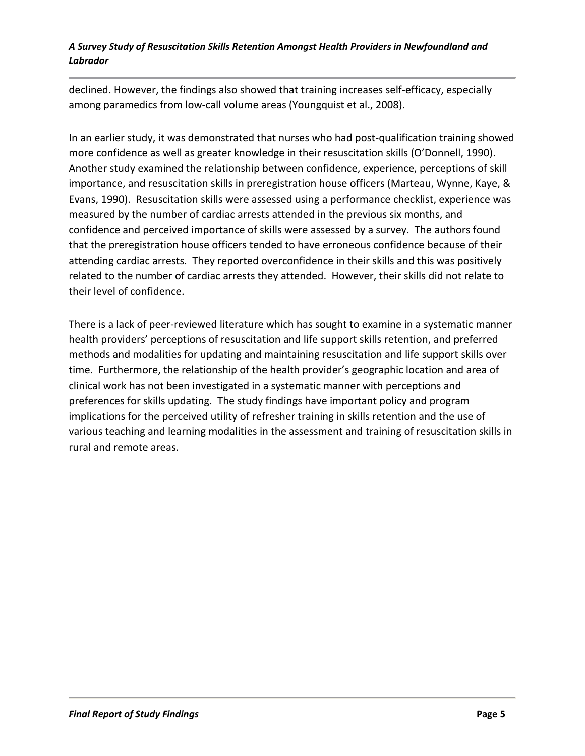declined. However, the findings also showed that training increases self-efficacy, especially among paramedics from low-call volume areas (Youngquist et al., 2008).

In an earlier study, it was demonstrated that nurses who had post-qualification training showed more confidence as well as greater knowledge in their resuscitation skills (O'Donnell, 1990). Another study examined the relationship between confidence, experience, perceptions of skill importance, and resuscitation skills in preregistration house officers (Marteau, Wynne, Kaye, & Evans, 1990). Resuscitation skills were assessed using a performance checklist, experience was measured by the number of cardiac arrests attended in the previous six months, and confidence and perceived importance of skills were assessed by a survey. The authors found that the preregistration house officers tended to have erroneous confidence because of their attending cardiac arrests. They reported overconfidence in their skills and this was positively related to the number of cardiac arrests they attended. However, their skills did not relate to their level of confidence.

There is a lack of peer-reviewed literature which has sought to examine in a systematic manner health providers' perceptions of resuscitation and life support skills retention, and preferred methods and modalities for updating and maintaining resuscitation and life support skills over time. Furthermore, the relationship of the health provider's geographic location and area of clinical work has not been investigated in a systematic manner with perceptions and preferences for skills updating. The study findings have important policy and program implications for the perceived utility of refresher training in skills retention and the use of various teaching and learning modalities in the assessment and training of resuscitation skills in rural and remote areas.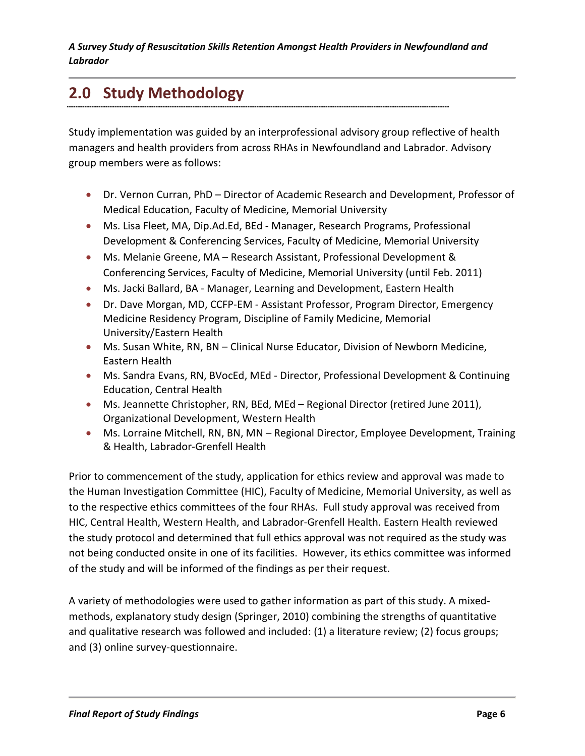# **2.0 Study Methodology**

Study implementation was guided by an interprofessional advisory group reflective of health managers and health providers from across RHAs in Newfoundland and Labrador. Advisory group members were as follows:

- Dr. Vernon Curran, PhD Director of Academic Research and Development, Professor of Medical Education, Faculty of Medicine, Memorial University
- Ms. Lisa Fleet, MA, Dip.Ad.Ed, BEd Manager, Research Programs, Professional Development & Conferencing Services, Faculty of Medicine, Memorial University
- Ms. Melanie Greene, MA Research Assistant, Professional Development & Conferencing Services, Faculty of Medicine, Memorial University (until Feb. 2011)
- Ms. Jacki Ballard, BA Manager, Learning and Development, Eastern Health
- Dr. Dave Morgan, MD, CCFP-EM Assistant Professor, Program Director, Emergency Medicine Residency Program, Discipline of Family Medicine, Memorial University/Eastern Health
- Ms. Susan White, RN, BN Clinical Nurse Educator, Division of Newborn Medicine, Eastern Health
- Ms. Sandra Evans, RN, BVocEd, MEd Director, Professional Development & Continuing Education, Central Health
- Ms. Jeannette Christopher, RN, BEd, MEd Regional Director (retired June 2011), Organizational Development, Western Health
- Ms. Lorraine Mitchell, RN, BN, MN Regional Director, Employee Development, Training & Health, Labrador-Grenfell Health

Prior to commencement of the study, application for ethics review and approval was made to the Human Investigation Committee (HIC), Faculty of Medicine, Memorial University, as well as to the respective ethics committees of the four RHAs. Full study approval was received from HIC, Central Health, Western Health, and Labrador-Grenfell Health. Eastern Health reviewed the study protocol and determined that full ethics approval was not required as the study was not being conducted onsite in one of its facilities. However, its ethics committee was informed of the study and will be informed of the findings as per their request.

A variety of methodologies were used to gather information as part of this study. A mixedmethods, explanatory study design (Springer, 2010) combining the strengths of quantitative and qualitative research was followed and included: (1) a literature review; (2) focus groups; and (3) online survey-questionnaire.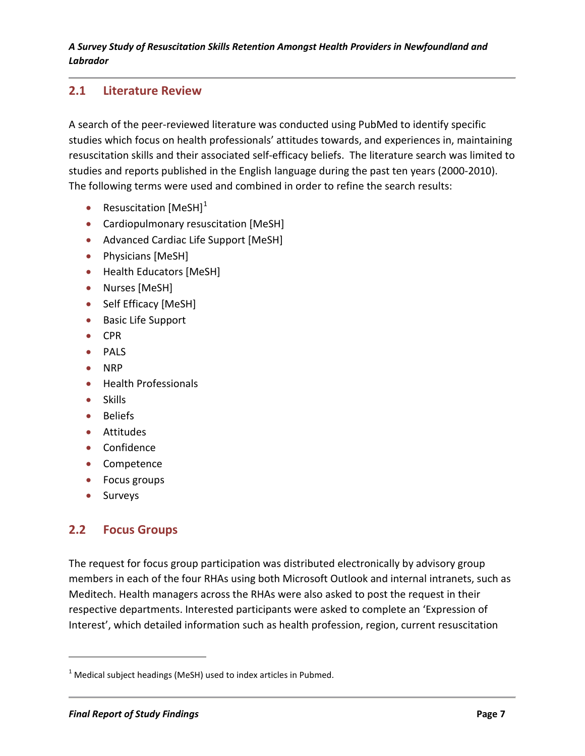## **2.1 Literature Review**

A search of the peer-reviewed literature was conducted using PubMed to identify specific studies which focus on health professionals' attitudes towards, and experiences in, maintaining resuscitation skills and their associated self-efficacy beliefs. The literature search was limited to studies and reports published in the English language during the past ten years (2000-2010). The following terms were used and combined in order to refine the search results:

- Resuscitation  $[MeSH]^1$  $[MeSH]^1$
- Cardiopulmonary resuscitation [MeSH]
- Advanced Cardiac Life Support [MeSH]
- Physicians [MeSH]
- Health Educators [MeSH]
- Nurses [MeSH]
- Self Efficacy [MeSH]
- Basic Life Support
- CPR
- PALS
- NRP
- Health Professionals
- Skills
- Beliefs
- Attitudes
- Confidence
- Competence
- Focus groups
- Surveys

l

## **2.2 Focus Groups**

The request for focus group participation was distributed electronically by advisory group members in each of the four RHAs using both Microsoft Outlook and internal intranets, such as Meditech. Health managers across the RHAs were also asked to post the request in their respective departments. Interested participants were asked to complete an 'Expression of Interest', which detailed information such as health profession, region, current resuscitation

<span id="page-20-0"></span> $1$  Medical subject headings (MeSH) used to index articles in Pubmed.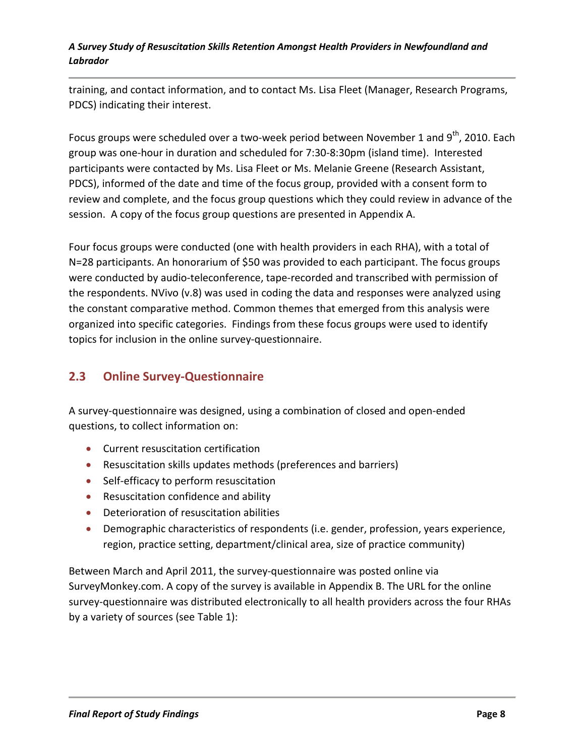training, and contact information, and to contact Ms. Lisa Fleet (Manager, Research Programs, PDCS) indicating their interest.

Focus groups were scheduled over a two-week period between November 1 and 9<sup>th</sup>, 2010. Each group was one-hour in duration and scheduled for 7:30-8:30pm (island time). Interested participants were contacted by Ms. Lisa Fleet or Ms. Melanie Greene (Research Assistant, PDCS), informed of the date and time of the focus group, provided with a consent form to review and complete, and the focus group questions which they could review in advance of the session. A copy of the focus group questions are presented in Appendix A.

Four focus groups were conducted (one with health providers in each RHA), with a total of N=28 participants. An honorarium of \$50 was provided to each participant. The focus groups were conducted by audio-teleconference, tape-recorded and transcribed with permission of the respondents. NVivo (v.8) was used in coding the data and responses were analyzed using the constant comparative method. Common themes that emerged from this analysis were organized into specific categories. Findings from these focus groups were used to identify topics for inclusion in the online survey-questionnaire.

## **2.3 Online Survey-Questionnaire**

A survey-questionnaire was designed, using a combination of closed and open-ended questions, to collect information on:

- Current resuscitation certification
- Resuscitation skills updates methods (preferences and barriers)
- Self-efficacy to perform resuscitation
- Resuscitation confidence and ability
- Deterioration of resuscitation abilities
- Demographic characteristics of respondents (i.e. gender, profession, years experience, region, practice setting, department/clinical area, size of practice community)

Between March and April 2011, the survey-questionnaire was posted online via SurveyMonkey.com. A copy of the survey is available in Appendix B. The URL for the online survey-questionnaire was distributed electronically to all health providers across the four RHAs by a variety of sources (see Table 1):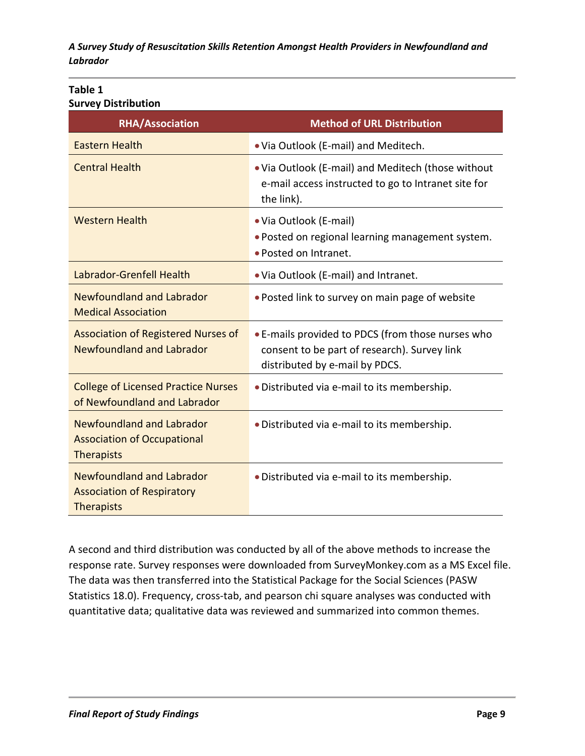#### **Table 1 Survey Distribution**

| <b>RHA/Association</b>                                                                      | <b>Method of URL Distribution</b>                                                                                                   |
|---------------------------------------------------------------------------------------------|-------------------------------------------------------------------------------------------------------------------------------------|
| <b>Eastern Health</b>                                                                       | . Via Outlook (E-mail) and Meditech.                                                                                                |
| <b>Central Health</b>                                                                       | . Via Outlook (E-mail) and Meditech (those without<br>e-mail access instructed to go to Intranet site for<br>the link).             |
| <b>Western Health</b>                                                                       | • Via Outlook (E-mail)<br>. Posted on regional learning management system.<br>· Posted on Intranet.                                 |
| Labrador-Grenfell Health                                                                    | . Via Outlook (E-mail) and Intranet.                                                                                                |
| <b>Newfoundland and Labrador</b><br><b>Medical Association</b>                              | . Posted link to survey on main page of website                                                                                     |
| <b>Association of Registered Nurses of</b><br>Newfoundland and Labrador                     | • E-mails provided to PDCS (from those nurses who<br>consent to be part of research). Survey link<br>distributed by e-mail by PDCS. |
| <b>College of Licensed Practice Nurses</b><br>of Newfoundland and Labrador                  | • Distributed via e-mail to its membership.                                                                                         |
| <b>Newfoundland and Labrador</b><br><b>Association of Occupational</b><br><b>Therapists</b> | · Distributed via e-mail to its membership.                                                                                         |
| <b>Newfoundland and Labrador</b><br><b>Association of Respiratory</b><br>Therapists         | · Distributed via e-mail to its membership.                                                                                         |

A second and third distribution was conducted by all of the above methods to increase the response rate. Survey responses were downloaded from SurveyMonkey.com as a MS Excel file. The data was then transferred into the Statistical Package for the Social Sciences (PASW Statistics 18.0). Frequency, cross-tab, and pearson chi square analyses was conducted with quantitative data; qualitative data was reviewed and summarized into common themes.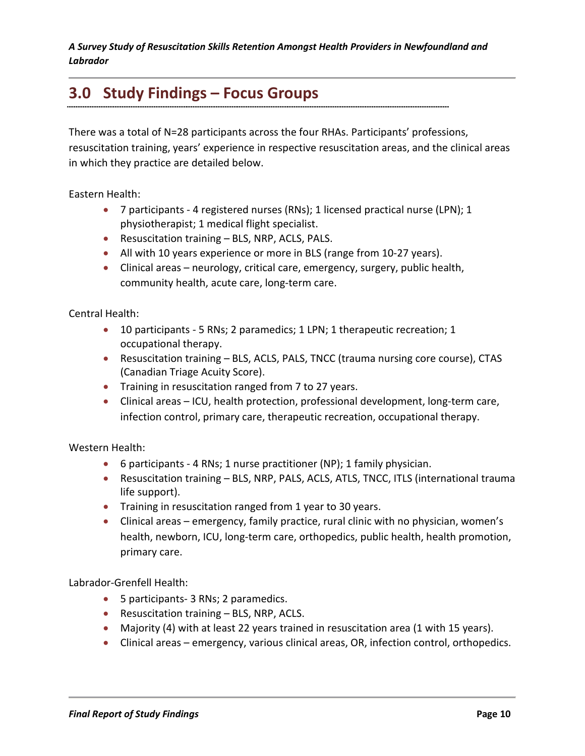# **3.0 Study Findings – Focus Groups**

There was a total of N=28 participants across the four RHAs. Participants' professions, resuscitation training, years' experience in respective resuscitation areas, and the clinical areas in which they practice are detailed below.

Eastern Health:

- 7 participants 4 registered nurses (RNs); 1 licensed practical nurse (LPN); 1 physiotherapist; 1 medical flight specialist.
- Resuscitation training BLS, NRP, ACLS, PALS.
- All with 10 years experience or more in BLS (range from 10-27 years).
- Clinical areas neurology, critical care, emergency, surgery, public health, community health, acute care, long-term care.

Central Health:

- 10 participants 5 RNs; 2 paramedics; 1 LPN; 1 therapeutic recreation; 1 occupational therapy.
- Resuscitation training BLS, ACLS, PALS, TNCC (trauma nursing core course), CTAS (Canadian Triage Acuity Score).
- Training in resuscitation ranged from 7 to 27 years.
- Clinical areas ICU, health protection, professional development, long-term care, infection control, primary care, therapeutic recreation, occupational therapy.

Western Health:

- 6 participants 4 RNs; 1 nurse practitioner (NP); 1 family physician.
- Resuscitation training BLS, NRP, PALS, ACLS, ATLS, TNCC, ITLS (international trauma life support).
- Training in resuscitation ranged from 1 year to 30 years.
- Clinical areas emergency, family practice, rural clinic with no physician, women's health, newborn, ICU, long-term care, orthopedics, public health, health promotion, primary care.

Labrador-Grenfell Health:

- 5 participants- 3 RNs; 2 paramedics.
- Resuscitation training BLS, NRP, ACLS.
- Majority (4) with at least 22 years trained in resuscitation area (1 with 15 years).
- Clinical areas emergency, various clinical areas, OR, infection control, orthopedics.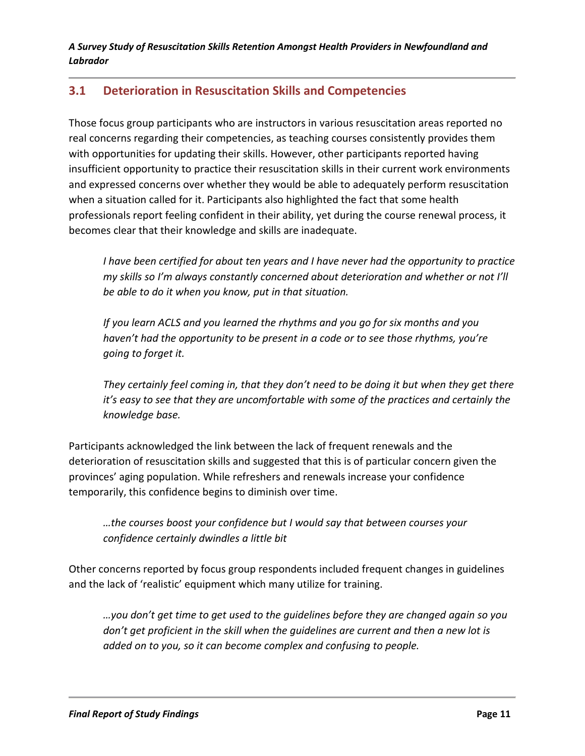## **3.1 Deterioration in Resuscitation Skills and Competencies**

Those focus group participants who are instructors in various resuscitation areas reported no real concerns regarding their competencies, as teaching courses consistently provides them with opportunities for updating their skills. However, other participants reported having insufficient opportunity to practice their resuscitation skills in their current work environments and expressed concerns over whether they would be able to adequately perform resuscitation when a situation called for it. Participants also highlighted the fact that some health professionals report feeling confident in their ability, yet during the course renewal process, it becomes clear that their knowledge and skills are inadequate.

*I have been certified for about ten years and I have never had the opportunity to practice my skills so I'm always constantly concerned about deterioration and whether or not I'll be able to do it when you know, put in that situation.* 

*If you learn ACLS and you learned the rhythms and you go for six months and you haven't had the opportunity to be present in a code or to see those rhythms, you're going to forget it.* 

*They certainly feel coming in, that they don't need to be doing it but when they get there it's easy to see that they are uncomfortable with some of the practices and certainly the knowledge base.* 

Participants acknowledged the link between the lack of frequent renewals and the deterioration of resuscitation skills and suggested that this is of particular concern given the provinces' aging population. While refreshers and renewals increase your confidence temporarily, this confidence begins to diminish over time.

*…the courses boost your confidence but I would say that between courses your confidence certainly dwindles a little bit*

Other concerns reported by focus group respondents included frequent changes in guidelines and the lack of 'realistic' equipment which many utilize for training.

*…you don't get time to get used to the guidelines before they are changed again so you don't get proficient in the skill when the guidelines are current and then a new lot is added on to you, so it can become complex and confusing to people.*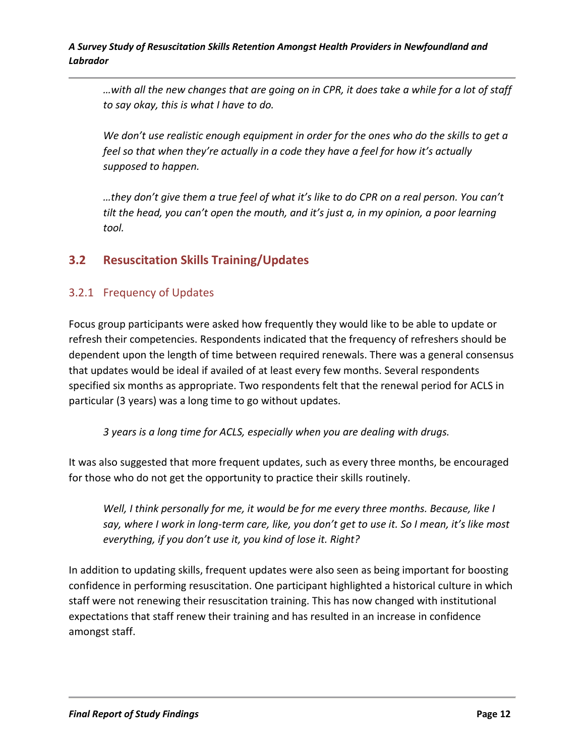*…with all the new changes that are going on in CPR, it does take a while for a lot of staff to say okay, this is what I have to do.*

*We don't use realistic enough equipment in order for the ones who do the skills to get a feel so that when they're actually in a code they have a feel for how it's actually supposed to happen.* 

*…they don't give them a true feel of what it's like to do CPR on a real person. You can't tilt the head, you can't open the mouth, and it's just a, in my opinion, a poor learning tool.*

## **3.2 Resuscitation Skills Training/Updates**

### 3.2.1 Frequency of Updates

Focus group participants were asked how frequently they would like to be able to update or refresh their competencies. Respondents indicated that the frequency of refreshers should be dependent upon the length of time between required renewals. There was a general consensus that updates would be ideal if availed of at least every few months. Several respondents specified six months as appropriate. Two respondents felt that the renewal period for ACLS in particular (3 years) was a long time to go without updates.

*3 years is a long time for ACLS, especially when you are dealing with drugs.* 

It was also suggested that more frequent updates, such as every three months, be encouraged for those who do not get the opportunity to practice their skills routinely.

*Well, I think personally for me, it would be for me every three months. Because, like I say, where I work in long-term care, like, you don't get to use it. So I mean, it's like most everything, if you don't use it, you kind of lose it. Right?*

In addition to updating skills, frequent updates were also seen as being important for boosting confidence in performing resuscitation. One participant highlighted a historical culture in which staff were not renewing their resuscitation training. This has now changed with institutional expectations that staff renew their training and has resulted in an increase in confidence amongst staff.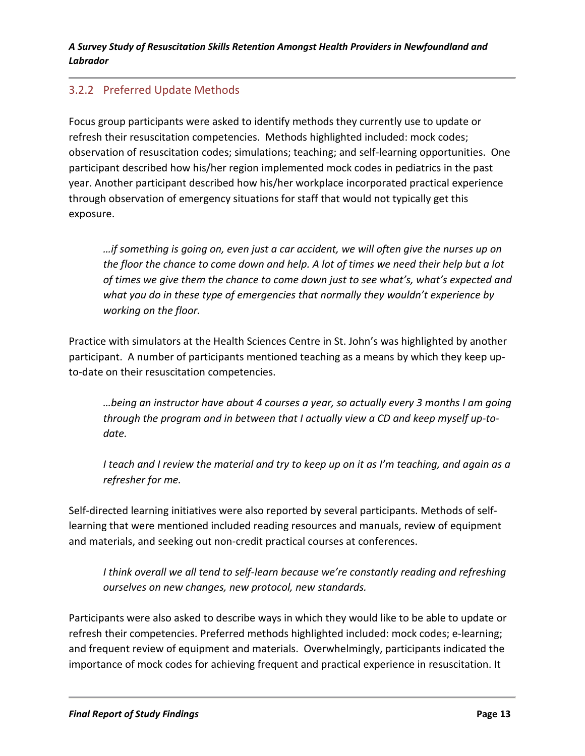### 3.2.2 Preferred Update Methods

Focus group participants were asked to identify methods they currently use to update or refresh their resuscitation competencies. Methods highlighted included: mock codes; observation of resuscitation codes; simulations; teaching; and self-learning opportunities. One participant described how his/her region implemented mock codes in pediatrics in the past year. Another participant described how his/her workplace incorporated practical experience through observation of emergency situations for staff that would not typically get this exposure.

*…if something is going on, even just a car accident, we will often give the nurses up on the floor the chance to come down and help. A lot of times we need their help but a lot of times we give them the chance to come down just to see what's, what's expected and what you do in these type of emergencies that normally they wouldn't experience by working on the floor.*

Practice with simulators at the Health Sciences Centre in St. John's was highlighted by another participant. A number of participants mentioned teaching as a means by which they keep upto-date on their resuscitation competencies.

*…being an instructor have about 4 courses a year, so actually every 3 months I am going through the program and in between that I actually view a CD and keep myself up-todate.*

*I teach and I review the material and try to keep up on it as I'm teaching, and again as a refresher for me.*

Self-directed learning initiatives were also reported by several participants. Methods of selflearning that were mentioned included reading resources and manuals, review of equipment and materials, and seeking out non-credit practical courses at conferences.

*I think overall we all tend to self-learn because we're constantly reading and refreshing ourselves on new changes, new protocol, new standards.*

Participants were also asked to describe ways in which they would like to be able to update or refresh their competencies. Preferred methods highlighted included: mock codes; e-learning; and frequent review of equipment and materials. Overwhelmingly, participants indicated the importance of mock codes for achieving frequent and practical experience in resuscitation. It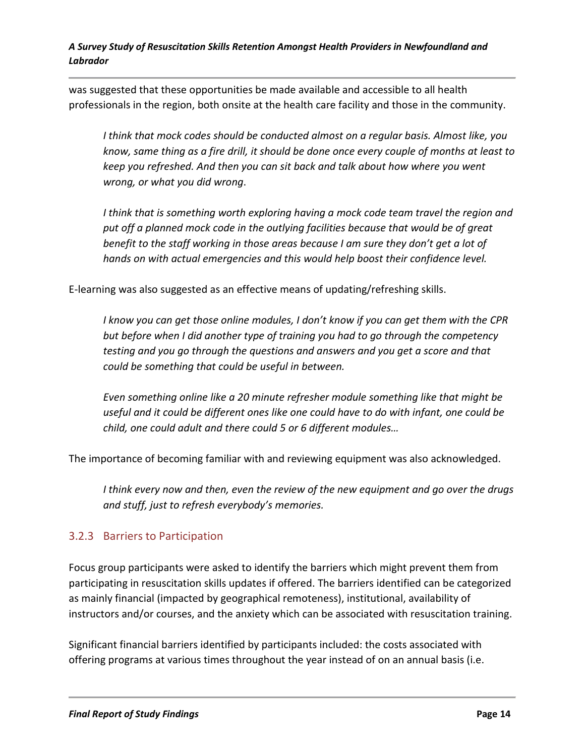was suggested that these opportunities be made available and accessible to all health professionals in the region, both onsite at the health care facility and those in the community.

*I think that mock codes should be conducted almost on a regular basis. Almost like, you know, same thing as a fire drill, it should be done once every couple of months at least to keep you refreshed. And then you can sit back and talk about how where you went wrong, or what you did wrong*.

*I think that is something worth exploring having a mock code team travel the region and put off a planned mock code in the outlying facilities because that would be of great benefit to the staff working in those areas because I am sure they don't get a lot of hands on with actual emergencies and this would help boost their confidence level.*

E-learning was also suggested as an effective means of updating/refreshing skills.

*I know you can get those online modules, I don't know if you can get them with the CPR but before when I did another type of training you had to go through the competency testing and you go through the questions and answers and you get a score and that could be something that could be useful in between.*

*Even something online like a 20 minute refresher module something like that might be useful and it could be different ones like one could have to do with infant, one could be child, one could adult and there could 5 or 6 different modules…*

The importance of becoming familiar with and reviewing equipment was also acknowledged.

*I think every now and then, even the review of the new equipment and go over the drugs and stuff, just to refresh everybody's memories.* 

### 3.2.3 Barriers to Participation

Focus group participants were asked to identify the barriers which might prevent them from participating in resuscitation skills updates if offered. The barriers identified can be categorized as mainly financial (impacted by geographical remoteness), institutional, availability of instructors and/or courses, and the anxiety which can be associated with resuscitation training.

Significant financial barriers identified by participants included: the costs associated with offering programs at various times throughout the year instead of on an annual basis (i.e.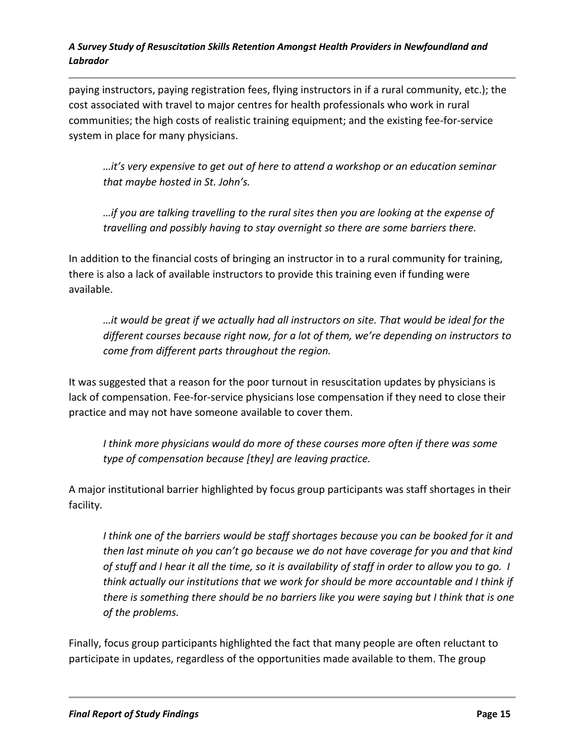paying instructors, paying registration fees, flying instructors in if a rural community, etc.); the cost associated with travel to major centres for health professionals who work in rural communities; the high costs of realistic training equipment; and the existing fee-for-service system in place for many physicians.

*…it's very expensive to get out of here to attend a workshop or an education seminar that maybe hosted in St. John's.*

*…if you are talking travelling to the rural sites then you are looking at the expense of travelling and possibly having to stay overnight so there are some barriers there.*

In addition to the financial costs of bringing an instructor in to a rural community for training, there is also a lack of available instructors to provide this training even if funding were available.

*…it would be great if we actually had all instructors on site. That would be ideal for the different courses because right now, for a lot of them, we're depending on instructors to come from different parts throughout the region.*

It was suggested that a reason for the poor turnout in resuscitation updates by physicians is lack of compensation. Fee-for-service physicians lose compensation if they need to close their practice and may not have someone available to cover them.

*I think more physicians would do more of these courses more often if there was some type of compensation because [they] are leaving practice.* 

A major institutional barrier highlighted by focus group participants was staff shortages in their facility.

I think one of the barriers would be staff shortages because you can be booked for it and *then last minute oh you can't go because we do not have coverage for you and that kind of stuff and I hear it all the time, so it is availability of staff in order to allow you to go. I think actually our institutions that we work for should be more accountable and I think if there is something there should be no barriers like you were saying but I think that is one of the problems.*

Finally, focus group participants highlighted the fact that many people are often reluctant to participate in updates, regardless of the opportunities made available to them. The group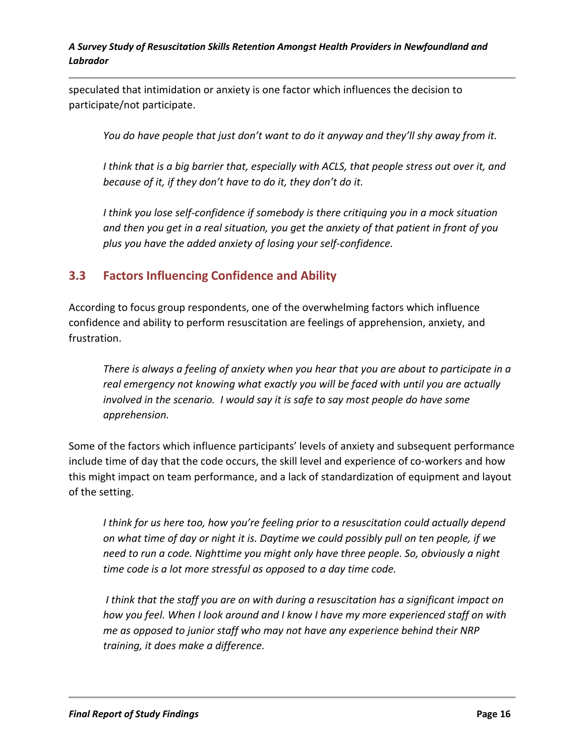speculated that intimidation or anxiety is one factor which influences the decision to participate/not participate.

*You do have people that just don't want to do it anyway and they'll shy away from it.*

*I think that is a big barrier that, especially with ACLS, that people stress out over it, and because of it, if they don't have to do it, they don't do it.*

*I think you lose self-confidence if somebody is there critiquing you in a mock situation and then you get in a real situation, you get the anxiety of that patient in front of you plus you have the added anxiety of losing your self-confidence.*

## **3.3 Factors Influencing Confidence and Ability**

According to focus group respondents, one of the overwhelming factors which influence confidence and ability to perform resuscitation are feelings of apprehension, anxiety, and frustration.

*There is always a feeling of anxiety when you hear that you are about to participate in a real emergency not knowing what exactly you will be faced with until you are actually involved in the scenario. I would say it is safe to say most people do have some apprehension.*

Some of the factors which influence participants' levels of anxiety and subsequent performance include time of day that the code occurs, the skill level and experience of co-workers and how this might impact on team performance, and a lack of standardization of equipment and layout of the setting.

*I think for us here too, how you're feeling prior to a resuscitation could actually depend on what time of day or night it is. Daytime we could possibly pull on ten people, if we need to run a code. Nighttime you might only have three people. So, obviously a night time code is a lot more stressful as opposed to a day time code.*

*I think that the staff you are on with during a resuscitation has a significant impact on how you feel. When I look around and I know I have my more experienced staff on with me as opposed to junior staff who may not have any experience behind their NRP training, it does make a difference.*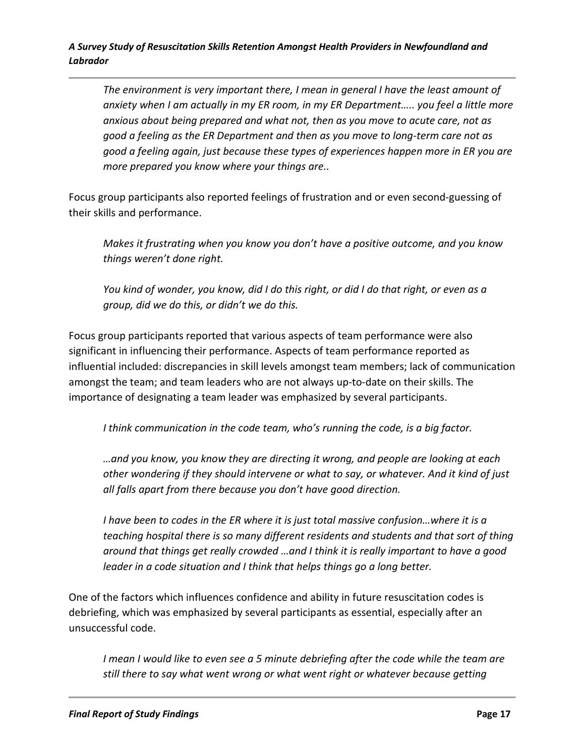*The environment is very important there, I mean in general I have the least amount of anxiety when I am actually in my ER room, in my ER Department….. you feel a little more anxious about being prepared and what not, then as you move to acute care, not as good a feeling as the ER Department and then as you move to long-term care not as good a feeling again, just because these types of experiences happen more in ER you are more prepared you know where your things are..* 

Focus group participants also reported feelings of frustration and or even second-guessing of their skills and performance.

*Makes it frustrating when you know you don't have a positive outcome, and you know things weren't done right.*

*You kind of wonder, you know, did I do this right, or did I do that right, or even as a group, did we do this, or didn't we do this.*

Focus group participants reported that various aspects of team performance were also significant in influencing their performance. Aspects of team performance reported as influential included: discrepancies in skill levels amongst team members; lack of communication amongst the team; and team leaders who are not always up-to-date on their skills. The importance of designating a team leader was emphasized by several participants.

*I think communication in the code team, who's running the code, is a big factor.*

*…and you know, you know they are directing it wrong, and people are looking at each other wondering if they should intervene or what to say, or whatever. And it kind of just all falls apart from there because you don't have good direction.*

*I have been to codes in the ER where it is just total massive confusion…where it is a teaching hospital there is so many different residents and students and that sort of thing around that things get really crowded …and I think it is really important to have a good leader in a code situation and I think that helps things go a long better.*

One of the factors which influences confidence and ability in future resuscitation codes is debriefing, which was emphasized by several participants as essential, especially after an unsuccessful code.

*I mean I would like to even see a 5 minute debriefing after the code while the team are still there to say what went wrong or what went right or whatever because getting*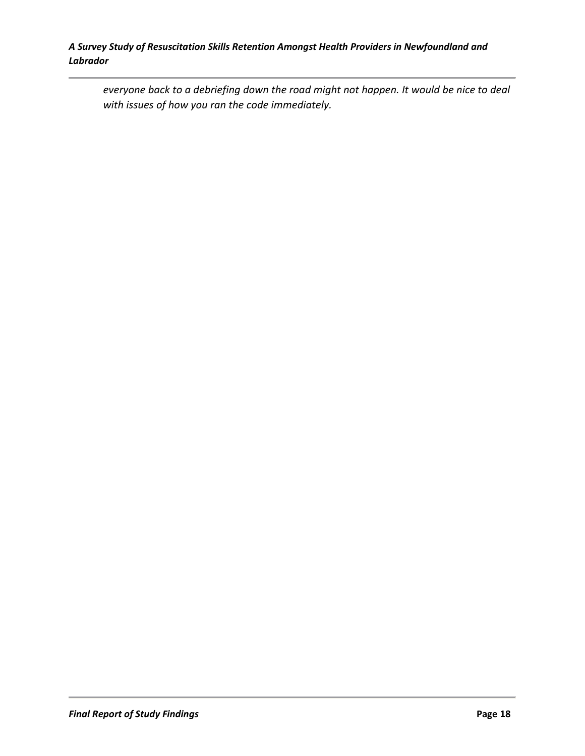*everyone back to a debriefing down the road might not happen. It would be nice to deal with issues of how you ran the code immediately.*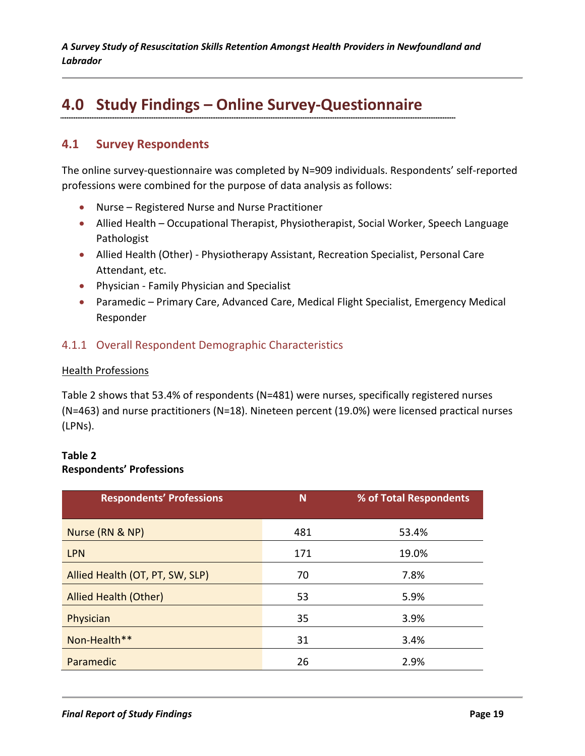# **4.0 Study Findings – Online Survey-Questionnaire**

## **4.1 Survey Respondents**

The online survey-questionnaire was completed by N=909 individuals. Respondents' self-reported professions were combined for the purpose of data analysis as follows:

- Nurse Registered Nurse and Nurse Practitioner
- Allied Health Occupational Therapist, Physiotherapist, Social Worker, Speech Language Pathologist
- Allied Health (Other) Physiotherapy Assistant, Recreation Specialist, Personal Care Attendant, etc.
- Physician Family Physician and Specialist
- Paramedic Primary Care, Advanced Care, Medical Flight Specialist, Emergency Medical Responder

#### 4.1.1 Overall Respondent Demographic Characteristics

#### Health Professions

Table 2 shows that 53.4% of respondents (N=481) were nurses, specifically registered nurses (N=463) and nurse practitioners (N=18). Nineteen percent (19.0%) were licensed practical nurses (LPNs).

#### **Table 2 Respondents' Professions**

| <b>Respondents' Professions</b> | N   | % of Total Respondents |
|---------------------------------|-----|------------------------|
| Nurse (RN & NP)                 | 481 | 53.4%                  |
| <b>LPN</b>                      | 171 | 19.0%                  |
| Allied Health (OT, PT, SW, SLP) | 70  | 7.8%                   |
| <b>Allied Health (Other)</b>    | 53  | 5.9%                   |
| Physician                       | 35  | 3.9%                   |
| Non-Health**                    | 31  | 3.4%                   |
| Paramedic                       | 26  | 2.9%                   |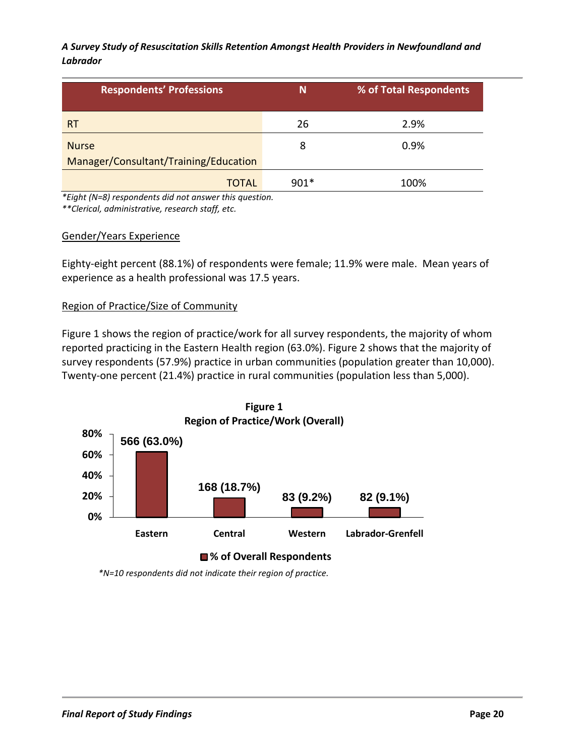| <b>Respondents' Professions</b>                       | N      | % of Total Respondents |
|-------------------------------------------------------|--------|------------------------|
| <b>RT</b>                                             | 26     | 2.9%                   |
| <b>Nurse</b><br>Manager/Consultant/Training/Education | 8      | 0.9%                   |
| <b>TOTAL</b>                                          | $901*$ | 100%                   |

*\*Eight (N=8) respondents did not answer this question.*

*\*\*Clerical, administrative, research staff, etc.*

#### Gender/Years Experience

Eighty-eight percent (88.1%) of respondents were female; 11.9% were male. Mean years of experience as a health professional was 17.5 years.

#### Region of Practice/Size of Community

Figure 1 shows the region of practice/work for all survey respondents, the majority of whom reported practicing in the Eastern Health region (63.0%). Figure 2 shows that the majority of survey respondents (57.9%) practice in urban communities (population greater than 10,000). Twenty-one percent (21.4%) practice in rural communities (population less than 5,000).



 *\*N=10 respondents did not indicate their region of practice.*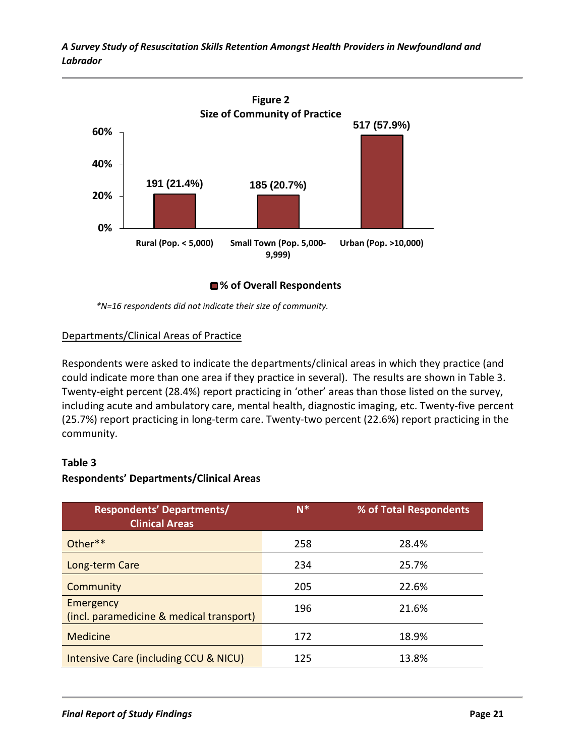

**% of Overall Respondents**

*\*N=16 respondents did not indicate their size of community.*

#### Departments/Clinical Areas of Practice

Respondents were asked to indicate the departments/clinical areas in which they practice (and could indicate more than one area if they practice in several). The results are shown in Table 3. Twenty-eight percent (28.4%) report practicing in 'other' areas than those listed on the survey, including acute and ambulatory care, mental health, diagnostic imaging, etc. Twenty-five percent (25.7%) report practicing in long-term care. Twenty-two percent (22.6%) report practicing in the community.

#### **Table 3**

#### **Respondents' Departments/Clinical Areas**

| <b>Respondents' Departments/</b><br><b>Clinical Areas</b> | $N^*$ | % of Total Respondents |
|-----------------------------------------------------------|-------|------------------------|
| $Other**$                                                 | 258   | 28.4%                  |
| Long-term Care                                            | 234   | 25.7%                  |
| Community                                                 | 205   | 22.6%                  |
| Emergency<br>(incl. paramedicine & medical transport)     | 196   | 21.6%                  |
| Medicine                                                  | 172   | 18.9%                  |
| <b>Intensive Care (including CCU &amp; NICU)</b>          | 125   | 13.8%                  |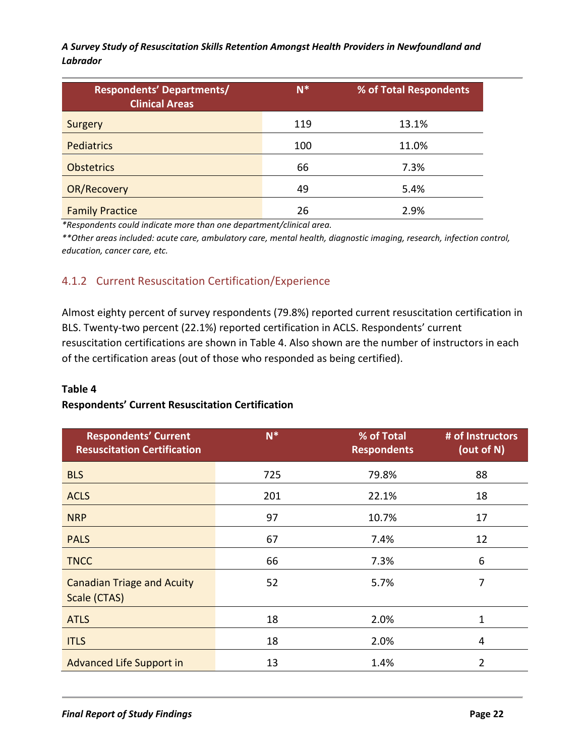| <b>Respondents' Departments/</b><br><b>Clinical Areas</b> | $N^*$ | % of Total Respondents |
|-----------------------------------------------------------|-------|------------------------|
| Surgery                                                   | 119   | 13.1%                  |
| <b>Pediatrics</b>                                         | 100   | 11.0%                  |
| <b>Obstetrics</b>                                         | 66    | 7.3%                   |
| <b>OR/Recovery</b>                                        | 49    | 5.4%                   |
| <b>Family Practice</b>                                    | 26    | 2.9%                   |

*\*Respondents could indicate more than one department/clinical area.*

*\*\*Other areas included: acute care, ambulatory care, mental health, diagnostic imaging, research, infection control, education, cancer care, etc.*

## 4.1.2 Current Resuscitation Certification/Experience

Almost eighty percent of survey respondents (79.8%) reported current resuscitation certification in BLS. Twenty-two percent (22.1%) reported certification in ACLS. Respondents' current resuscitation certifications are shown in Table 4. Also shown are the number of instructors in each of the certification areas (out of those who responded as being certified).

#### **Table 4**

#### **Respondents' Current Resuscitation Certification**

| <b>Respondents' Current</b><br><b>Resuscitation Certification</b> | $N^*$ | % of Total<br><b>Respondents</b> | # of Instructors<br>(out of $N$ ) |
|-------------------------------------------------------------------|-------|----------------------------------|-----------------------------------|
| <b>BLS</b>                                                        | 725   | 79.8%                            | 88                                |
| <b>ACLS</b>                                                       | 201   | 22.1%                            | 18                                |
| <b>NRP</b>                                                        | 97    | 10.7%                            | 17                                |
| <b>PALS</b>                                                       | 67    | 7.4%                             | 12                                |
| <b>TNCC</b>                                                       | 66    | 7.3%                             | 6                                 |
| <b>Canadian Triage and Acuity</b><br>Scale (CTAS)                 | 52    | 5.7%                             | 7                                 |
| <b>ATLS</b>                                                       | 18    | 2.0%                             | 1                                 |
| <b>ITLS</b>                                                       | 18    | 2.0%                             | 4                                 |
| <b>Advanced Life Support in</b>                                   | 13    | 1.4%                             | $\overline{2}$                    |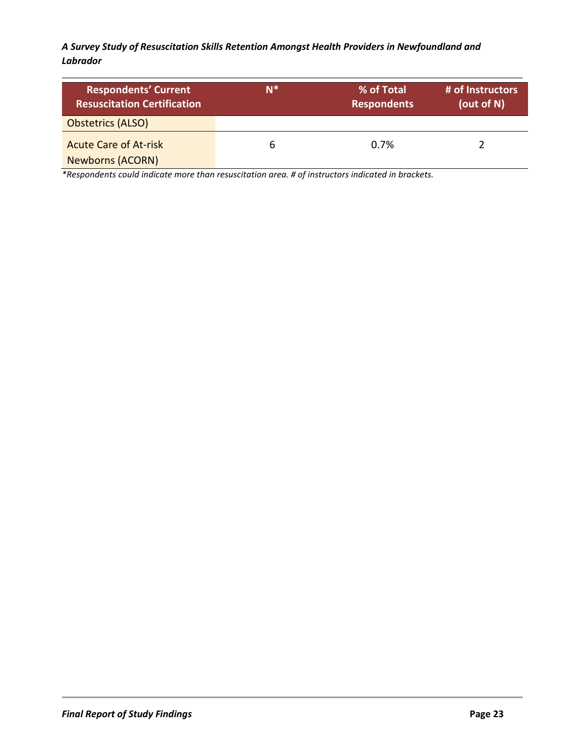| <b>Respondents' Current</b><br><b>Resuscitation Certification</b> | N <sup>*</sup> | % of Total<br><b>Respondents</b> | # of Instructors<br>(out of N) |
|-------------------------------------------------------------------|----------------|----------------------------------|--------------------------------|
| <b>Obstetrics (ALSO)</b>                                          |                |                                  |                                |
| <b>Acute Care of At-risk</b><br><b>Newborns (ACORN)</b>           | b              | 0.7%                             |                                |

*\*Respondents could indicate more than resuscitation area. # of instructors indicated in brackets.*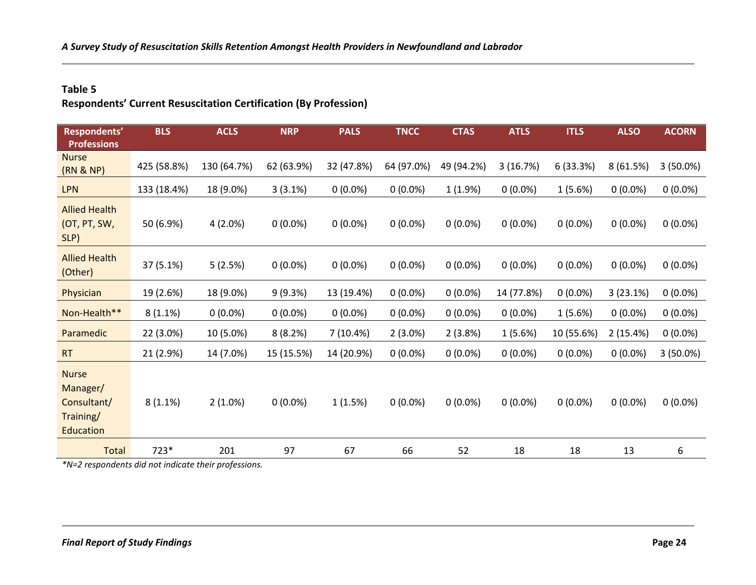### **Table 5**

**Respondents' Current Resuscitation Certification (By Profession)**

| Respondents'<br><b>Professions</b>                                | <b>BLS</b>  | <b>ACLS</b> | <b>NRP</b> | <b>PALS</b> | <b>TNCC</b> | <b>CTAS</b> | <b>ATLS</b> | <b>ITLS</b> | <b>ALSO</b> | <b>ACORN</b> |
|-------------------------------------------------------------------|-------------|-------------|------------|-------------|-------------|-------------|-------------|-------------|-------------|--------------|
| <b>Nurse</b><br>(RN & NP)                                         | 425 (58.8%) | 130 (64.7%) | 62 (63.9%) | 32 (47.8%)  | 64 (97.0%)  | 49 (94.2%)  | 3(16.7%)    | 6(33.3%)    | 8(61.5%)    | $3(50.0\%)$  |
| <b>LPN</b>                                                        | 133 (18.4%) | 18 (9.0%)   | 3(3.1%)    | $0(0.0\%)$  | $0(0.0\%)$  | 1(1.9%)     | $0(0.0\%)$  | 1(5.6%)     | $0(0.0\%)$  | $0(0.0\%)$   |
| <b>Allied Health</b><br>(OT, PT, SW,<br>SLP)                      | 50 (6.9%)   | 4(2.0%)     | $0(0.0\%)$ | $0(0.0\%)$  | $0(0.0\%)$  | $0(0.0\%)$  | $0(0.0\%)$  | $0(0.0\%)$  | $0(0.0\%)$  | $0(0.0\%)$   |
| <b>Allied Health</b><br>(Other)                                   | 37 (5.1%)   | 5(2.5%)     | $0(0.0\%)$ | $0(0.0\%)$  | $0(0.0\%)$  | $0(0.0\%)$  | $0(0.0\%)$  | $0(0.0\%)$  | $0(0.0\%)$  | $0(0.0\%)$   |
| Physician                                                         | 19 (2.6%)   | 18 (9.0%)   | 9(9.3%)    | 13 (19.4%)  | $0(0.0\%)$  | $0(0.0\%)$  | 14 (77.8%)  | $0(0.0\%)$  | 3(23.1%)    | $0(0.0\%)$   |
| Non-Health**                                                      | 8(1.1%)     | $0(0.0\%)$  | $0(0.0\%)$ | $0(0.0\%)$  | $0(0.0\%)$  | $0(0.0\%)$  | $0(0.0\%)$  | 1(5.6%)     | $0(0.0\%)$  | $0(0.0\%)$   |
| Paramedic                                                         | 22 (3.0%)   | 10 (5.0%)   | 8(8.2%)    | 7 (10.4%)   | $2(3.0\%)$  | 2(3.8%)     | 1(5.6%)     | 10 (55.6%)  | 2(15.4%)    | $0(0.0\%)$   |
| <b>RT</b>                                                         | 21 (2.9%)   | 14 (7.0%)   | 15 (15.5%) | 14 (20.9%)  | $0(0.0\%)$  | $0(0.0\%)$  | $0(0.0\%)$  | $0(0.0\%)$  | $0(0.0\%)$  | 3(50.0%)     |
| <b>Nurse</b><br>Manager/<br>Consultant/<br>Training/<br>Education | 8(1.1%)     | $2(1.0\%)$  | $0(0.0\%)$ | 1(1.5%)     | $0(0.0\%)$  | $0(0.0\%)$  | $0(0.0\%)$  | $0(0.0\%)$  | $0(0.0\%)$  | $0(0.0\%)$   |
| <b>Total</b>                                                      | 723*        | 201         | 97         | 67          | 66          | 52          | 18          | 18          | 13          | 6            |

*\*N=2 respondents did not indicate their professions.*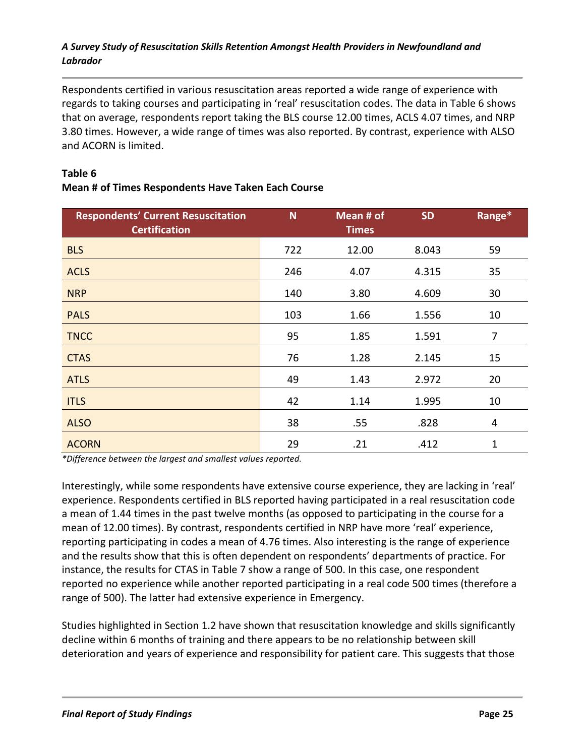Respondents certified in various resuscitation areas reported a wide range of experience with regards to taking courses and participating in 'real' resuscitation codes. The data in Table 6 shows that on average, respondents report taking the BLS course 12.00 times, ACLS 4.07 times, and NRP 3.80 times. However, a wide range of times was also reported. By contrast, experience with ALSO and ACORN is limited.

| <b>Respondents' Current Resuscitation</b><br><b>Certification</b> | <b>N</b> | Mean # of<br><b>Times</b> | <b>SD</b> | Range* |
|-------------------------------------------------------------------|----------|---------------------------|-----------|--------|
| <b>BLS</b>                                                        | 722      | 12.00                     | 8.043     | 59     |
| <b>ACLS</b>                                                       | 246      | 4.07                      | 4.315     | 35     |
| <b>NRP</b>                                                        | 140      | 3.80                      | 4.609     | 30     |
| <b>PALS</b>                                                       | 103      | 1.66                      | 1.556     | 10     |
| <b>TNCC</b>                                                       | 95       | 1.85                      | 1.591     | 7      |
| <b>CTAS</b>                                                       | 76       | 1.28                      | 2.145     | 15     |
| <b>ATLS</b>                                                       | 49       | 1.43                      | 2.972     | 20     |
| <b>ITLS</b>                                                       | 42       | 1.14                      | 1.995     | 10     |
| <b>ALSO</b>                                                       | 38       | .55                       | .828      | 4      |
| <b>ACORN</b>                                                      | 29       | .21                       | .412      | 1      |

### **Table 6 Mean # of Times Respondents Have Taken Each Course**

*\*Difference between the largest and smallest values reported.*

Interestingly, while some respondents have extensive course experience, they are lacking in 'real' experience. Respondents certified in BLS reported having participated in a real resuscitation code a mean of 1.44 times in the past twelve months (as opposed to participating in the course for a mean of 12.00 times). By contrast, respondents certified in NRP have more 'real' experience, reporting participating in codes a mean of 4.76 times. Also interesting is the range of experience and the results show that this is often dependent on respondents' departments of practice. For instance, the results for CTAS in Table 7 show a range of 500. In this case, one respondent reported no experience while another reported participating in a real code 500 times (therefore a range of 500). The latter had extensive experience in Emergency.

Studies highlighted in Section 1.2 have shown that resuscitation knowledge and skills significantly decline within 6 months of training and there appears to be no relationship between skill deterioration and years of experience and responsibility for patient care. This suggests that those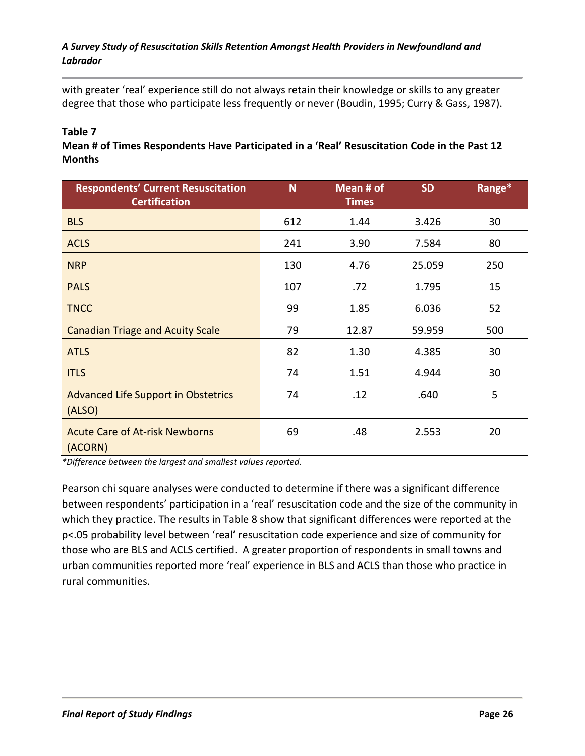with greater 'real' experience still do not always retain their knowledge or skills to any greater degree that those who participate less frequently or never (Boudin, 1995; Curry & Gass, 1987).

### **Table 7**

**Mean # of Times Respondents Have Participated in a 'Real' Resuscitation Code in the Past 12 Months**

| <b>Respondents' Current Resuscitation</b><br><b>Certification</b> | N   | Mean # of<br><b>Times</b> | <b>SD</b> | Range* |
|-------------------------------------------------------------------|-----|---------------------------|-----------|--------|
| <b>BLS</b>                                                        | 612 | 1.44                      | 3.426     | 30     |
| <b>ACLS</b>                                                       | 241 | 3.90                      | 7.584     | 80     |
| <b>NRP</b>                                                        | 130 | 4.76                      | 25.059    | 250    |
| <b>PALS</b>                                                       | 107 | .72                       | 1.795     | 15     |
| <b>TNCC</b>                                                       | 99  | 1.85                      | 6.036     | 52     |
| <b>Canadian Triage and Acuity Scale</b>                           | 79  | 12.87                     | 59.959    | 500    |
| <b>ATLS</b>                                                       | 82  | 1.30                      | 4.385     | 30     |
| <b>ITLS</b>                                                       | 74  | 1.51                      | 4.944     | 30     |
| Advanced Life Support in Obstetrics<br>(ALSO)                     | 74  | .12                       | .640      | 5      |
| <b>Acute Care of At-risk Newborns</b><br>(ACORN)                  | 69  | .48                       | 2.553     | 20     |

*\*Difference between the largest and smallest values reported.*

Pearson chi square analyses were conducted to determine if there was a significant difference between respondents' participation in a 'real' resuscitation code and the size of the community in which they practice. The results in Table 8 show that significant differences were reported at the p<.05 probability level between 'real' resuscitation code experience and size of community for those who are BLS and ACLS certified. A greater proportion of respondents in small towns and urban communities reported more 'real' experience in BLS and ACLS than those who practice in rural communities.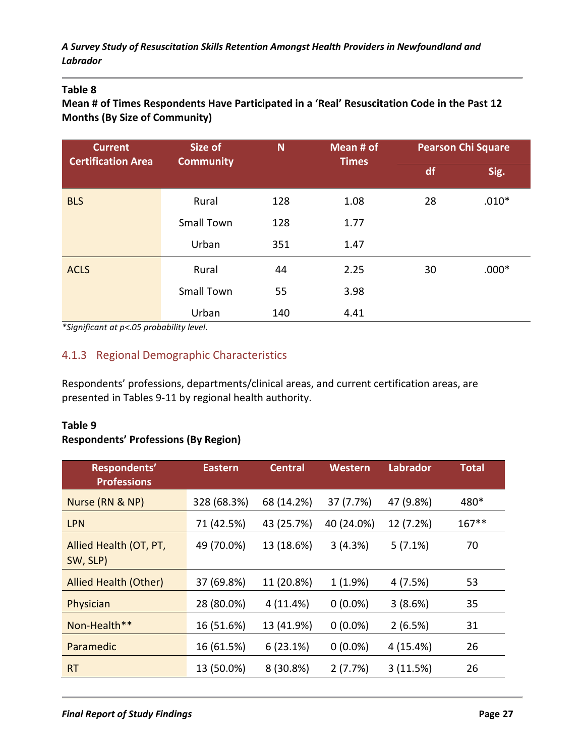### **Table 8**

**Mean # of Times Respondents Have Participated in a 'Real' Resuscitation Code in the Past 12 Months (By Size of Community)**

| <b>Current</b><br><b>Certification Area</b> | Size of           | N   | Mean # of<br><b>Times</b> | <b>Pearson Chi Square</b> |         |
|---------------------------------------------|-------------------|-----|---------------------------|---------------------------|---------|
|                                             | <b>Community</b>  |     |                           | df                        | Sig.    |
| <b>BLS</b>                                  | Rural             | 128 | 1.08                      | 28                        | $.010*$ |
|                                             | <b>Small Town</b> | 128 | 1.77                      |                           |         |
|                                             | Urban             | 351 | 1.47                      |                           |         |
| <b>ACLS</b>                                 | Rural             | 44  | 2.25                      | 30                        | $.000*$ |
|                                             | <b>Small Town</b> | 55  | 3.98                      |                           |         |
|                                             | Urban             | 140 | 4.41                      |                           |         |

*\*Significant at p<.05 probability level.*

### 4.1.3 Regional Demographic Characteristics

Respondents' professions, departments/clinical areas, and current certification areas, are presented in Tables 9-11 by regional health authority.

#### **Table 9**

#### **Respondents' Professions (By Region)**

| Respondents'<br><b>Professions</b> | <b>Eastern</b> | <b>Central</b> | Western    | <b>Labrador</b> | <b>Total</b> |
|------------------------------------|----------------|----------------|------------|-----------------|--------------|
| Nurse (RN & NP)                    | 328 (68.3%)    | 68 (14.2%)     | 37 (7.7%)  | 47 (9.8%)       | 480*         |
| <b>LPN</b>                         | 71 (42.5%)     | 43 (25.7%)     | 40 (24.0%) | 12 (7.2%)       | $167***$     |
| Allied Health (OT, PT,<br>SW, SLP) | 49 (70.0%)     | 13 (18.6%)     | 3(4.3%)    | 5(7.1%)         | 70           |
| Allied Health (Other)              | 37 (69.8%)     | 11 (20.8%)     | 1(1.9%)    | 4(7.5%)         | 53           |
| Physician                          | 28 (80.0%)     | 4 (11.4%)      | $0(0.0\%)$ | 3(8.6%)         | 35           |
| Non-Health**                       | 16 (51.6%)     | 13 (41.9%)     | $0(0.0\%)$ | 2(6.5%)         | 31           |
| Paramedic                          | 16 (61.5%)     | 6(23.1%)       | $0(0.0\%)$ | 4 (15.4%)       | 26           |
| <b>RT</b>                          | 13 (50.0%)     | 8 (30.8%)      | 2(7.7%)    | 3(11.5%)        | 26           |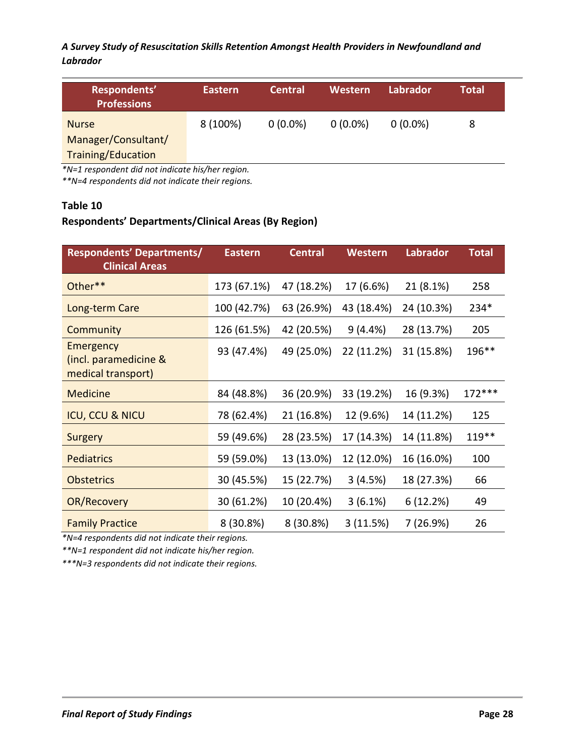| Respondents'<br><b>Professions</b> | Eastern  | <b>Central</b> | Western    | Labrador   | Total |
|------------------------------------|----------|----------------|------------|------------|-------|
| <b>Nurse</b>                       | 8 (100%) | $0(0.0\%)$     | $0(0.0\%)$ | $0(0.0\%)$ | 8     |
| Manager/Consultant/                |          |                |            |            |       |
| <b>Training/Education</b>          |          |                |            |            |       |

*\*N=1 respondent did not indicate his/her region.* 

*\*\*N=4 respondents did not indicate their regions.* 

#### **Table 10**

### **Respondents' Departments/Clinical Areas (By Region)**

| <b>Respondents' Departments/</b><br><b>Clinical Areas</b> | <b>Eastern</b> | <b>Central</b> | <b>Western</b> | Labrador   | <b>Total</b> |
|-----------------------------------------------------------|----------------|----------------|----------------|------------|--------------|
| Other**                                                   | 173 (67.1%)    | 47 (18.2%)     | 17 (6.6%)      | 21 (8.1%)  | 258          |
| Long-term Care                                            | 100 (42.7%)    | 63 (26.9%)     | 43 (18.4%)     | 24 (10.3%) | 234*         |
| Community                                                 | 126 (61.5%)    | 42 (20.5%)     | 9(4.4%)        | 28 (13.7%) | 205          |
| Emergency<br>(incl. paramedicine &<br>medical transport)  | 93 (47.4%)     | 49 (25.0%)     | 22 (11.2%)     | 31 (15.8%) | 196**        |
| <b>Medicine</b>                                           | 84 (48.8%)     | 36 (20.9%)     | 33 (19.2%)     | 16 (9.3%)  | $172***$     |
| <b>ICU, CCU &amp; NICU</b>                                | 78 (62.4%)     | 21 (16.8%)     | 12 (9.6%)      | 14 (11.2%) | 125          |
| Surgery                                                   | 59 (49.6%)     | 28 (23.5%)     | 17 (14.3%)     | 14 (11.8%) | 119**        |
| <b>Pediatrics</b>                                         | 59 (59.0%)     | 13 (13.0%)     | 12 (12.0%)     | 16 (16.0%) | 100          |
| <b>Obstetrics</b>                                         | 30 (45.5%)     | 15 (22.7%)     | 3(4.5%)        | 18 (27.3%) | 66           |
| OR/Recovery                                               | 30 (61.2%)     | 10 (20.4%)     | 3(6.1%)        | 6(12.2%)   | 49           |
| <b>Family Practice</b>                                    | 8 (30.8%)      | 8 (30.8%)      | 3(11.5%)       | 7 (26.9%)  | 26           |

*\*N=4 respondents did not indicate their regions.* 

*\*\*N=1 respondent did not indicate his/her region.*

*\*\*\*N=3 respondents did not indicate their regions.*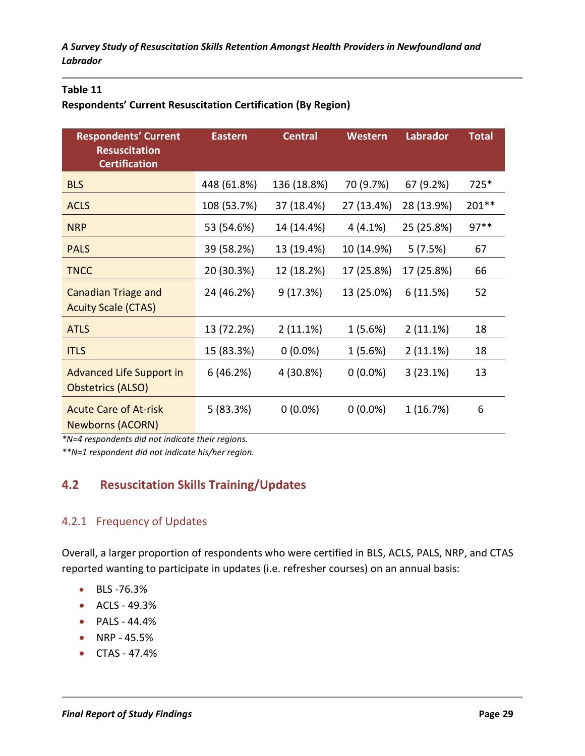### **Table 11**

### **Respondents' Current Resuscitation Certification (By Region)**

| <b>Respondents' Current</b><br><b>Resuscitation</b><br><b>Certification</b> | <b>Eastern</b> | <b>Central</b> | Western    | <b>Labrador</b> | <b>Total</b> |
|-----------------------------------------------------------------------------|----------------|----------------|------------|-----------------|--------------|
| <b>BLS</b>                                                                  | 448 (61.8%)    | 136 (18.8%)    | 70 (9.7%)  | 67 (9.2%)       | 725*         |
| <b>ACLS</b>                                                                 | 108 (53.7%)    | 37 (18.4%)     | 27 (13.4%) | 28 (13.9%)      | 201 **       |
| <b>NRP</b>                                                                  | 53 (54.6%)     | 14 (14.4%)     | 4(4.1%)    | 25 (25.8%)      | $97**$       |
| <b>PALS</b>                                                                 | 39 (58.2%)     | 13 (19.4%)     | 10 (14.9%) | 5(7.5%)         | 67           |
| <b>TNCC</b>                                                                 | 20 (30.3%)     | 12 (18.2%)     | 17 (25.8%) | 17 (25.8%)      | 66           |
| <b>Canadian Triage and</b><br><b>Acuity Scale (CTAS)</b>                    | 24 (46.2%)     | 9(17.3%)       | 13 (25.0%) | 6(11.5%)        | 52           |
| <b>ATLS</b>                                                                 | 13 (72.2%)     | 2(11.1%)       | 1 (5.6%)   | 2(11.1%)        | 18           |
| <b>ITLS</b>                                                                 | 15 (83.3%)     | $0(0.0\%)$     | 1(5.6%)    | 2(11.1%)        | 18           |
| <b>Advanced Life Support in</b><br><b>Obstetrics (ALSO)</b>                 | 6 (46.2%)      | 4 (30.8%)      | $0(0.0\%)$ | 3(23.1%)        | 13           |
| <b>Acute Care of At-risk</b><br><b>Newborns (ACORN)</b>                     | 5(83.3%)       | $0(0.0\%)$     | $0(0.0\%)$ | 1 (16.7%)       | 6            |

*\*N=4 respondents did not indicate their regions.*

*\*\*N=1 respondent did not indicate his/her region.*

# **4.2 Resuscitation Skills Training/Updates**

### 4.2.1 Frequency of Updates

Overall, a larger proportion of respondents who were certified in BLS, ACLS, PALS, NRP, and CTAS reported wanting to participate in updates (i.e. refresher courses) on an annual basis:

- BLS -76.3%
- ACLS 49.3%
- PALS 44.4%
- NRP 45.5%
- CTAS 47.4%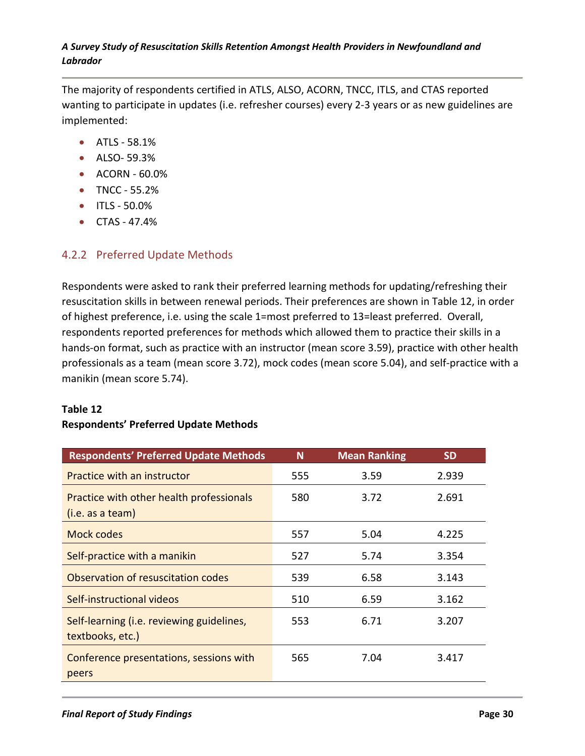The majority of respondents certified in ATLS, ALSO, ACORN, TNCC, ITLS, and CTAS reported wanting to participate in updates (i.e. refresher courses) every 2-3 years or as new guidelines are implemented:

- ATLS 58.1%
- ALSO- 59.3%
- ACORN 60.0%
- TNCC 55.2%
- ITLS 50.0%
- CTAS 47.4%

### 4.2.2 Preferred Update Methods

Respondents were asked to rank their preferred learning methods for updating/refreshing their resuscitation skills in between renewal periods. Their preferences are shown in Table 12, in order of highest preference, i.e. using the scale 1=most preferred to 13=least preferred. Overall, respondents reported preferences for methods which allowed them to practice their skills in a hands-on format, such as practice with an instructor (mean score 3.59), practice with other health professionals as a team (mean score 3.72), mock codes (mean score 5.04), and self-practice with a manikin (mean score 5.74).

### **Table 12**

### **Respondents' Preferred Update Methods**

| <b>Respondents' Preferred Update Methods</b>                  | N   | <b>Mean Ranking</b> | <b>SD</b> |
|---------------------------------------------------------------|-----|---------------------|-----------|
| Practice with an instructor                                   | 555 | 3.59                | 2.939     |
| Practice with other health professionals<br>(i.e. as a team)  | 580 | 3.72                | 2.691     |
| Mock codes                                                    | 557 | 5.04                | 4.225     |
| Self-practice with a manikin                                  | 527 | 5.74                | 3.354     |
| Observation of resuscitation codes                            | 539 | 6.58                | 3.143     |
| Self-instructional videos                                     | 510 | 6.59                | 3.162     |
| Self-learning (i.e. reviewing guidelines,<br>textbooks, etc.) | 553 | 6.71                | 3.207     |
| Conference presentations, sessions with<br>peers              | 565 | 7.04                | 3.417     |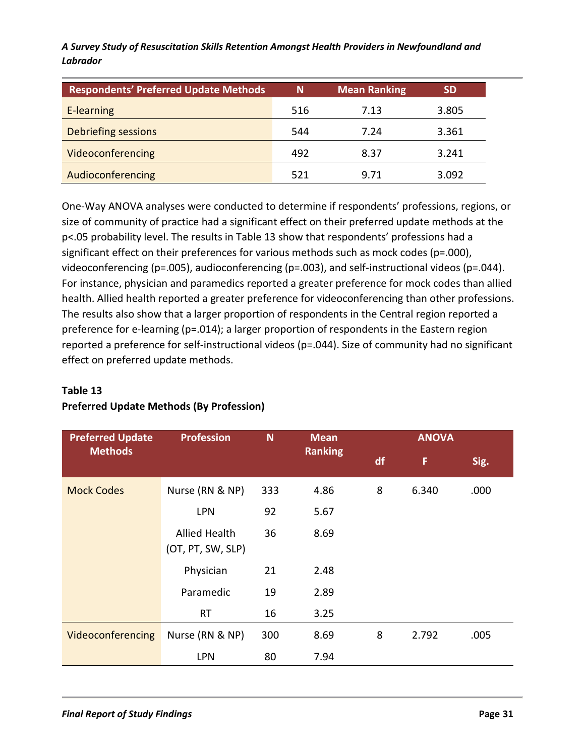| <b>Respondents' Preferred Update Methods</b> | N   | <b>Mean Ranking</b> | <b>SD</b> |
|----------------------------------------------|-----|---------------------|-----------|
| E-learning                                   | 516 | 7.13                | 3.805     |
| Debriefing sessions                          | 544 | 7.24                | 3.361     |
| Videoconferencing                            | 492 | 8.37                | 3.241     |
| Audioconferencing                            | 521 | 9.71                | 3.092     |

One-Way ANOVA analyses were conducted to determine if respondents' professions, regions, or size of community of practice had a significant effect on their preferred update methods at the p<.05 probability level. The results in Table 13 show that respondents' professions had a significant effect on their preferences for various methods such as mock codes (p=.000), videoconferencing (p=.005), audioconferencing (p=.003), and self-instructional videos (p=.044). For instance, physician and paramedics reported a greater preference for mock codes than allied health. Allied health reported a greater preference for videoconferencing than other professions. The results also show that a larger proportion of respondents in the Central region reported a preference for e-learning (p=.014); a larger proportion of respondents in the Eastern region reported a preference for self-instructional videos (p=.044). Size of community had no significant effect on preferred update methods.

# **Table 13**

# **Preferred Update Methods (By Profession)**

| <b>Preferred Update</b> | <b>Profession</b><br>N                    | <b>Mean</b> |                | <b>ANOVA</b> |       |      |  |
|-------------------------|-------------------------------------------|-------------|----------------|--------------|-------|------|--|
| <b>Methods</b>          |                                           |             | <b>Ranking</b> | df           | F     | Sig. |  |
| <b>Mock Codes</b>       | Nurse (RN & NP)                           | 333         | 4.86           | 8            | 6.340 | .000 |  |
|                         | <b>LPN</b>                                | 92          | 5.67           |              |       |      |  |
|                         | <b>Allied Health</b><br>(OT, PT, SW, SLP) | 36          | 8.69           |              |       |      |  |
|                         | Physician                                 | 21          | 2.48           |              |       |      |  |
|                         | Paramedic                                 | 19          | 2.89           |              |       |      |  |
|                         | <b>RT</b>                                 | 16          | 3.25           |              |       |      |  |
| Videoconferencing       | Nurse (RN & NP)                           | 300         | 8.69           | 8            | 2.792 | .005 |  |
|                         | <b>LPN</b>                                | 80          | 7.94           |              |       |      |  |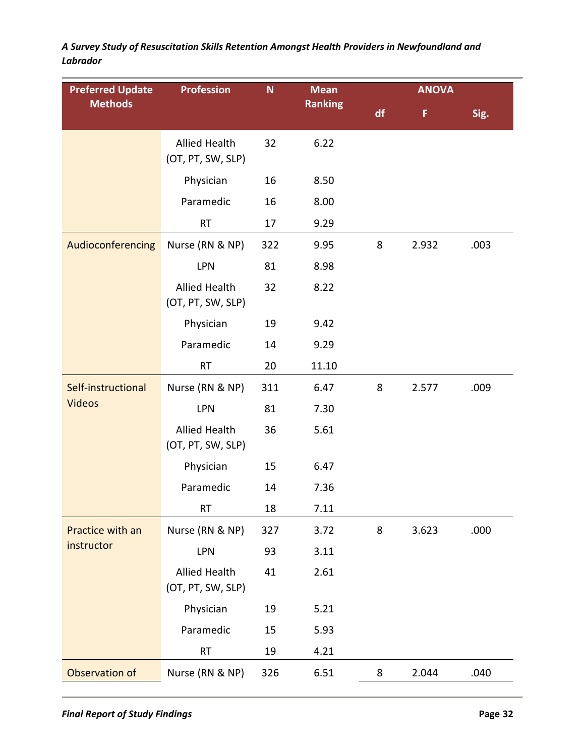| <b>Preferred Update</b> | <b>Profession</b>                         | N   | <b>Mean</b>    |    | <b>ANOVA</b> |      |
|-------------------------|-------------------------------------------|-----|----------------|----|--------------|------|
| <b>Methods</b>          |                                           |     | <b>Ranking</b> | df | F            | Sig. |
|                         | <b>Allied Health</b><br>(OT, PT, SW, SLP) | 32  | 6.22           |    |              |      |
|                         | Physician                                 | 16  | 8.50           |    |              |      |
|                         | Paramedic                                 | 16  | 8.00           |    |              |      |
|                         | <b>RT</b>                                 | 17  | 9.29           |    |              |      |
| Audioconferencing       | Nurse (RN & NP)                           | 322 | 9.95           | 8  | 2.932        | .003 |
|                         | LPN                                       | 81  | 8.98           |    |              |      |
|                         | <b>Allied Health</b><br>(OT, PT, SW, SLP) | 32  | 8.22           |    |              |      |
|                         | Physician                                 | 19  | 9.42           |    |              |      |
|                         | Paramedic                                 | 14  | 9.29           |    |              |      |
|                         | <b>RT</b>                                 | 20  | 11.10          |    |              |      |
| Self-instructional      | Nurse (RN & NP)                           | 311 | 6.47           | 8  | 2.577        | .009 |
| <b>Videos</b>           | <b>LPN</b>                                | 81  | 7.30           |    |              |      |
|                         | <b>Allied Health</b><br>(OT, PT, SW, SLP) | 36  | 5.61           |    |              |      |
|                         | Physician                                 | 15  | 6.47           |    |              |      |
|                         | Paramedic                                 | 14  | 7.36           |    |              |      |
|                         | <b>RT</b>                                 | 18  | 7.11           |    |              |      |
| Practice with an        | Nurse (RN & NP)                           | 327 | 3.72           | 8  | 3.623        | .000 |
| instructor              | LPN                                       | 93  | 3.11           |    |              |      |
|                         | <b>Allied Health</b><br>(OT, PT, SW, SLP) | 41  | 2.61           |    |              |      |
|                         | Physician                                 | 19  | 5.21           |    |              |      |
|                         | Paramedic                                 | 15  | 5.93           |    |              |      |
|                         | RT                                        | 19  | 4.21           |    |              |      |
| Observation of          | Nurse (RN & NP)                           | 326 | 6.51           | 8  | 2.044        | .040 |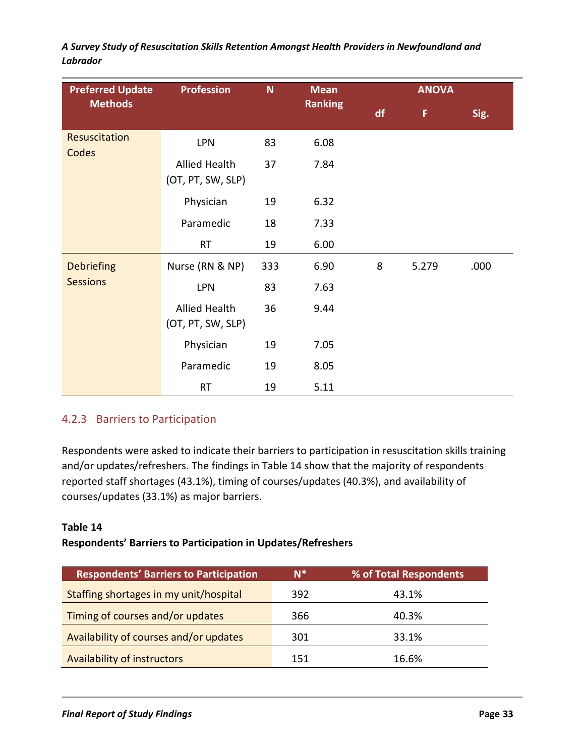| <b>Preferred Update</b> | <b>Profession</b>                         | N<br><b>Mean</b> |      |   | <b>ANOVA</b> |      |
|-------------------------|-------------------------------------------|------------------|------|---|--------------|------|
| <b>Methods</b>          | <b>Ranking</b>                            |                  | df   | F | Sig.         |      |
| Resuscitation<br>Codes  | <b>LPN</b>                                | 83               | 6.08 |   |              |      |
|                         | <b>Allied Health</b><br>(OT, PT, SW, SLP) | 37               | 7.84 |   |              |      |
|                         | Physician                                 | 19               | 6.32 |   |              |      |
|                         | Paramedic                                 | 18               | 7.33 |   |              |      |
|                         | <b>RT</b>                                 | 19               | 6.00 |   |              |      |
| <b>Debriefing</b>       | Nurse (RN & NP)                           | 333              | 6.90 | 8 | 5.279        | .000 |
| <b>Sessions</b>         | <b>LPN</b>                                | 83               | 7.63 |   |              |      |
|                         | <b>Allied Health</b><br>(OT, PT, SW, SLP) | 36               | 9.44 |   |              |      |
|                         | Physician                                 | 19               | 7.05 |   |              |      |
|                         | Paramedic                                 | 19               | 8.05 |   |              |      |
|                         | <b>RT</b>                                 | 19               | 5.11 |   |              |      |

### 4.2.3 Barriers to Participation

Respondents were asked to indicate their barriers to participation in resuscitation skills training and/or updates/refreshers. The findings in Table 14 show that the majority of respondents reported staff shortages (43.1%), timing of courses/updates (40.3%), and availability of courses/updates (33.1%) as major barriers.

### **Table 14**

### **Respondents' Barriers to Participation in Updates/Refreshers**

| <b>Respondents' Barriers to Participation</b> | $N^*$ | % of Total Respondents |
|-----------------------------------------------|-------|------------------------|
| Staffing shortages in my unit/hospital        | 392   | 43.1%                  |
| Timing of courses and/or updates              | 366   | 40.3%                  |
| Availability of courses and/or updates        | 301   | 33.1%                  |
| <b>Availability of instructors</b>            | 151   | 16.6%                  |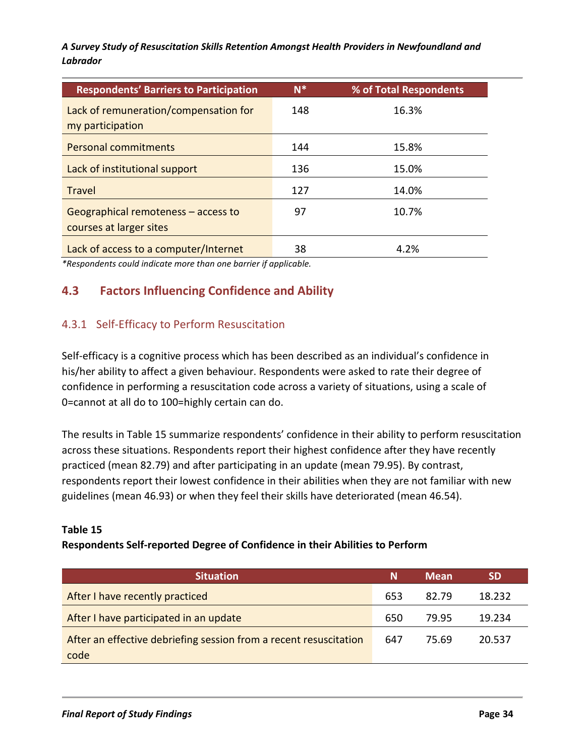| <b>Respondents' Barriers to Participation</b>                  | $N^*$ | % of Total Respondents |
|----------------------------------------------------------------|-------|------------------------|
| Lack of remuneration/compensation for                          | 148   | 16.3%                  |
| my participation                                               |       |                        |
| <b>Personal commitments</b>                                    | 144   | 15.8%                  |
| Lack of institutional support                                  | 136   | 15.0%                  |
| <b>Travel</b>                                                  | 127   | 14.0%                  |
| Geographical remoteness – access to<br>courses at larger sites | 97    | 10.7%                  |
| Lack of access to a computer/Internet                          | 38    | 4.2%                   |

*\*Respondents could indicate more than one barrier if applicable.*

# **4.3 Factors Influencing Confidence and Ability**

### 4.3.1 Self-Efficacy to Perform Resuscitation

Self-efficacy is a cognitive process which has been described as an individual's confidence in his/her ability to affect a given behaviour. Respondents were asked to rate their degree of confidence in performing a resuscitation code across a variety of situations, using a scale of 0=cannot at all do to 100=highly certain can do.

The results in Table 15 summarize respondents' confidence in their ability to perform resuscitation across these situations. Respondents report their highest confidence after they have recently practiced (mean 82.79) and after participating in an update (mean 79.95). By contrast, respondents report their lowest confidence in their abilities when they are not familiar with new guidelines (mean 46.93) or when they feel their skills have deteriorated (mean 46.54).

#### **Table 15**

#### **Respondents Self-reported Degree of Confidence in their Abilities to Perform**

| <b>Situation</b>                                                  | Ν   | <b>Mean</b> | SD     |
|-------------------------------------------------------------------|-----|-------------|--------|
| After I have recently practiced                                   | 653 | 82.79       | 18.232 |
| After I have participated in an update                            | 650 | 79.95       | 19.234 |
| After an effective debriefing session from a recent resuscitation | 647 | 75.69       | 20.537 |
| code                                                              |     |             |        |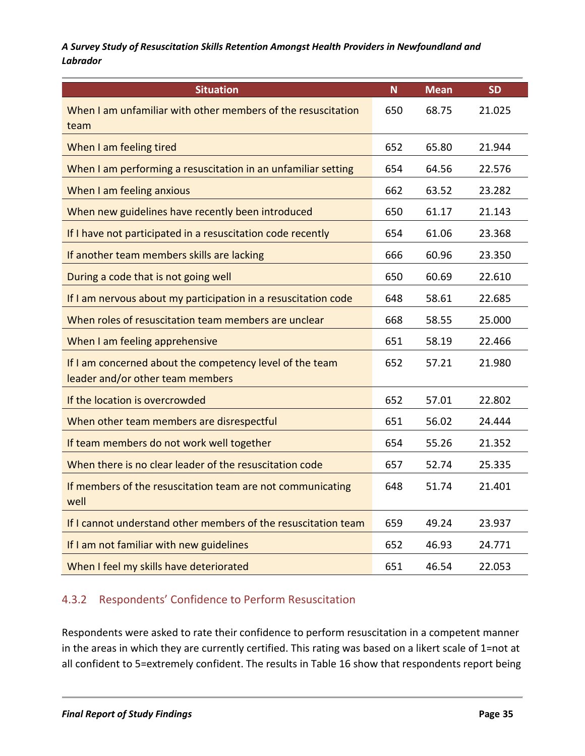| <b>Situation</b>                                                                             | $\mathbf N$ | <b>Mean</b> | <b>SD</b> |
|----------------------------------------------------------------------------------------------|-------------|-------------|-----------|
| When I am unfamiliar with other members of the resuscitation<br>team                         | 650         | 68.75       | 21.025    |
| When I am feeling tired                                                                      | 652         | 65.80       | 21.944    |
| When I am performing a resuscitation in an unfamiliar setting                                | 654         | 64.56       | 22.576    |
| When I am feeling anxious                                                                    | 662         | 63.52       | 23.282    |
| When new guidelines have recently been introduced                                            | 650         | 61.17       | 21.143    |
| If I have not participated in a resuscitation code recently                                  | 654         | 61.06       | 23.368    |
| If another team members skills are lacking                                                   | 666         | 60.96       | 23.350    |
| During a code that is not going well                                                         | 650         | 60.69       | 22.610    |
| If I am nervous about my participation in a resuscitation code                               | 648         | 58.61       | 22.685    |
| When roles of resuscitation team members are unclear                                         | 668         | 58.55       | 25.000    |
| When I am feeling apprehensive                                                               | 651         | 58.19       | 22.466    |
| If I am concerned about the competency level of the team<br>leader and/or other team members | 652         | 57.21       | 21.980    |
| If the location is overcrowded                                                               | 652         | 57.01       | 22.802    |
| When other team members are disrespectful                                                    | 651         | 56.02       | 24.444    |
| If team members do not work well together                                                    | 654         | 55.26       | 21.352    |
| When there is no clear leader of the resuscitation code                                      | 657         | 52.74       | 25.335    |
| If members of the resuscitation team are not communicating<br>well                           | 648         | 51.74       | 21.401    |
| If I cannot understand other members of the resuscitation team                               | 659         | 49.24       | 23.937    |
| If I am not familiar with new guidelines                                                     | 652         | 46.93       | 24.771    |
| When I feel my skills have deteriorated                                                      | 651         | 46.54       | 22.053    |

# 4.3.2 Respondents' Confidence to Perform Resuscitation

Respondents were asked to rate their confidence to perform resuscitation in a competent manner in the areas in which they are currently certified. This rating was based on a likert scale of 1=not at all confident to 5=extremely confident. The results in Table 16 show that respondents report being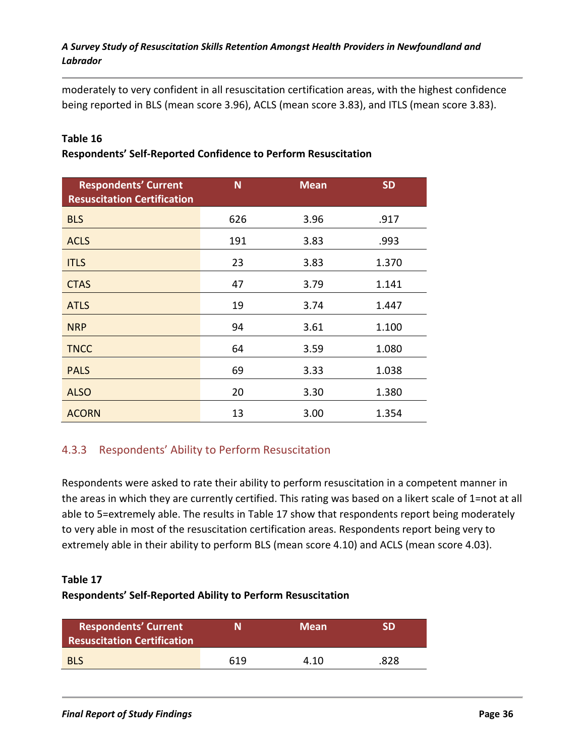moderately to very confident in all resuscitation certification areas, with the highest confidence being reported in BLS (mean score 3.96), ACLS (mean score 3.83), and ITLS (mean score 3.83).

### **Table 16**

### **Respondents' Self-Reported Confidence to Perform Resuscitation**

| <b>Respondents' Current</b><br><b>Resuscitation Certification</b> | N   | <b>Mean</b> | <b>SD</b> |
|-------------------------------------------------------------------|-----|-------------|-----------|
| <b>BLS</b>                                                        | 626 | 3.96        | .917      |
| <b>ACLS</b>                                                       | 191 | 3.83        | .993      |
| <b>ITLS</b>                                                       | 23  | 3.83        | 1.370     |
| <b>CTAS</b>                                                       | 47  | 3.79        | 1.141     |
| <b>ATLS</b>                                                       | 19  | 3.74        | 1.447     |
| <b>NRP</b>                                                        | 94  | 3.61        | 1.100     |
| <b>TNCC</b>                                                       | 64  | 3.59        | 1.080     |
| <b>PALS</b>                                                       | 69  | 3.33        | 1.038     |
| <b>ALSO</b>                                                       | 20  | 3.30        | 1.380     |
| <b>ACORN</b>                                                      | 13  | 3.00        | 1.354     |

### 4.3.3 Respondents' Ability to Perform Resuscitation

Respondents were asked to rate their ability to perform resuscitation in a competent manner in the areas in which they are currently certified. This rating was based on a likert scale of 1=not at all able to 5=extremely able. The results in Table 17 show that respondents report being moderately to very able in most of the resuscitation certification areas. Respondents report being very to extremely able in their ability to perform BLS (mean score 4.10) and ACLS (mean score 4.03).

#### **Table 17**

### **Respondents' Self-Reported Ability to Perform Resuscitation**

| <b>Respondents' Current</b><br><b>Resuscitation Certification</b> | N   | <b>Mean</b> | SD   |
|-------------------------------------------------------------------|-----|-------------|------|
| <b>BLS</b>                                                        | 619 | 4.10        | .828 |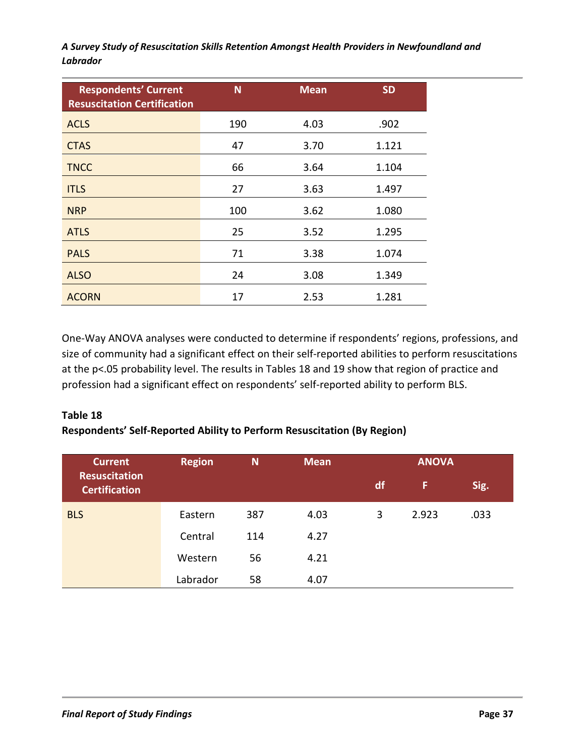| <b>Respondents' Current</b><br><b>Resuscitation Certification</b> | N   | <b>Mean</b> | <b>SD</b> |
|-------------------------------------------------------------------|-----|-------------|-----------|
| <b>ACLS</b>                                                       | 190 | 4.03        | .902      |
| <b>CTAS</b>                                                       | 47  | 3.70        | 1.121     |
| <b>TNCC</b>                                                       | 66  | 3.64        | 1.104     |
| <b>ITLS</b>                                                       | 27  | 3.63        | 1.497     |
| <b>NRP</b>                                                        | 100 | 3.62        | 1.080     |
| <b>ATLS</b>                                                       | 25  | 3.52        | 1.295     |
| <b>PALS</b>                                                       | 71  | 3.38        | 1.074     |
| <b>ALSO</b>                                                       | 24  | 3.08        | 1.349     |
| <b>ACORN</b>                                                      | 17  | 2.53        | 1.281     |

One-Way ANOVA analyses were conducted to determine if respondents' regions, professions, and size of community had a significant effect on their self-reported abilities to perform resuscitations at the p<.05 probability level. The results in Tables 18 and 19 show that region of practice and profession had a significant effect on respondents' self-reported ability to perform BLS.

### **Table 18 Respondents' Self-Reported Ability to Perform Resuscitation (By Region)**

| <b>Current</b>                               | <b>Region</b><br>N<br><b>Mean</b> |     | <b>ANOVA</b> |    |       |      |
|----------------------------------------------|-----------------------------------|-----|--------------|----|-------|------|
| <b>Resuscitation</b><br><b>Certification</b> |                                   |     |              | df | F     | Sig. |
| <b>BLS</b>                                   | Eastern                           | 387 | 4.03         | 3  | 2.923 | .033 |
|                                              | Central                           | 114 | 4.27         |    |       |      |
|                                              | Western                           | 56  | 4.21         |    |       |      |
|                                              | Labrador                          | 58  | 4.07         |    |       |      |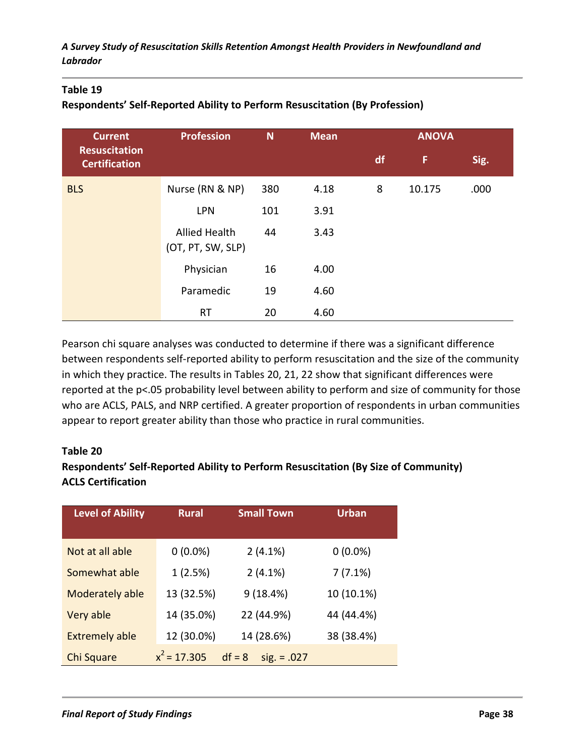### **Table 19**

### **Respondents' Self-Reported Ability to Perform Resuscitation (By Profession)**

| <b>Current</b>                               | <b>Profession</b>                         | N   | <b>Mean</b> |    | <b>ANOVA</b> |      |
|----------------------------------------------|-------------------------------------------|-----|-------------|----|--------------|------|
| <b>Resuscitation</b><br><b>Certification</b> |                                           |     |             | df | F            | Sig. |
| <b>BLS</b>                                   | Nurse (RN & NP)                           | 380 | 4.18        | 8  | 10.175       | .000 |
|                                              | <b>LPN</b>                                | 101 | 3.91        |    |              |      |
|                                              | <b>Allied Health</b><br>(OT, PT, SW, SLP) | 44  | 3.43        |    |              |      |
|                                              | Physician                                 | 16  | 4.00        |    |              |      |
|                                              | Paramedic                                 | 19  | 4.60        |    |              |      |
|                                              | <b>RT</b>                                 | 20  | 4.60        |    |              |      |

Pearson chi square analyses was conducted to determine if there was a significant difference between respondents self-reported ability to perform resuscitation and the size of the community in which they practice. The results in Tables 20, 21, 22 show that significant differences were reported at the p<.05 probability level between ability to perform and size of community for those who are ACLS, PALS, and NRP certified. A greater proportion of respondents in urban communities appear to report greater ability than those who practice in rural communities.

### **Table 20**

# **Respondents' Self-Reported Ability to Perform Resuscitation (By Size of Community) ACLS Certification**

| <b>Level of Ability</b> | <b>Rural</b>   | <b>Small Town</b>         | <b>Urban</b> |
|-------------------------|----------------|---------------------------|--------------|
|                         |                |                           |              |
| Not at all able         | $0(0.0\%)$     | 2(4.1%)                   | $0(0.0\%)$   |
| Somewhat able           | 1(2.5%)        | 2(4.1%)                   | 7(7.1%)      |
| Moderately able         | 13 (32.5%)     | 9(18.4%)                  | 10 (10.1%)   |
| Very able               | 14 (35.0%)     | 22 (44.9%)                | 44 (44.4%)   |
| <b>Extremely able</b>   | 12 (30.0%)     | 14 (28.6%)                | 38 (38.4%)   |
| Chi Square              | $x^2 = 17.305$ | $df = 8$<br>$sig. = .027$ |              |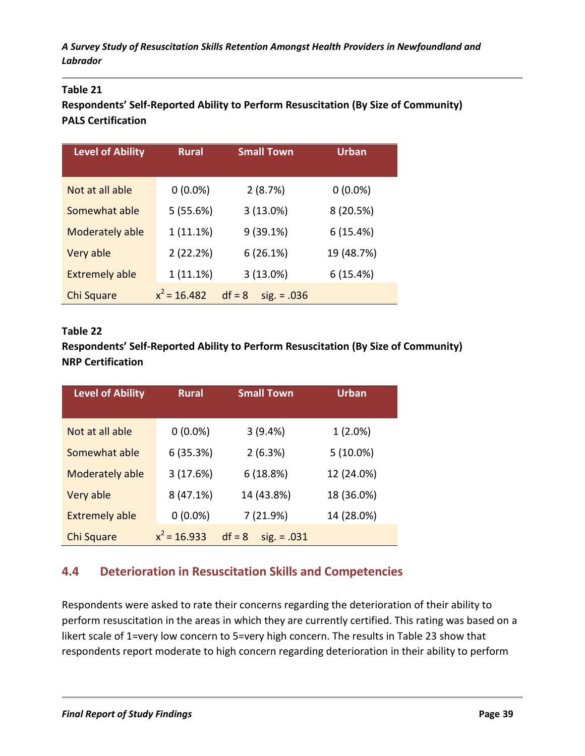### **Table 21**

**Respondents' Self-Reported Ability to Perform Resuscitation (By Size of Community) PALS Certification**

| <b>Level of Ability</b> | <b>Small Town</b><br><b>Rural</b> |                           | <b>Urban</b> |
|-------------------------|-----------------------------------|---------------------------|--------------|
|                         |                                   |                           |              |
| Not at all able         | $0(0.0\%)$                        | 2(8.7%)                   | $0(0.0\%)$   |
| Somewhat able           | 5(55.6%)                          | 3(13.0%)                  | 8 (20.5%)    |
| Moderately able         | 1(11.1%)                          | 9(39.1%)                  | 6(15.4%)     |
| Very able               | 2(22.2%)                          | 6(26.1%)                  | 19 (48.7%)   |
| <b>Extremely able</b>   | 1(11.1%)                          | 3(13.0%)                  | 6(15.4%)     |
| Chi Square              | $x^2$ = 16.482                    | $df = 8$<br>$sig. = .036$ |              |

### **Table 22**

**Respondents' Self-Reported Ability to Perform Resuscitation (By Size of Community) NRP Certification**

| <b>Level of Ability</b> | <b>Small Town</b><br><b>Rural</b> |                           | <b>Urban</b> |  |
|-------------------------|-----------------------------------|---------------------------|--------------|--|
|                         |                                   |                           |              |  |
| Not at all able         | $0(0.0\%)$                        | 3(9.4%)                   | $1(2.0\%)$   |  |
| Somewhat able           | 6(35.3%)                          | 2(6.3%)                   | $5(10.0\%)$  |  |
| Moderately able         | 3(17.6%)                          | 6(18.8%)                  | 12 (24.0%)   |  |
| Very able               | 8(47.1%)                          | 14 (43.8%)                | 18 (36.0%)   |  |
| <b>Extremely able</b>   | $0(0.0\%)$                        | 7 (21.9%)                 | 14 (28.0%)   |  |
| Chi Square              | $x^2$ = 16.933                    | $df = 8$<br>$sig. = .031$ |              |  |

# **4.4 Deterioration in Resuscitation Skills and Competencies**

Respondents were asked to rate their concerns regarding the deterioration of their ability to perform resuscitation in the areas in which they are currently certified. This rating was based on a likert scale of 1=very low concern to 5=very high concern. The results in Table 23 show that respondents report moderate to high concern regarding deterioration in their ability to perform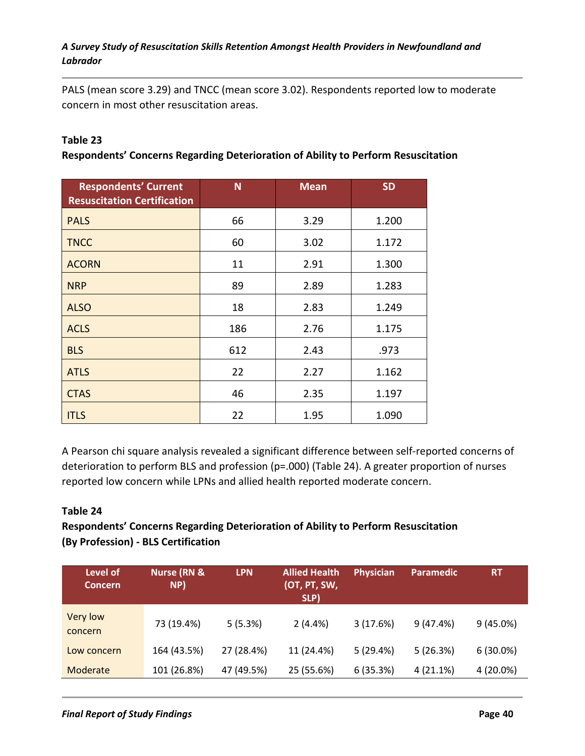PALS (mean score 3.29) and TNCC (mean score 3.02). Respondents reported low to moderate concern in most other resuscitation areas.

### **Table 23**

**Respondents' Concerns Regarding Deterioration of Ability to Perform Resuscitation**

| <b>Respondents' Current</b><br><b>Resuscitation Certification</b> | N   | <b>Mean</b> | <b>SD</b> |
|-------------------------------------------------------------------|-----|-------------|-----------|
| <b>PALS</b>                                                       | 66  | 3.29        | 1.200     |
| <b>TNCC</b>                                                       | 60  | 3.02        | 1.172     |
| <b>ACORN</b>                                                      | 11  | 2.91        | 1.300     |
| <b>NRP</b>                                                        | 89  | 2.89        | 1.283     |
| <b>ALSO</b>                                                       | 18  | 2.83        | 1.249     |
| <b>ACLS</b>                                                       | 186 | 2.76        | 1.175     |
| <b>BLS</b>                                                        | 612 | 2.43        | .973      |
| <b>ATLS</b>                                                       | 22  | 2.27        | 1.162     |
| <b>CTAS</b>                                                       | 46  | 2.35        | 1.197     |
| <b>ITLS</b>                                                       | 22  | 1.95        | 1.090     |

A Pearson chi square analysis revealed a significant difference between self-reported concerns of deterioration to perform BLS and profession (p=.000) (Table 24). A greater proportion of nurses reported low concern while LPNs and allied health reported moderate concern.

#### **Table 24**

### **Respondents' Concerns Regarding Deterioration of Ability to Perform Resuscitation (By Profession) - BLS Certification**

| Level of<br><b>Concern</b> | <b>Nurse (RN &amp;</b><br>NP) | <b>LPN</b> | <b>Allied Health</b><br>(OT, PT, SW,<br>SLP) | <b>Physician</b> | <b>Paramedic</b> | <b>RT</b>   |
|----------------------------|-------------------------------|------------|----------------------------------------------|------------------|------------------|-------------|
| Very low<br>concern        | 73 (19.4%)                    | 5(5.3%)    | 2(4.4%)                                      | 3(17.6%)         | 9(47.4%)         | $9(45.0\%)$ |
| Low concern                | 164 (43.5%)                   | 27 (28.4%) | 11 (24.4%)                                   | 5(29.4%)         | 5(26.3%)         | $6(30.0\%)$ |
| Moderate                   | 101 (26.8%)                   | 47 (49.5%) | 25 (55.6%)                                   | 6(35.3%)         | 4(21.1%)         | 4 (20.0%)   |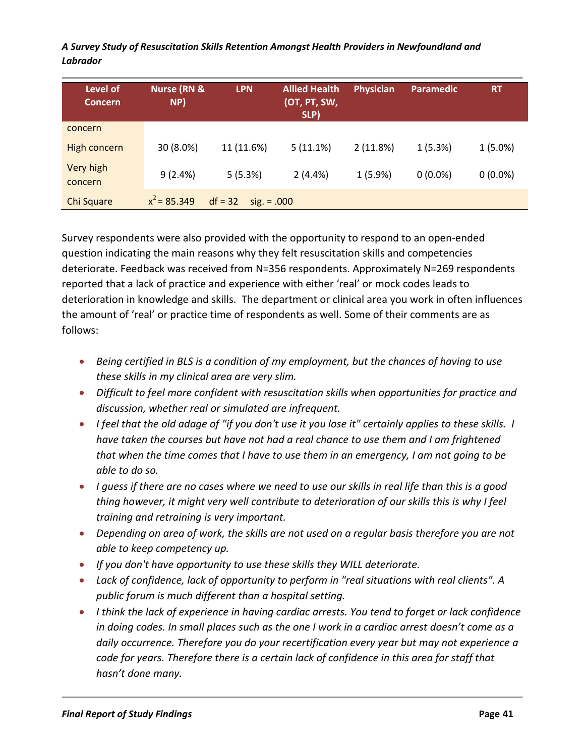| Level of<br><b>Concern</b> | <b>Nurse (RN &amp;</b><br>NP) | <b>LPN</b>                 | <b>Allied Health</b><br>(OT, PT, SW,<br>SLP) | <b>Physician</b> | <b>Paramedic</b> | <b>RT</b>  |
|----------------------------|-------------------------------|----------------------------|----------------------------------------------|------------------|------------------|------------|
| concern                    |                               |                            |                                              |                  |                  |            |
| <b>High concern</b>        | 30 (8.0%)                     | 11 (11.6%)                 | 5(11.1%)                                     | 2(11.8%)         | 1(5.3%)          | $1(5.0\%)$ |
| Very high<br>concern       | 9(2.4%)                       | 5(5.3%)                    | 2(4.4%)                                      | 1(5.9%)          | $0(0.0\%)$       | $0(0.0\%)$ |
| Chi Square                 | $x^2$ = 85.349                | $df = 32$<br>$sig. = .000$ |                                              |                  |                  |            |

Survey respondents were also provided with the opportunity to respond to an open-ended question indicating the main reasons why they felt resuscitation skills and competencies deteriorate. Feedback was received from N=356 respondents. Approximately N=269 respondents reported that a lack of practice and experience with either 'real' or mock codes leads to deterioration in knowledge and skills. The department or clinical area you work in often influences the amount of 'real' or practice time of respondents as well. Some of their comments are as follows:

- *Being certified in BLS is a condition of my employment, but the chances of having to use these skills in my clinical area are very slim.*
- *Difficult to feel more confident with resuscitation skills when opportunities for practice and discussion, whether real or simulated are infrequent.*
- *I feel that the old adage of "if you don't use it you lose it" certainly applies to these skills. I have taken the courses but have not had a real chance to use them and I am frightened that when the time comes that I have to use them in an emergency, I am not going to be able to do so.*
- *I guess if there are no cases where we need to use our skills in real life than this is a good thing however, it might very well contribute to deterioration of our skills this is why I feel training and retraining is very important.*
- *Depending on area of work, the skills are not used on a regular basis therefore you are not able to keep competency up.*
- *If you don't have opportunity to use these skills they WILL deteriorate.*
- *Lack of confidence, lack of opportunity to perform in "real situations with real clients". A public forum is much different than a hospital setting.*
- *I think the lack of experience in having cardiac arrests. You tend to forget or lack confidence in doing codes. In small places such as the one I work in a cardiac arrest doesn't come as a daily occurrence. Therefore you do your recertification every year but may not experience a code for years. Therefore there is a certain lack of confidence in this area for staff that hasn't done many.*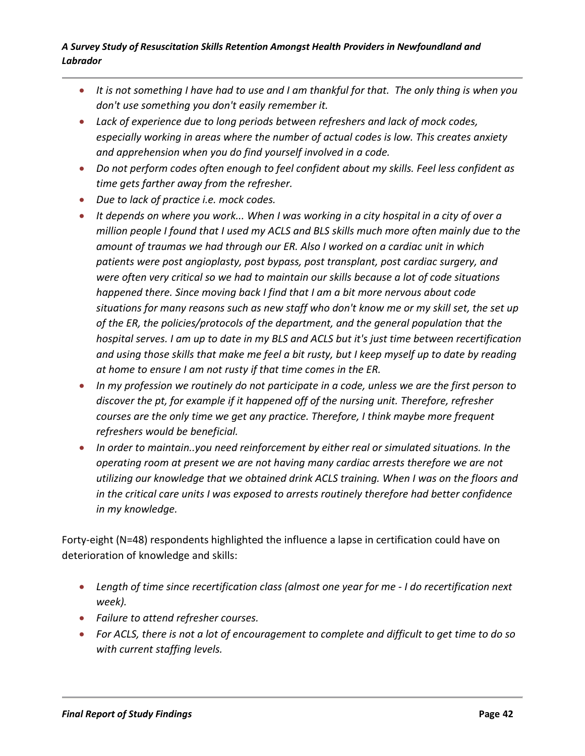- *It is not something I have had to use and I am thankful for that. The only thing is when you don't use something you don't easily remember it.*
- *Lack of experience due to long periods between refreshers and lack of mock codes, especially working in areas where the number of actual codes is low. This creates anxiety and apprehension when you do find yourself involved in a code.*
- *Do not perform codes often enough to feel confident about my skills. Feel less confident as time gets farther away from the refresher.*
- *Due to lack of practice i.e. mock codes.*
- *It depends on where you work... When I was working in a city hospital in a city of over a million people I found that I used my ACLS and BLS skills much more often mainly due to the amount of traumas we had through our ER. Also I worked on a cardiac unit in which patients were post angioplasty, post bypass, post transplant, post cardiac surgery, and were often very critical so we had to maintain our skills because a lot of code situations happened there. Since moving back I find that I am a bit more nervous about code situations for many reasons such as new staff who don't know me or my skill set, the set up of the ER, the policies/protocols of the department, and the general population that the hospital serves. I am up to date in my BLS and ACLS but it's just time between recertification and using those skills that make me feel a bit rusty, but I keep myself up to date by reading at home to ensure I am not rusty if that time comes in the ER.*
- *In my profession we routinely do not participate in a code, unless we are the first person to discover the pt, for example if it happened off of the nursing unit. Therefore, refresher courses are the only time we get any practice. Therefore, I think maybe more frequent refreshers would be beneficial.*
- *In order to maintain..you need reinforcement by either real or simulated situations. In the operating room at present we are not having many cardiac arrests therefore we are not utilizing our knowledge that we obtained drink ACLS training. When I was on the floors and in the critical care units I was exposed to arrests routinely therefore had better confidence in my knowledge.*

Forty-eight (N=48) respondents highlighted the influence a lapse in certification could have on deterioration of knowledge and skills:

- *Length of time since recertification class (almost one year for me - I do recertification next week).*
- *Failure to attend refresher courses.*
- *For ACLS, there is not a lot of encouragement to complete and difficult to get time to do so with current staffing levels.*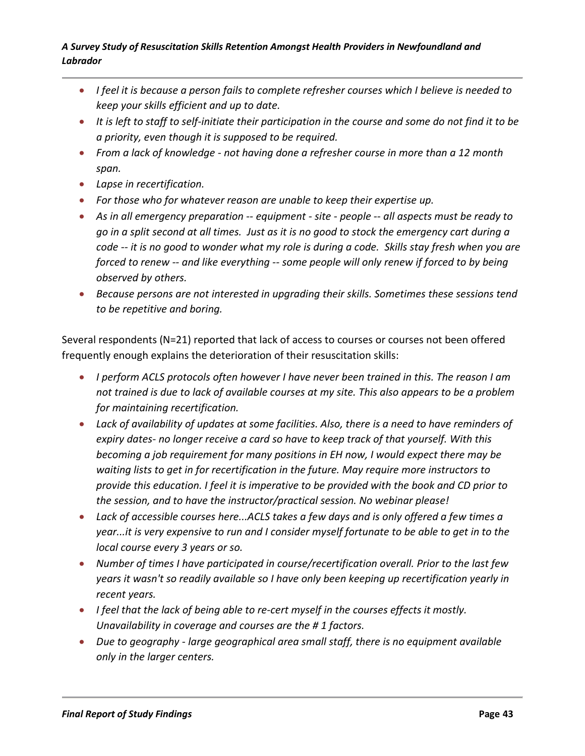- *I feel it is because a person fails to complete refresher courses which I believe is needed to keep your skills efficient and up to date.*
- *It is left to staff to self-initiate their participation in the course and some do not find it to be a priority, even though it is supposed to be required.*
- *From a lack of knowledge - not having done a refresher course in more than a 12 month span.*
- *Lapse in recertification.*
- *For those who for whatever reason are unable to keep their expertise up.*
- *As in all emergency preparation -- equipment - site - people -- all aspects must be ready to go in a split second at all times. Just as it is no good to stock the emergency cart during a code -- it is no good to wonder what my role is during a code. Skills stay fresh when you are forced to renew -- and like everything -- some people will only renew if forced to by being observed by others.*
- *Because persons are not interested in upgrading their skills. Sometimes these sessions tend to be repetitive and boring.*

Several respondents (N=21) reported that lack of access to courses or courses not been offered frequently enough explains the deterioration of their resuscitation skills:

- *I perform ACLS protocols often however I have never been trained in this. The reason I am not trained is due to lack of available courses at my site. This also appears to be a problem for maintaining recertification.*
- *Lack of availability of updates at some facilities. Also, there is a need to have reminders of expiry dates- no longer receive a card so have to keep track of that yourself. With this becoming a job requirement for many positions in EH now, I would expect there may be waiting lists to get in for recertification in the future. May require more instructors to provide this education. I feel it is imperative to be provided with the book and CD prior to the session, and to have the instructor/practical session. No webinar please!*
- *Lack of accessible courses here...ACLS takes a few days and is only offered a few times a year...it is very expensive to run and I consider myself fortunate to be able to get in to the local course every 3 years or so.*
- *Number of times I have participated in course/recertification overall. Prior to the last few years it wasn't so readily available so I have only been keeping up recertification yearly in recent years.*
- *I feel that the lack of being able to re-cert myself in the courses effects it mostly. Unavailability in coverage and courses are the # 1 factors.*
- *Due to geography - large geographical area small staff, there is no equipment available only in the larger centers.*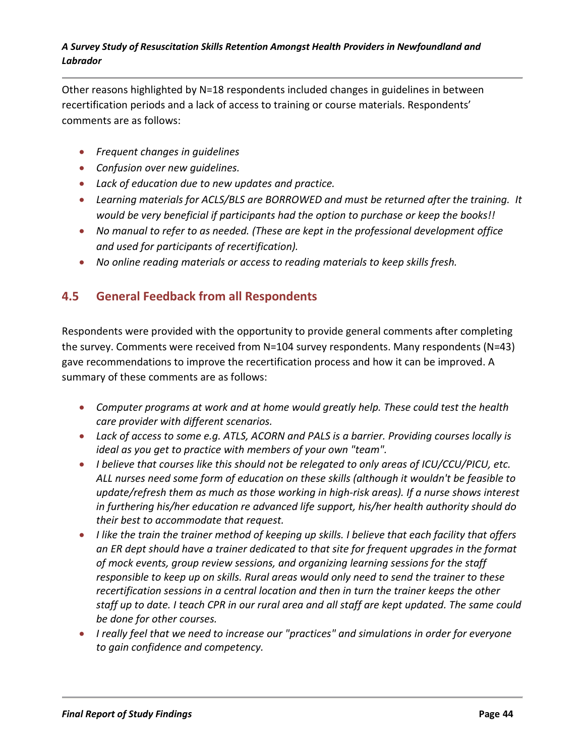Other reasons highlighted by N=18 respondents included changes in guidelines in between recertification periods and a lack of access to training or course materials. Respondents' comments are as follows:

- *Frequent changes in guidelines*
- *Confusion over new guidelines.*
- *Lack of education due to new updates and practice.*
- *Learning materials for ACLS/BLS are BORROWED and must be returned after the training. It would be very beneficial if participants had the option to purchase or keep the books!!*
- *No manual to refer to as needed. (These are kept in the professional development office and used for participants of recertification).*
- *No online reading materials or access to reading materials to keep skills fresh.*

# **4.5 General Feedback from all Respondents**

Respondents were provided with the opportunity to provide general comments after completing the survey. Comments were received from N=104 survey respondents. Many respondents (N=43) gave recommendations to improve the recertification process and how it can be improved. A summary of these comments are as follows:

- *Computer programs at work and at home would greatly help. These could test the health care provider with different scenarios.*
- *Lack of access to some e.g. ATLS, ACORN and PALS is a barrier. Providing courses locally is ideal as you get to practice with members of your own "team".*
- *I believe that courses like this should not be relegated to only areas of ICU/CCU/PICU, etc. ALL nurses need some form of education on these skills (although it wouldn't be feasible to update/refresh them as much as those working in high-risk areas). If a nurse shows interest in furthering his/her education re advanced life support, his/her health authority should do their best to accommodate that request.*
- *I like the train the trainer method of keeping up skills. I believe that each facility that offers an ER dept should have a trainer dedicated to that site for frequent upgrades in the format of mock events, group review sessions, and organizing learning sessions for the staff responsible to keep up on skills. Rural areas would only need to send the trainer to these recertification sessions in a central location and then in turn the trainer keeps the other staff up to date. I teach CPR in our rural area and all staff are kept updated. The same could be done for other courses.*
- *I really feel that we need to increase our "practices" and simulations in order for everyone to gain confidence and competency.*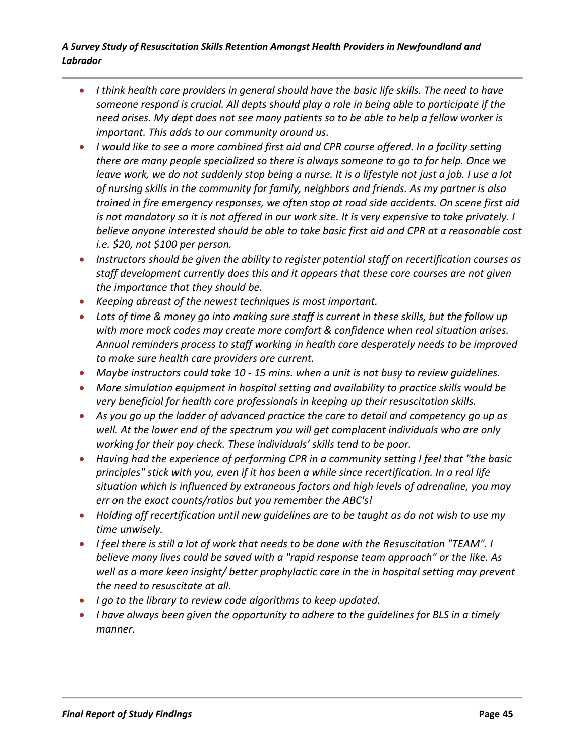- *I think health care providers in general should have the basic life skills. The need to have someone respond is crucial. All depts should play a role in being able to participate if the need arises. My dept does not see many patients so to be able to help a fellow worker is important. This adds to our community around us.*
- *I would like to see a more combined first aid and CPR course offered. In a facility setting there are many people specialized so there is always someone to go to for help. Once we leave work, we do not suddenly stop being a nurse. It is a lifestyle not just a job. I use a lot of nursing skills in the community for family, neighbors and friends. As my partner is also trained in fire emergency responses, we often stop at road side accidents. On scene first aid is not mandatory so it is not offered in our work site. It is very expensive to take privately. I believe anyone interested should be able to take basic first aid and CPR at a reasonable cost i.e. \$20, not \$100 per person.*
- *Instructors should be given the ability to register potential staff on recertification courses as staff development currently does this and it appears that these core courses are not given the importance that they should be.*
- *Keeping abreast of the newest techniques is most important.*
- *Lots of time & money go into making sure staff is current in these skills, but the follow up with more mock codes may create more comfort & confidence when real situation arises. Annual reminders process to staff working in health care desperately needs to be improved to make sure health care providers are current.*
- *Maybe instructors could take 10 - 15 mins. when a unit is not busy to review guidelines.*
- *More simulation equipment in hospital setting and availability to practice skills would be very beneficial for health care professionals in keeping up their resuscitation skills.*
- *As you go up the ladder of advanced practice the care to detail and competency go up as well. At the lower end of the spectrum you will get complacent individuals who are only working for their pay check. These individuals' skills tend to be poor.*
- *Having had the experience of performing CPR in a community setting I feel that "the basic principles" stick with you, even if it has been a while since recertification. In a real life situation which is influenced by extraneous factors and high levels of adrenaline, you may err on the exact counts/ratios but you remember the ABC's!*
- *Holding off recertification until new guidelines are to be taught as do not wish to use my time unwisely.*
- *I feel there is still a lot of work that needs to be done with the Resuscitation "TEAM". I believe many lives could be saved with a "rapid response team approach" or the like. As well as a more keen insight/ better prophylactic care in the in hospital setting may prevent the need to resuscitate at all.*
- *I go to the library to review code algorithms to keep updated.*
- *I have always been given the opportunity to adhere to the guidelines for BLS in a timely manner.*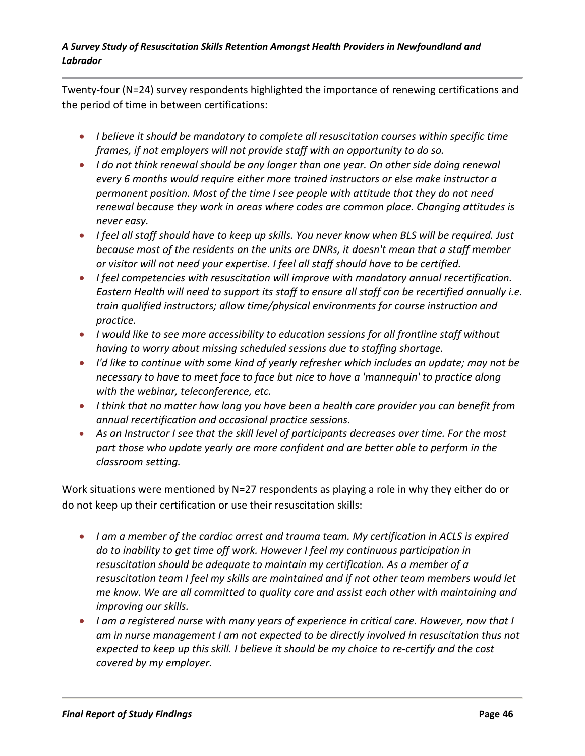Twenty-four (N=24) survey respondents highlighted the importance of renewing certifications and the period of time in between certifications:

- *I believe it should be mandatory to complete all resuscitation courses within specific time frames, if not employers will not provide staff with an opportunity to do so.*
- *I do not think renewal should be any longer than one year. On other side doing renewal every 6 months would require either more trained instructors or else make instructor a permanent position. Most of the time I see people with attitude that they do not need renewal because they work in areas where codes are common place. Changing attitudes is never easy.*
- *I feel all staff should have to keep up skills. You never know when BLS will be required. Just because most of the residents on the units are DNRs, it doesn't mean that a staff member or visitor will not need your expertise. I feel all staff should have to be certified.*
- *I feel competencies with resuscitation will improve with mandatory annual recertification. Eastern Health will need to support its staff to ensure all staff can be recertified annually i.e. train qualified instructors; allow time/physical environments for course instruction and practice.*
- *I would like to see more accessibility to education sessions for all frontline staff without having to worry about missing scheduled sessions due to staffing shortage.*
- *I'd like to continue with some kind of yearly refresher which includes an update; may not be necessary to have to meet face to face but nice to have a 'mannequin' to practice along with the webinar, teleconference, etc.*
- *I think that no matter how long you have been a health care provider you can benefit from annual recertification and occasional practice sessions.*
- *As an Instructor I see that the skill level of participants decreases over time. For the most part those who update yearly are more confident and are better able to perform in the classroom setting.*

Work situations were mentioned by N=27 respondents as playing a role in why they either do or do not keep up their certification or use their resuscitation skills:

- *I am a member of the cardiac arrest and trauma team. My certification in ACLS is expired do to inability to get time off work. However I feel my continuous participation in resuscitation should be adequate to maintain my certification. As a member of a resuscitation team I feel my skills are maintained and if not other team members would let me know. We are all committed to quality care and assist each other with maintaining and improving our skills.*
- *I am a registered nurse with many years of experience in critical care. However, now that I am in nurse management I am not expected to be directly involved in resuscitation thus not expected to keep up this skill. I believe it should be my choice to re-certify and the cost covered by my employer.*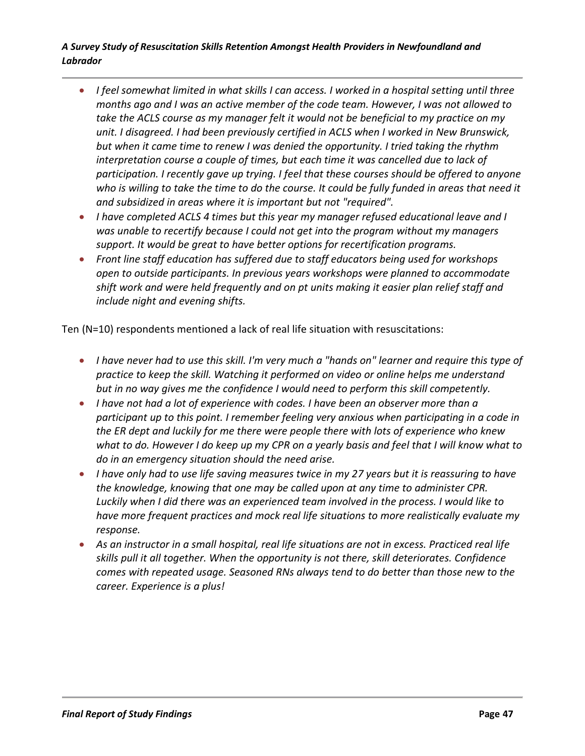- *I feel somewhat limited in what skills I can access. I worked in a hospital setting until three months ago and I was an active member of the code team. However, I was not allowed to take the ACLS course as my manager felt it would not be beneficial to my practice on my unit. I disagreed. I had been previously certified in ACLS when I worked in New Brunswick, but when it came time to renew I was denied the opportunity. I tried taking the rhythm interpretation course a couple of times, but each time it was cancelled due to lack of participation. I recently gave up trying. I feel that these courses should be offered to anyone who is willing to take the time to do the course. It could be fully funded in areas that need it and subsidized in areas where it is important but not "required".*
- *I have completed ACLS 4 times but this year my manager refused educational leave and I was unable to recertify because I could not get into the program without my managers support. It would be great to have better options for recertification programs.*
- *Front line staff education has suffered due to staff educators being used for workshops open to outside participants. In previous years workshops were planned to accommodate shift work and were held frequently and on pt units making it easier plan relief staff and include night and evening shifts.*

Ten (N=10) respondents mentioned a lack of real life situation with resuscitations:

- *I have never had to use this skill. I'm very much a "hands on" learner and require this type of practice to keep the skill. Watching it performed on video or online helps me understand but in no way gives me the confidence I would need to perform this skill competently.*
- *I have not had a lot of experience with codes. I have been an observer more than a participant up to this point. I remember feeling very anxious when participating in a code in the ER dept and luckily for me there were people there with lots of experience who knew what to do. However I do keep up my CPR on a yearly basis and feel that I will know what to do in an emergency situation should the need arise.*
- *I have only had to use life saving measures twice in my 27 years but it is reassuring to have the knowledge, knowing that one may be called upon at any time to administer CPR. Luckily when I did there was an experienced team involved in the process. I would like to have more frequent practices and mock real life situations to more realistically evaluate my response.*
- *As an instructor in a small hospital, real life situations are not in excess. Practiced real life skills pull it all together. When the opportunity is not there, skill deteriorates. Confidence comes with repeated usage. Seasoned RNs always tend to do better than those new to the career. Experience is a plus!*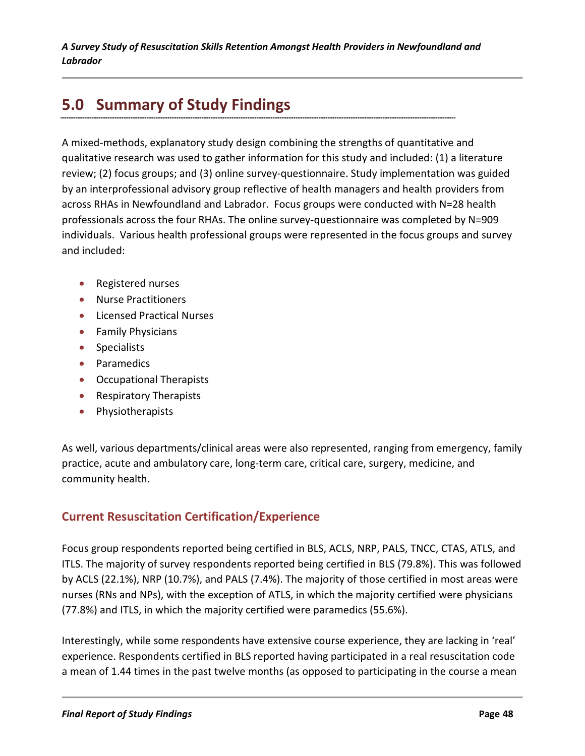# **5.0 Summary of Study Findings**

A mixed-methods, explanatory study design combining the strengths of quantitative and qualitative research was used to gather information for this study and included: (1) a literature review; (2) focus groups; and (3) online survey-questionnaire. Study implementation was guided by an interprofessional advisory group reflective of health managers and health providers from across RHAs in Newfoundland and Labrador. Focus groups were conducted with N=28 health professionals across the four RHAs. The online survey-questionnaire was completed by N=909 individuals. Various health professional groups were represented in the focus groups and survey and included:

- Registered nurses
- Nurse Practitioners
- Licensed Practical Nurses
- Family Physicians
- Specialists
- Paramedics
- Occupational Therapists
- Respiratory Therapists
- Physiotherapists

As well, various departments/clinical areas were also represented, ranging from emergency, family practice, acute and ambulatory care, long-term care, critical care, surgery, medicine, and community health.

# **Current Resuscitation Certification/Experience**

Focus group respondents reported being certified in BLS, ACLS, NRP, PALS, TNCC, CTAS, ATLS, and ITLS. The majority of survey respondents reported being certified in BLS (79.8%). This was followed by ACLS (22.1%), NRP (10.7%), and PALS (7.4%). The majority of those certified in most areas were nurses (RNs and NPs), with the exception of ATLS, in which the majority certified were physicians (77.8%) and ITLS, in which the majority certified were paramedics (55.6%).

Interestingly, while some respondents have extensive course experience, they are lacking in 'real' experience. Respondents certified in BLS reported having participated in a real resuscitation code a mean of 1.44 times in the past twelve months (as opposed to participating in the course a mean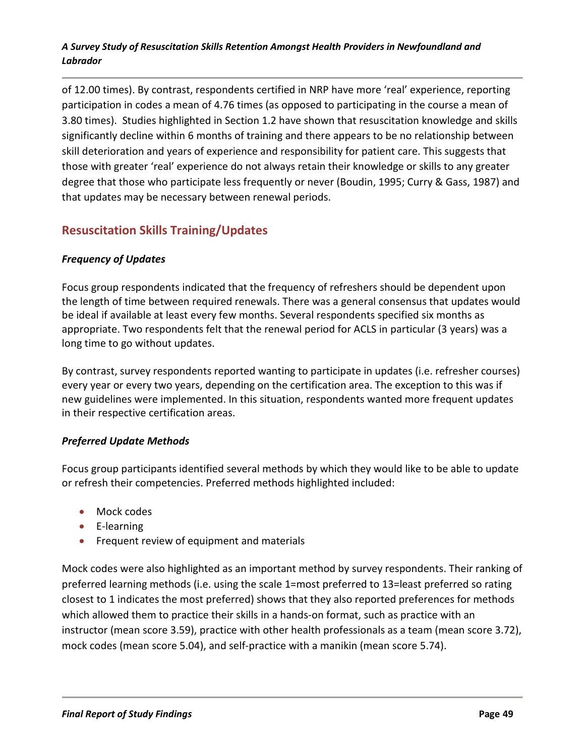of 12.00 times). By contrast, respondents certified in NRP have more 'real' experience, reporting participation in codes a mean of 4.76 times (as opposed to participating in the course a mean of 3.80 times). Studies highlighted in Section 1.2 have shown that resuscitation knowledge and skills significantly decline within 6 months of training and there appears to be no relationship between skill deterioration and years of experience and responsibility for patient care. This suggests that those with greater 'real' experience do not always retain their knowledge or skills to any greater degree that those who participate less frequently or never (Boudin, 1995; Curry & Gass, 1987) and that updates may be necessary between renewal periods.

# **Resuscitation Skills Training/Updates**

### *Frequency of Updates*

Focus group respondents indicated that the frequency of refreshers should be dependent upon the length of time between required renewals. There was a general consensus that updates would be ideal if available at least every few months. Several respondents specified six months as appropriate. Two respondents felt that the renewal period for ACLS in particular (3 years) was a long time to go without updates.

By contrast, survey respondents reported wanting to participate in updates (i.e. refresher courses) every year or every two years, depending on the certification area. The exception to this was if new guidelines were implemented. In this situation, respondents wanted more frequent updates in their respective certification areas.

### *Preferred Update Methods*

Focus group participants identified several methods by which they would like to be able to update or refresh their competencies. Preferred methods highlighted included:

- Mock codes
- E-learning
- Frequent review of equipment and materials

Mock codes were also highlighted as an important method by survey respondents. Their ranking of preferred learning methods (i.e. using the scale 1=most preferred to 13=least preferred so rating closest to 1 indicates the most preferred) shows that they also reported preferences for methods which allowed them to practice their skills in a hands-on format, such as practice with an instructor (mean score 3.59), practice with other health professionals as a team (mean score 3.72), mock codes (mean score 5.04), and self-practice with a manikin (mean score 5.74).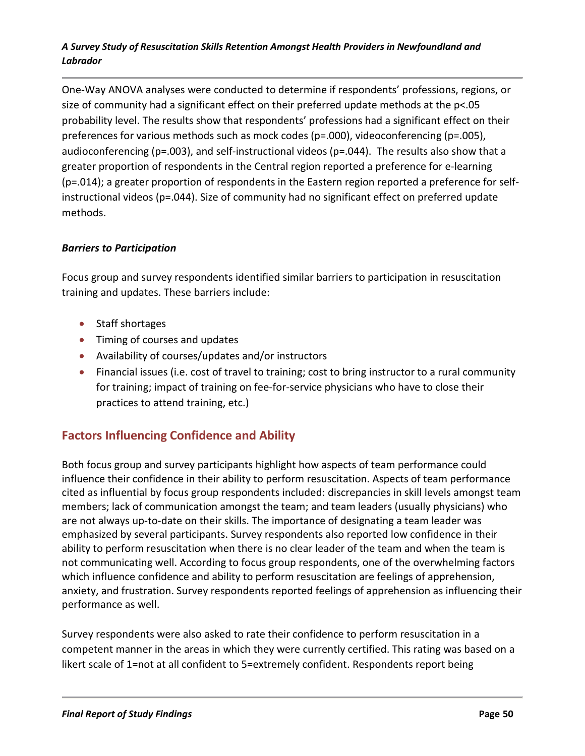One-Way ANOVA analyses were conducted to determine if respondents' professions, regions, or size of community had a significant effect on their preferred update methods at the p<.05 probability level. The results show that respondents' professions had a significant effect on their preferences for various methods such as mock codes (p=.000), videoconferencing (p=.005), audioconferencing (p=.003), and self-instructional videos (p=.044). The results also show that a greater proportion of respondents in the Central region reported a preference for e-learning (p=.014); a greater proportion of respondents in the Eastern region reported a preference for selfinstructional videos (p=.044). Size of community had no significant effect on preferred update methods.

### *Barriers to Participation*

Focus group and survey respondents identified similar barriers to participation in resuscitation training and updates. These barriers include:

- Staff shortages
- Timing of courses and updates
- Availability of courses/updates and/or instructors
- Financial issues (i.e. cost of travel to training; cost to bring instructor to a rural community for training; impact of training on fee-for-service physicians who have to close their practices to attend training, etc.)

# **Factors Influencing Confidence and Ability**

Both focus group and survey participants highlight how aspects of team performance could influence their confidence in their ability to perform resuscitation. Aspects of team performance cited as influential by focus group respondents included: discrepancies in skill levels amongst team members; lack of communication amongst the team; and team leaders (usually physicians) who are not always up-to-date on their skills. The importance of designating a team leader was emphasized by several participants. Survey respondents also reported low confidence in their ability to perform resuscitation when there is no clear leader of the team and when the team is not communicating well. According to focus group respondents, one of the overwhelming factors which influence confidence and ability to perform resuscitation are feelings of apprehension, anxiety, and frustration. Survey respondents reported feelings of apprehension as influencing their performance as well.

Survey respondents were also asked to rate their confidence to perform resuscitation in a competent manner in the areas in which they were currently certified. This rating was based on a likert scale of 1=not at all confident to 5=extremely confident. Respondents report being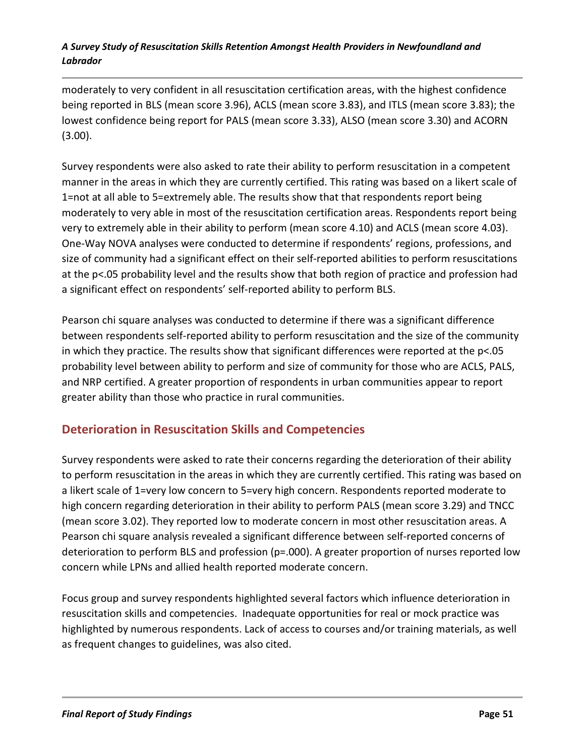moderately to very confident in all resuscitation certification areas, with the highest confidence being reported in BLS (mean score 3.96), ACLS (mean score 3.83), and ITLS (mean score 3.83); the lowest confidence being report for PALS (mean score 3.33), ALSO (mean score 3.30) and ACORN (3.00).

Survey respondents were also asked to rate their ability to perform resuscitation in a competent manner in the areas in which they are currently certified. This rating was based on a likert scale of 1=not at all able to 5=extremely able. The results show that that respondents report being moderately to very able in most of the resuscitation certification areas. Respondents report being very to extremely able in their ability to perform (mean score 4.10) and ACLS (mean score 4.03). One-Way NOVA analyses were conducted to determine if respondents' regions, professions, and size of community had a significant effect on their self-reported abilities to perform resuscitations at the p<.05 probability level and the results show that both region of practice and profession had a significant effect on respondents' self-reported ability to perform BLS.

Pearson chi square analyses was conducted to determine if there was a significant difference between respondents self-reported ability to perform resuscitation and the size of the community in which they practice. The results show that significant differences were reported at the p<.05 probability level between ability to perform and size of community for those who are ACLS, PALS, and NRP certified. A greater proportion of respondents in urban communities appear to report greater ability than those who practice in rural communities.

# **Deterioration in Resuscitation Skills and Competencies**

Survey respondents were asked to rate their concerns regarding the deterioration of their ability to perform resuscitation in the areas in which they are currently certified. This rating was based on a likert scale of 1=very low concern to 5=very high concern. Respondents reported moderate to high concern regarding deterioration in their ability to perform PALS (mean score 3.29) and TNCC (mean score 3.02). They reported low to moderate concern in most other resuscitation areas. A Pearson chi square analysis revealed a significant difference between self-reported concerns of deterioration to perform BLS and profession (p=.000). A greater proportion of nurses reported low concern while LPNs and allied health reported moderate concern.

Focus group and survey respondents highlighted several factors which influence deterioration in resuscitation skills and competencies. Inadequate opportunities for real or mock practice was highlighted by numerous respondents. Lack of access to courses and/or training materials, as well as frequent changes to guidelines, was also cited.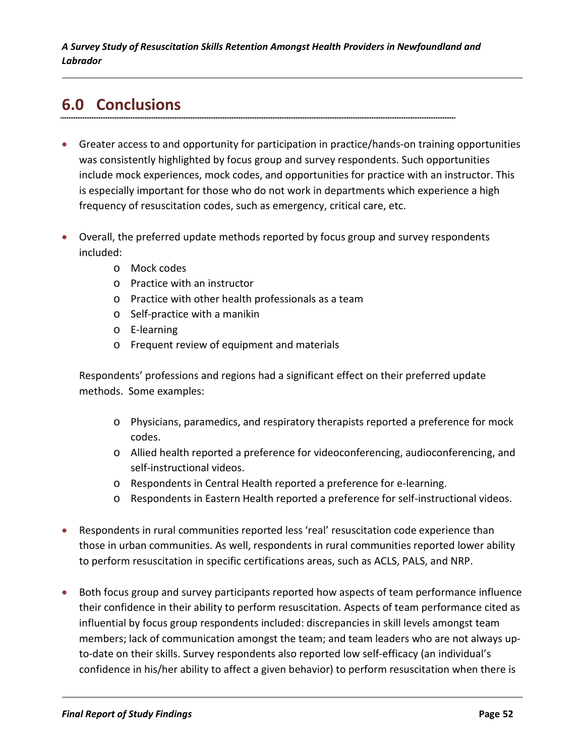# **6.0 Conclusions**

- Greater access to and opportunity for participation in practice/hands-on training opportunities was consistently highlighted by focus group and survey respondents. Such opportunities include mock experiences, mock codes, and opportunities for practice with an instructor. This is especially important for those who do not work in departments which experience a high frequency of resuscitation codes, such as emergency, critical care, etc.
- Overall, the preferred update methods reported by focus group and survey respondents included:
	- o Mock codes
	- o Practice with an instructor
	- o Practice with other health professionals as a team
	- o Self-practice with a manikin
	- o E-learning
	- o Frequent review of equipment and materials

Respondents' professions and regions had a significant effect on their preferred update methods. Some examples:

- o Physicians, paramedics, and respiratory therapists reported a preference for mock codes.
- o Allied health reported a preference for videoconferencing, audioconferencing, and self-instructional videos.
- o Respondents in Central Health reported a preference for e-learning.
- o Respondents in Eastern Health reported a preference for self-instructional videos.
- Respondents in rural communities reported less 'real' resuscitation code experience than those in urban communities. As well, respondents in rural communities reported lower ability to perform resuscitation in specific certifications areas, such as ACLS, PALS, and NRP.
- Both focus group and survey participants reported how aspects of team performance influence their confidence in their ability to perform resuscitation. Aspects of team performance cited as influential by focus group respondents included: discrepancies in skill levels amongst team members; lack of communication amongst the team; and team leaders who are not always upto-date on their skills. Survey respondents also reported low self-efficacy (an individual's confidence in his/her ability to affect a given behavior) to perform resuscitation when there is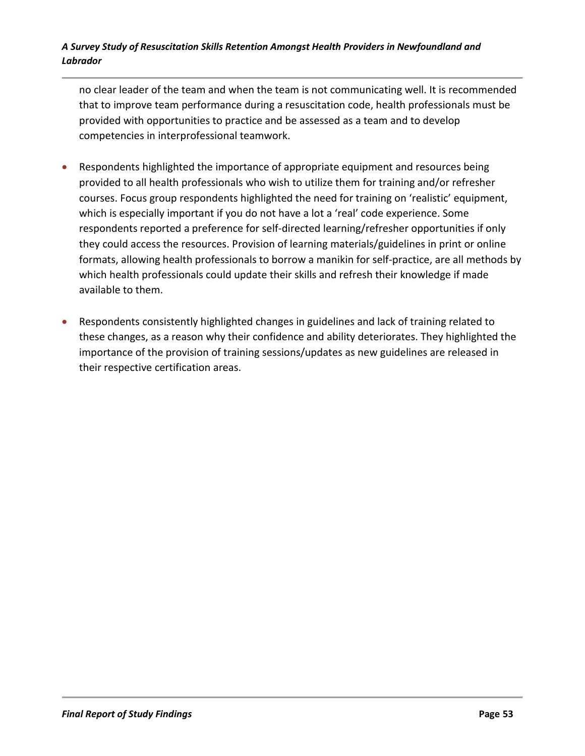no clear leader of the team and when the team is not communicating well. It is recommended that to improve team performance during a resuscitation code, health professionals must be provided with opportunities to practice and be assessed as a team and to develop competencies in interprofessional teamwork.

- Respondents highlighted the importance of appropriate equipment and resources being provided to all health professionals who wish to utilize them for training and/or refresher courses. Focus group respondents highlighted the need for training on 'realistic' equipment, which is especially important if you do not have a lot a 'real' code experience. Some respondents reported a preference for self-directed learning/refresher opportunities if only they could access the resources. Provision of learning materials/guidelines in print or online formats, allowing health professionals to borrow a manikin for self-practice, are all methods by which health professionals could update their skills and refresh their knowledge if made available to them.
- Respondents consistently highlighted changes in guidelines and lack of training related to these changes, as a reason why their confidence and ability deteriorates. They highlighted the importance of the provision of training sessions/updates as new guidelines are released in their respective certification areas.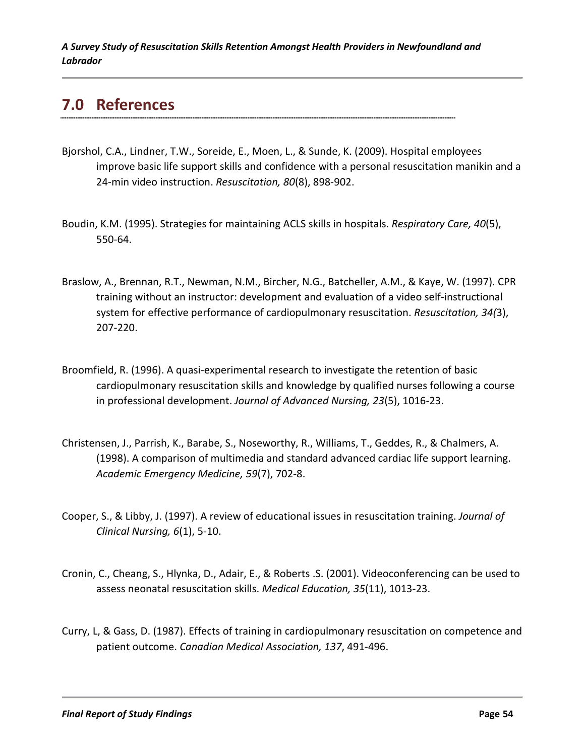# **7.0 References**

- Bjorshol, C.A., Lindner, T.W., Soreide, E., Moen, L., & Sunde, K. (2009). Hospital employees improve basic life support skills and confidence with a personal resuscitation manikin and a 24-min video instruction. *Resuscitation, 80*(8), 898-902.
- Boudin, K.M. (1995). Strategies for maintaining ACLS skills in hospitals. *Respiratory Care, 40*(5), 550-64.
- Braslow, A., Brennan, R.T., Newman, N.M., Bircher, N.G., Batcheller, A.M., & Kaye, W. (1997). CPR training without an instructor: development and evaluation of a video self-instructional system for effective performance of cardiopulmonary resuscitation. *Resuscitation, 34(*3), 207-220.
- Broomfield, R. (1996). A quasi-experimental research to investigate the retention of basic cardiopulmonary resuscitation skills and knowledge by qualified nurses following a course in professional development. *Journal of Advanced Nursing, 23*(5), 1016-23.
- Christensen, J., Parrish, K., Barabe, S., Noseworthy, R., Williams, T., Geddes, R., & Chalmers, A. (1998). A comparison of multimedia and standard advanced cardiac life support learning. *Academic Emergency Medicine, 59*(7), 702-8.
- Cooper, S., & Libby, J. (1997). A review of educational issues in resuscitation training. *Journal of Clinical Nursing, 6*(1), 5-10.
- Cronin, C., Cheang, S., Hlynka, D., Adair, E., & Roberts .S. (2001). Videoconferencing can be used to assess neonatal resuscitation skills. *Medical Education, 35*(11), 1013-23.
- Curry, L, & Gass, D. (1987). Effects of training in cardiopulmonary resuscitation on competence and patient outcome. *Canadian Medical Association, 137*, 491-496.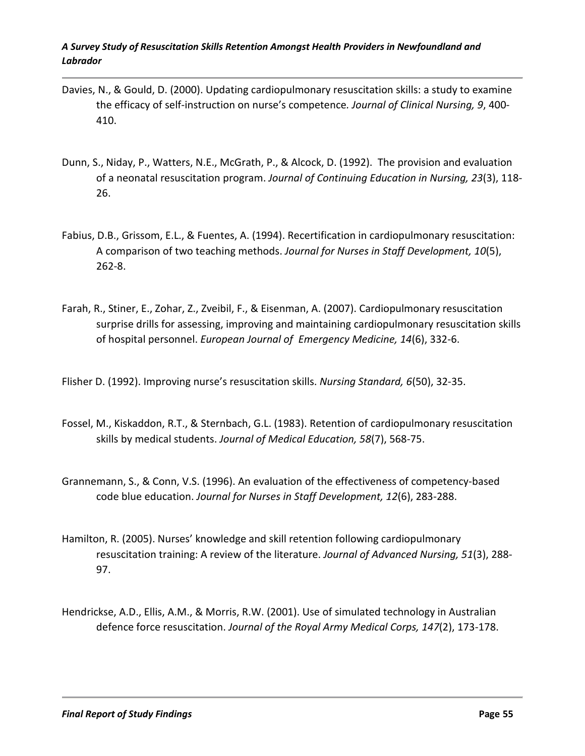- Davies, N., & Gould, D. (2000). Updating cardiopulmonary resuscitation skills: a study to examine the efficacy of self-instruction on nurse's competence*. Journal of Clinical Nursing, 9*, 400- 410.
- Dunn, S., Niday, P., Watters, N.E., McGrath, P., & Alcock, D. (1992). The provision and evaluation of a neonatal resuscitation program. *Journal of Continuing Education in Nursing, 23*(3), 118- 26.
- Fabius, D.B., Grissom, E.L., & Fuentes, A. (1994). Recertification in cardiopulmonary resuscitation: A comparison of two teaching methods. *Journal for Nurses in Staff Development, 10*(5), 262-8.
- Farah, R., Stiner, E., Zohar, Z., Zveibil, F., & Eisenman, A. (2007). Cardiopulmonary resuscitation surprise drills for assessing, improving and maintaining cardiopulmonary resuscitation skills of hospital personnel. *European Journal of Emergency Medicine, 14*(6), 332-6.

Flisher D. (1992). Improving nurse's resuscitation skills. *Nursing Standard, 6*(50), 32-35.

- Fossel, M., Kiskaddon, R.T., & Sternbach, G.L. (1983). Retention of cardiopulmonary resuscitation skills by medical students. *Journal of Medical Education, 58*(7), 568-75.
- Grannemann, S., & Conn, V.S. (1996). An evaluation of the effectiveness of competency-based code blue education. *Journal for Nurses in Staff Development, 12*(6), 283-288.
- Hamilton, R. (2005). Nurses' knowledge and skill retention following cardiopulmonary resuscitation training: A review of the literature. *Journal of Advanced Nursing, 51*(3), 288- 97.
- Hendrickse, A.D., Ellis, A.M., & Morris, R.W. (2001). Use of simulated technology in Australian defence force resuscitation. *Journal of the Royal Army Medical Corps, 147*(2), 173-178.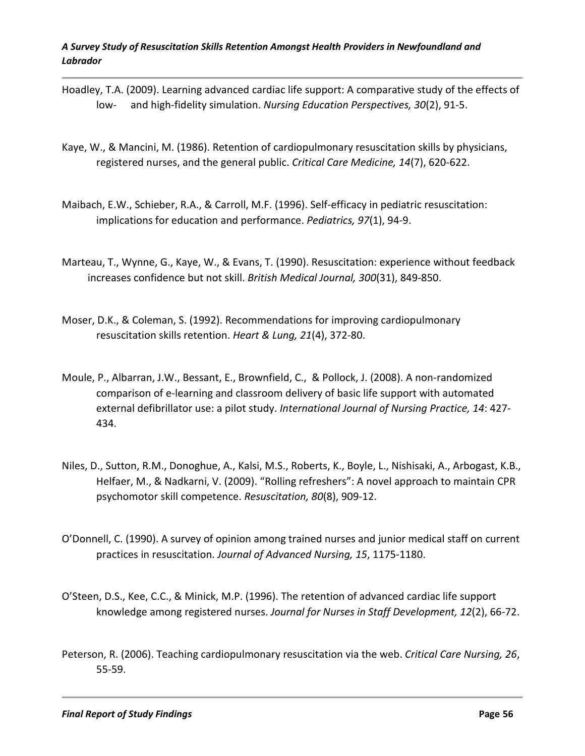- Hoadley, T.A. (2009). Learning advanced cardiac life support: A comparative study of the effects of low- and high-fidelity simulation. *Nursing Education Perspectives, 30*(2), 91-5.
- Kaye, W., & Mancini, M. (1986). Retention of cardiopulmonary resuscitation skills by physicians, registered nurses, and the general public. *Critical Care Medicine, 14*(7), 620-622.
- Maibach, E.W., Schieber, R.A., & Carroll, M.F. (1996). Self-efficacy in pediatric resuscitation: implications for education and performance. *Pediatrics, 97*(1), 94-9.
- Marteau, T., Wynne, G., Kaye, W., & Evans, T. (1990). Resuscitation: experience without feedback increases confidence but not skill. *British Medical Journal, 300*(31), 849-850.
- Moser, D.K., & Coleman, S. (1992). Recommendations for improving cardiopulmonary resuscitation skills retention. *Heart & Lung, 21*(4), 372-80.
- Moule, P., Albarran, J.W., Bessant, E., Brownfield, C., & Pollock, J. (2008). A non-randomized comparison of e-learning and classroom delivery of basic life support with automated external defibrillator use: a pilot study. *International Journal of Nursing Practice, 14*: 427- 434.
- Niles, D., Sutton, R.M., Donoghue, A., Kalsi, M.S., Roberts, K., Boyle, L., Nishisaki, A., Arbogast, K.B., Helfaer, M., & Nadkarni, V. (2009). "Rolling refreshers": A novel approach to maintain CPR psychomotor skill competence. *Resuscitation, 80*(8), 909-12.
- O'Donnell, C. (1990). A survey of opinion among trained nurses and junior medical staff on current practices in resuscitation. *Journal of Advanced Nursing, 15*, 1175-1180.
- O'Steen, D.S., Kee, C.C., & Minick, M.P. (1996). The retention of advanced cardiac life support knowledge among registered nurses. *Journal for Nurses in Staff Development, 12*(2), 66-72.
- Peterson, R. (2006). Teaching cardiopulmonary resuscitation via the web. *Critical Care Nursing, 26*, 55-59.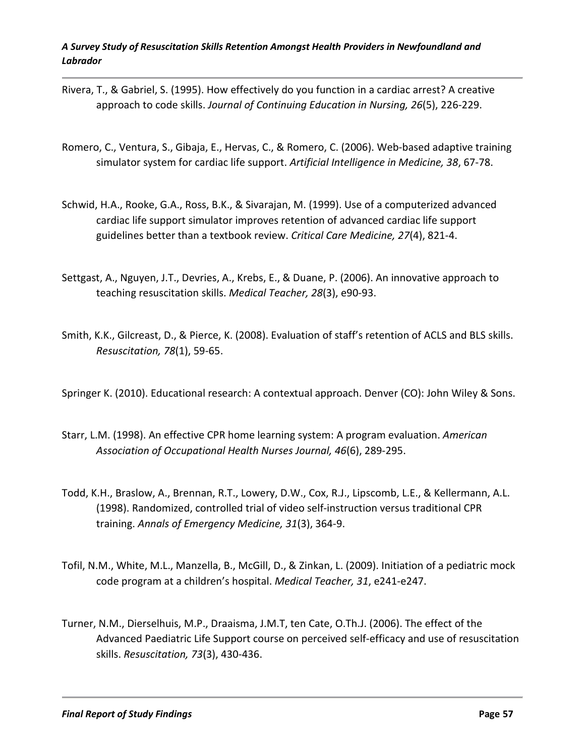- Rivera, T., & Gabriel, S. (1995). How effectively do you function in a cardiac arrest? A creative approach to code skills. *Journal of Continuing Education in Nursing, 26*(5), 226-229.
- Romero, C., Ventura, S., Gibaja, E., Hervas, C., & Romero, C. (2006). Web-based adaptive training simulator system for cardiac life support. *Artificial Intelligence in Medicine, 38*, 67-78.
- Schwid, H.A., Rooke, G.A., Ross, B.K., & Sivarajan, M. (1999). Use of a computerized advanced cardiac life support simulator improves retention of advanced cardiac life support guidelines better than a textbook review. *Critical Care Medicine, 27*(4), 821-4.
- Settgast, A., Nguyen, J.T., Devries, A., Krebs, E., & Duane, P. (2006). An innovative approach to teaching resuscitation skills. *Medical Teacher, 28*(3), e90-93.
- Smith, K.K., Gilcreast, D., & Pierce, K. (2008). Evaluation of staff's retention of ACLS and BLS skills. *Resuscitation, 78*(1), 59-65.
- Springer K. (2010). Educational research: A contextual approach. Denver (CO): John Wiley & Sons.
- Starr, L.M. (1998). An effective CPR home learning system: A program evaluation. *American Association of Occupational Health Nurses Journal, 46*(6), 289-295.
- Todd, K.H., Braslow, A., Brennan, R.T., Lowery, D.W., Cox, R.J., Lipscomb, L.E., & Kellermann, A.L. (1998). Randomized, controlled trial of video self-instruction versus traditional CPR training. *Annals of Emergency Medicine, 31*(3), 364-9.
- Tofil, N.M., White, M.L., Manzella, B., McGill, D., & Zinkan, L. (2009). Initiation of a pediatric mock code program at a children's hospital. *Medical Teacher, 31*, e241-e247.
- Turner, N.M., Dierselhuis, M.P., Draaisma, J.M.T, ten Cate, O.Th.J. (2006). The effect of the Advanced Paediatric Life Support course on perceived self-efficacy and use of resuscitation skills. *Resuscitation, 73*(3), 430-436.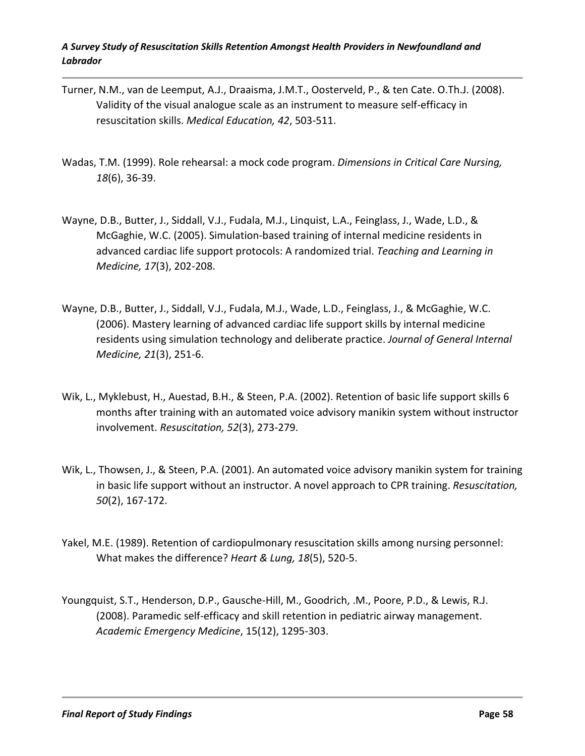- Turner, N.M., van de Leemput, A.J., Draaisma, J.M.T., Oosterveld, P., & ten Cate. O.Th.J. (2008). Validity of the visual analogue scale as an instrument to measure self-efficacy in resuscitation skills. *Medical Education, 42*, 503-511.
- Wadas, T.M. (1999). Role rehearsal: a mock code program. *Dimensions in Critical Care Nursing, 18*(6), 36-39.
- Wayne, D.B., Butter, J., Siddall, V.J., Fudala, M.J., Linquist, L.A., Feinglass, J., Wade, L.D., & McGaghie, W.C. (2005). Simulation-based training of internal medicine residents in advanced cardiac life support protocols: A randomized trial. *Teaching and Learning in Medicine, 17*(3), 202-208.
- Wayne, D.B., Butter, J., Siddall, V.J., Fudala, M.J., Wade, L.D., Feinglass, J., & McGaghie, W.C. (2006). Mastery learning of advanced cardiac life support skills by internal medicine residents using simulation technology and deliberate practice. *Journal of General Internal Medicine, 21*(3), 251-6.
- Wik, L., Myklebust, H., Auestad, B.H., & Steen, P.A. (2002). Retention of basic life support skills 6 months after training with an automated voice advisory manikin system without instructor involvement. *Resuscitation, 52*(3), 273-279.
- Wik, L., Thowsen, J., & Steen, P.A. (2001). An automated voice advisory manikin system for training in basic life support without an instructor. A novel approach to CPR training. *Resuscitation, 50*(2), 167-172.
- Yakel, M.E. (1989). Retention of cardiopulmonary resuscitation skills among nursing personnel: What makes the difference? *Heart & Lung, 18*(5), 520-5.
- Youngquist, S.T., Henderson, D.P., Gausche-Hill, M., Goodrich, .M., Poore, P.D., & Lewis, R.J. (2008). Paramedic self-efficacy and skill retention in pediatric airway management. *Academic Emergency Medicine*, 15(12), 1295-303.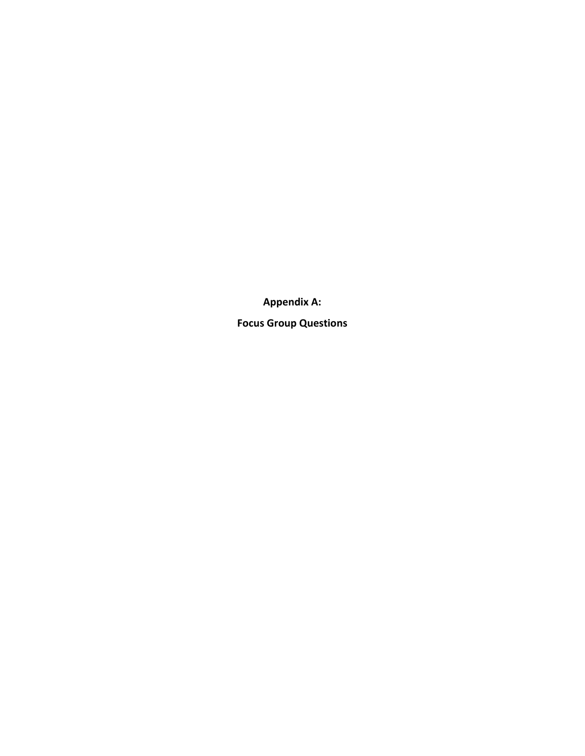**Appendix A:**

**Focus Group Questions**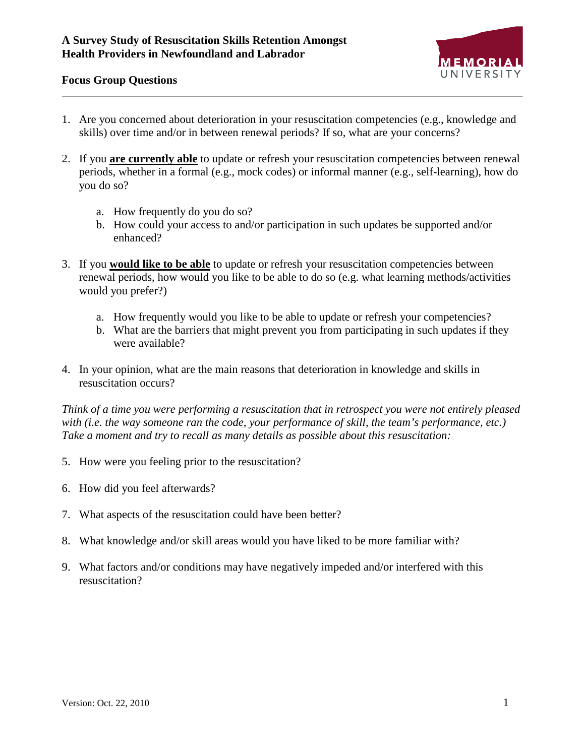

#### **Focus Group Questions**

- 1. Are you concerned about deterioration in your resuscitation competencies (e.g., knowledge and skills) over time and/or in between renewal periods? If so, what are your concerns?
- 2. If you **are currently able** to update or refresh your resuscitation competencies between renewal periods, whether in a formal (e.g., mock codes) or informal manner (e.g., self-learning), how do you do so?
	- a. How frequently do you do so?
	- b. How could your access to and/or participation in such updates be supported and/or enhanced?
- 3. If you **would like to be able** to update or refresh your resuscitation competencies between renewal periods, how would you like to be able to do so (e.g. what learning methods/activities would you prefer?)
	- a. How frequently would you like to be able to update or refresh your competencies?
	- b. What are the barriers that might prevent you from participating in such updates if they were available?
- 4. In your opinion, what are the main reasons that deterioration in knowledge and skills in resuscitation occurs?

*Think of a time you were performing a resuscitation that in retrospect you were not entirely pleased with (i.e. the way someone ran the code, your performance of skill, the team's performance, etc.) Take a moment and try to recall as many details as possible about this resuscitation:*

- 5. How were you feeling prior to the resuscitation?
- 6. How did you feel afterwards?
- 7. What aspects of the resuscitation could have been better?
- 8. What knowledge and/or skill areas would you have liked to be more familiar with?
- 9. What factors and/or conditions may have negatively impeded and/or interfered with this resuscitation?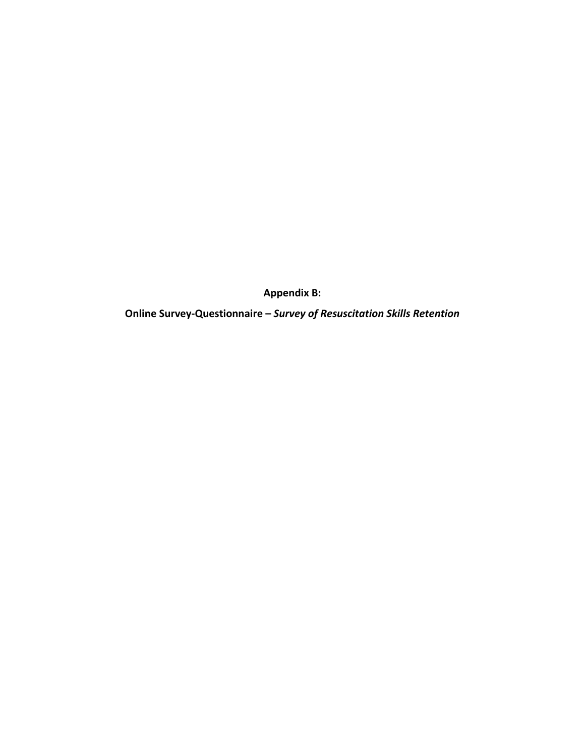**Appendix B:**

**Online Survey-Questionnaire –** *Survey of Resuscitation Skills Retention*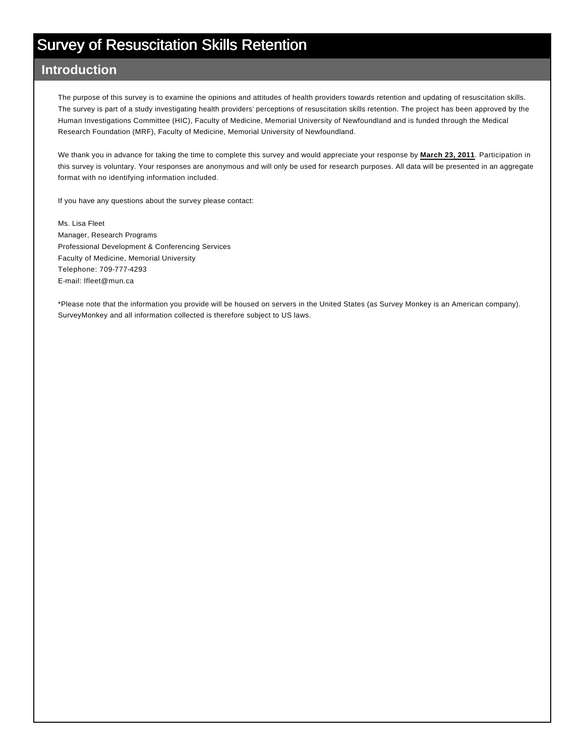#### **Introduction** Other

The purpose of this survey is to examine the opinions and attitudes of health providers towards retention and updating of resuscitation skills. The survey is part of a study investigating health providers' perceptions of resuscitation skills retention. The project has been approved by the Human Investigations Committee (HIC), Faculty of Medicine, Memorial University of Newfoundland and is funded through the Medical Research Foundation (MRF), Faculty of Medicine, Memorial University of Newfoundland.

We thank you in advance for taking the time to complete this survey and would appreciate your response by **March 23, 2011**. Participation in this survey is voluntary. Your responses are anonymous and will only be used for research purposes. All data will be presented in an aggregate format with no identifying information included.

If you have any questions about the survey please contact:

Ms. Lisa Fleet Manager, Research Programs Professional Development & Conferencing Services Faculty of Medicine, Memorial University Telephone: 709-777-4293 E-mail: lfleet@mun.ca

\*Please note that the information you provide will be housed on servers in the United States (as Survey Monkey is an American company). SurveyMonkey and all information collected is therefore subject to US laws.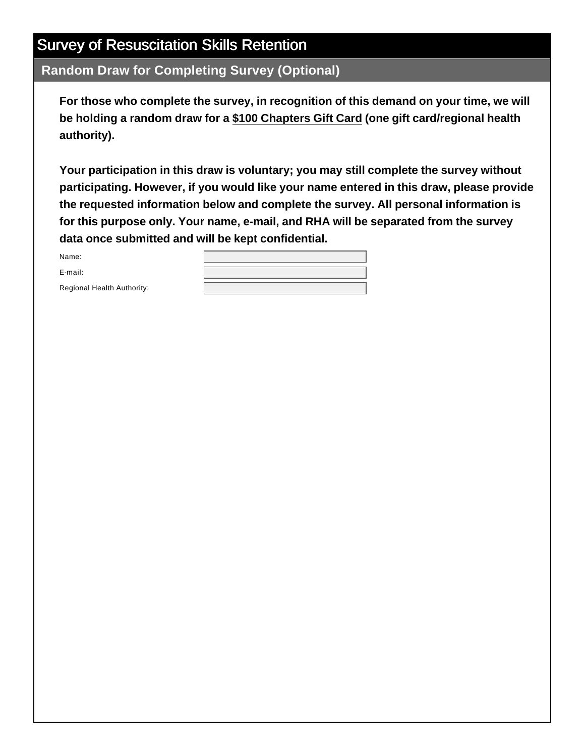**Random Draw for Completing Survey (Optional)**

**For those who complete the survey, in recognition of this demand on your time, we will be holding a random draw for a \$100 Chapters Gift Card (one gift card/regional health authority).** 

**Your participation in this draw is voluntary; you may still complete the survey without participating. However, if you would like your name entered in this draw, please provide the requested information below and complete the survey. All personal information is for this purpose only. Your name, e-mail, and RHA will be separated from the survey data once submitted and will be kept confidential.** 

Name:

E-mail:

Regional Health Authority: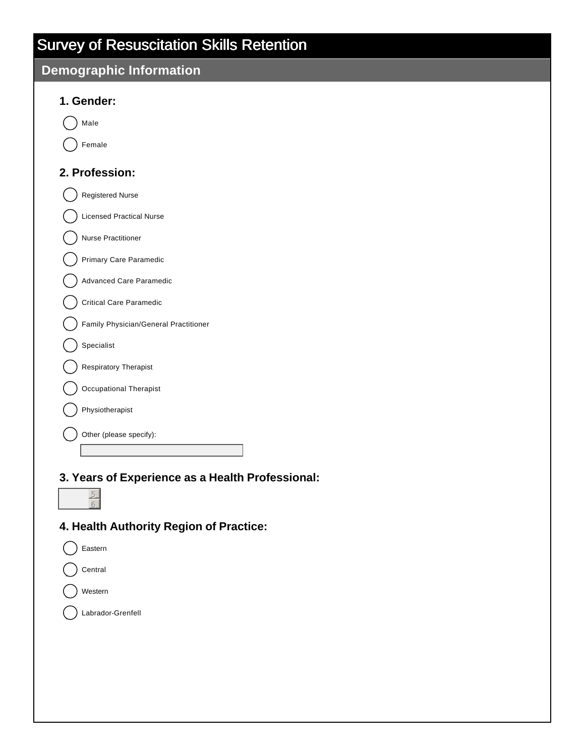#### **Demographic Information**

| emograpnic information                |
|---------------------------------------|
| 1. Gender:                            |
| Male                                  |
| Female                                |
| 2. Profession:                        |
| <b>Registered Nurse</b>               |
| <b>Licensed Practical Nurse</b>       |
| <b>Nurse Practitioner</b>             |
| <b>Primary Care Paramedic</b>         |
| Advanced Care Paramedic               |
| <b>Critical Care Paramedic</b>        |
| Family Physician/General Practitioner |
| Specialist                            |
| <b>Respiratory Therapist</b>          |
| Occupational Therapist                |
| Physiotherapist                       |
| Other (please specify):               |

**3. Years of Experience as a Health Professional:**

#### **4. Health Authority Region of Practice:**

Eastern Central Western () Labrador-Grenfell

5 6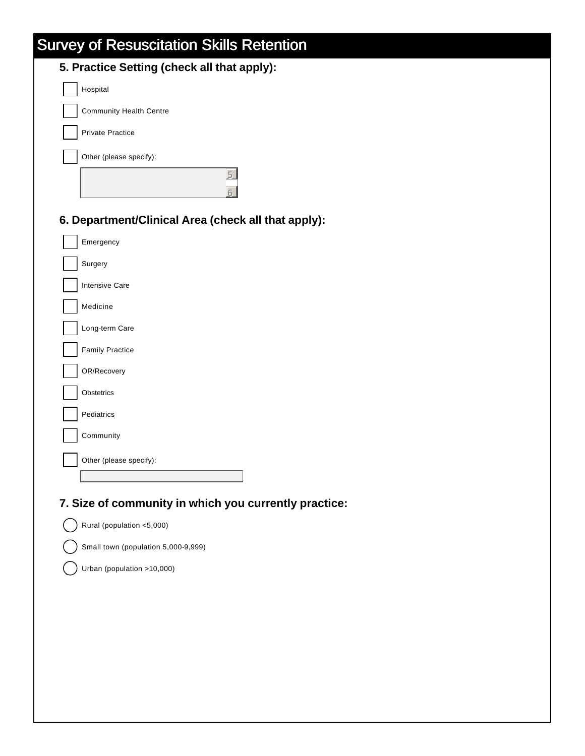| 5. Practice Setting (check all that apply):         |
|-----------------------------------------------------|
| Hospital                                            |
| <b>Community Health Centre</b>                      |
| <b>Private Practice</b>                             |
| Other (please specify):                             |
| 后                                                   |
| 6. Department/Clinical Area (check all that apply): |
| Emergency                                           |
| Surgery                                             |
| <b>Intensive Care</b>                               |
| Medicine                                            |
| Long-term Care                                      |
| <b>Family Practice</b>                              |
| OR/Recovery                                         |
| Obstetrics                                          |
| Pediatrics                                          |
| Community                                           |
| Other (please specify):                             |

#### **7. Size of community in which you currently practice:**

Rural (population  $<$ 5,000)

Small town (population 5,000-9,999)

Urban (population  $>10,000$ )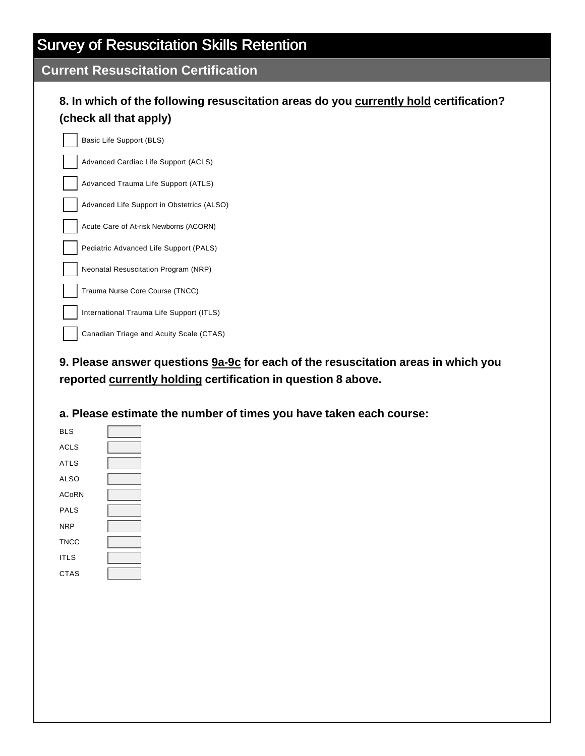#### **Current Resuscitation Certification**

#### **8. In which of the following resuscitation areas do you currently hold certification? (check all that apply)**

Basic Life Support (BLS)

Advanced Cardiac Life Support (ACLS)

Advanced Trauma Life Support (ATLS)

Advanced Life Support in Obstetrics (ALSO)

Acute Care of At-risk Newborns (ACORN)

Pediatric Advanced Life Support (PALS)

Neonatal Resuscitation Program (NRP)

Trauma Nurse Core Course (TNCC)

International Trauma Life Support (ITLS)

Canadian Triage and Acuity Scale (CTAS)

**9. Please answer questions 9a-9c for each of the resuscitation areas in which you reported currently holding certification in question 8 above.**

**a. Please estimate the number of times you have taken each course:**

| <b>BLS</b>   |  |
|--------------|--|
| <b>ACLS</b>  |  |
| <b>ATLS</b>  |  |
| <b>ALSO</b>  |  |
| <b>ACoRN</b> |  |
| <b>PALS</b>  |  |
| <b>NRP</b>   |  |
| <b>TNCC</b>  |  |
| <b>ITLS</b>  |  |
| <b>CTAS</b>  |  |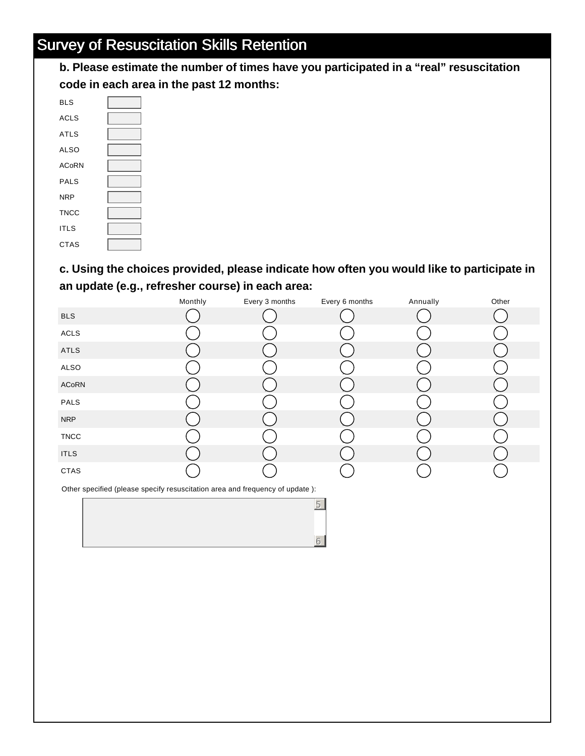**b. Please estimate the number of times have you participated in a "real" resuscitation code in each area in the past 12 months:**

| <b>BLS</b>   |  |
|--------------|--|
| <b>ACLS</b>  |  |
| <b>ATLS</b>  |  |
| <b>ALSO</b>  |  |
| <b>ACoRN</b> |  |
| PALS         |  |
| <b>NRP</b>   |  |
| <b>TNCC</b>  |  |
| <b>ITLS</b>  |  |
| <b>CTAS</b>  |  |

#### **c. Using the choices provided, please indicate how often you would like to participate in an update (e.g., refresher course) in each area:**

|             | Monthly | Every 3 months | Every 6 months | Annually | Other |
|-------------|---------|----------------|----------------|----------|-------|
| <b>BLS</b>  |         |                |                |          |       |
| $\sf ACLS$  |         |                |                |          |       |
| ATLS        |         |                |                |          |       |
| ALSO        |         |                |                |          |       |
| ACoRN       |         |                |                |          |       |
| PALS        |         |                |                |          |       |
| <b>NRP</b>  |         |                |                |          |       |
| <b>TNCC</b> |         |                |                |          |       |
| <b>ITLS</b> |         |                |                |          |       |
| CTAS        |         |                |                |          |       |

5

6

Other specified (please specify resuscitation area and frequency of update ):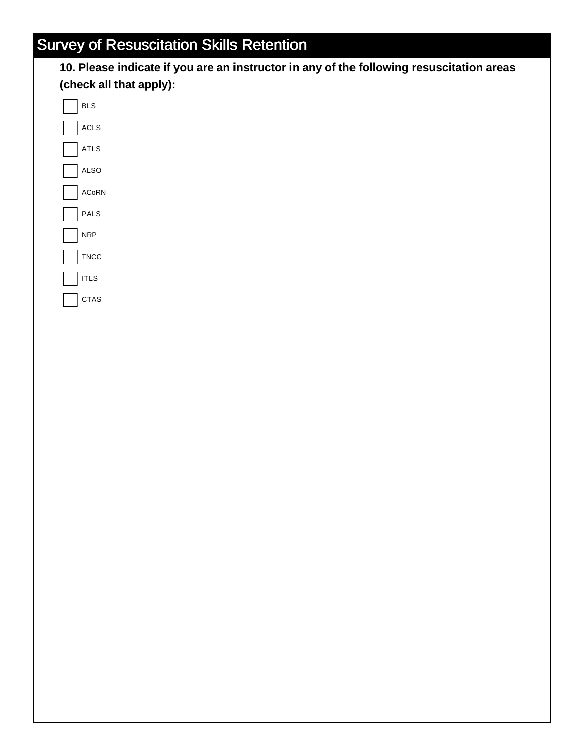

**BLS** ACLS

ATLS

ALSO

ACoRN

PALS NRP

**TNCC** 

 $\ensuremath{\mathsf{ITLS}}$ 

CTAS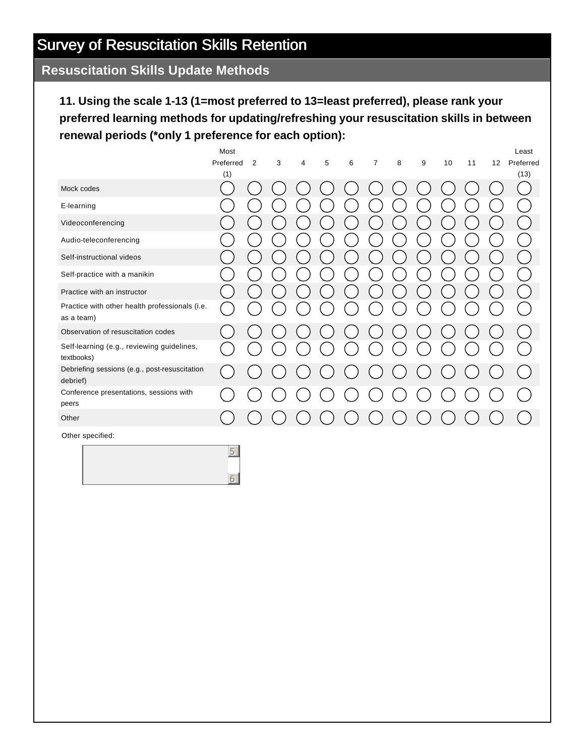#### **Resuscitation Skills Update Methods**

#### **11. Using the scale 1-13 (1=most preferred to 13=least preferred), please rank your preferred learning methods for updating/refreshing your resuscitation skills in between renewal periods (\*only 1 preference for each option):**

|                                                              | Most             |                |   |   |   |   |   |   |   |    |    |    | Least             |
|--------------------------------------------------------------|------------------|----------------|---|---|---|---|---|---|---|----|----|----|-------------------|
|                                                              | Preferred<br>(1) | $\overline{2}$ | 3 | 4 | 5 | 6 | 7 | 8 | 9 | 10 | 11 | 12 | Preferred<br>(13) |
| Mock codes                                                   |                  |                |   |   |   |   |   |   |   |    |    |    |                   |
| E-learning                                                   |                  |                |   |   |   |   |   |   |   |    |    |    |                   |
| Videoconferencing                                            |                  |                |   |   |   |   |   |   |   |    |    |    |                   |
| Audio-teleconferencing                                       |                  |                |   |   |   |   |   |   |   |    |    |    |                   |
| Self-instructional videos                                    |                  |                |   |   |   |   |   |   |   |    |    |    |                   |
| Self-practice with a manikin                                 |                  |                |   |   |   |   |   |   |   |    |    |    |                   |
| Practice with an instructor                                  |                  |                |   |   |   |   |   |   |   |    |    |    |                   |
| Practice with other health professionals (i.e.<br>as a team) |                  |                |   |   |   |   |   |   |   |    |    |    |                   |
| Observation of resuscitation codes                           |                  |                |   |   |   |   |   |   |   |    |    |    |                   |
| Self-learning (e.g., reviewing guidelines,<br>textbooks)     |                  |                |   |   |   |   |   |   |   |    |    |    |                   |
| Debriefing sessions (e.g., post-resuscitation<br>debrief)    |                  |                |   |   |   |   |   |   |   |    |    |    |                   |
| Conference presentations, sessions with<br>peers             |                  |                |   |   |   |   |   |   |   |    |    |    |                   |
| Other                                                        |                  |                |   |   |   |   |   |   |   |    |    |    |                   |

Other specified:

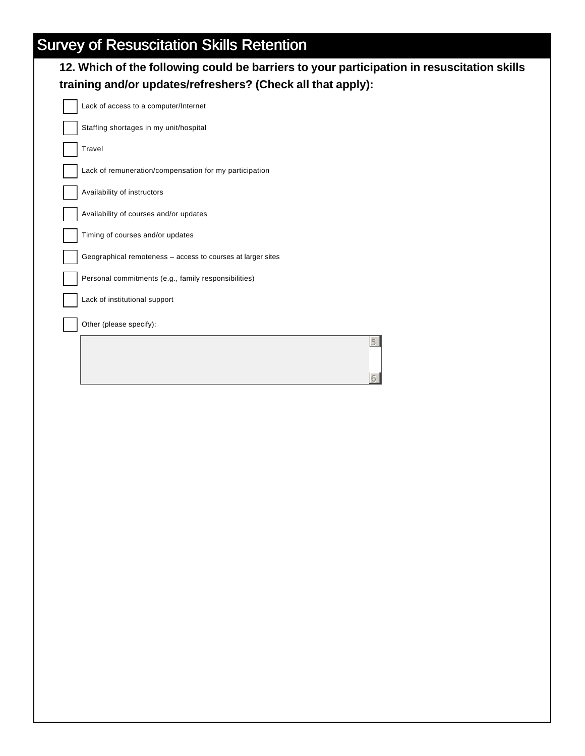| 12. Which of the following could be barriers to your participation in resuscitation skills |
|--------------------------------------------------------------------------------------------|
| training and/or updates/refreshers? (Check all that apply):                                |

5

6

| Lack of access to a computer/Internet                       |
|-------------------------------------------------------------|
| Staffing shortages in my unit/hospital                      |
| Travel                                                      |
| Lack of remuneration/compensation for my participation      |
| Availability of instructors                                 |
| Availability of courses and/or updates                      |
| Timing of courses and/or updates                            |
| Geographical remoteness - access to courses at larger sites |
| Personal commitments (e.g., family responsibilities)        |
| Lack of institutional support                               |
| Other (please specify):                                     |
|                                                             |
|                                                             |
|                                                             |
|                                                             |
|                                                             |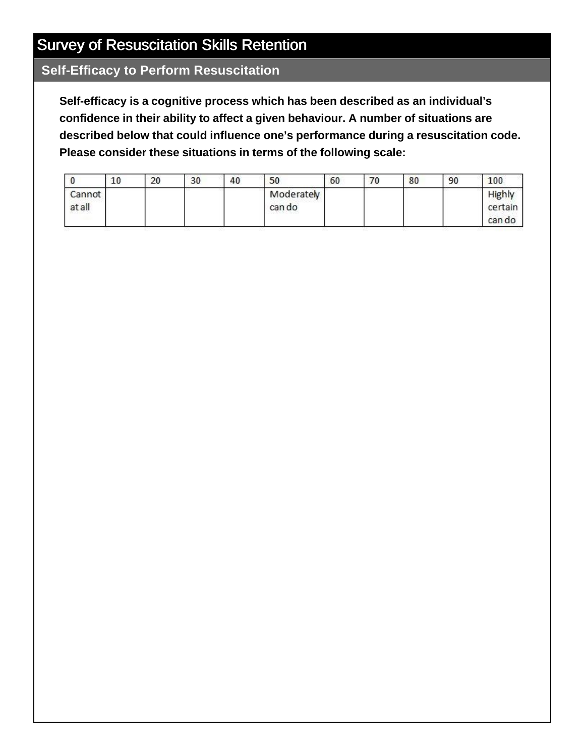#### **Self-Efficacy to Perform Resuscitation**

**Self-efficacy is a cognitive process which has been described as an individual's confidence in their ability to affect a given behaviour. A number of situations are described below that could influence one's performance during a resuscitation code. Please consider these situations in terms of the following scale:**

|                 | 10 | 20 | 30 | 40 | 50                   | 60 | 70 | 80 | 90 | 100                         |
|-----------------|----|----|----|----|----------------------|----|----|----|----|-----------------------------|
| Cannot<br>atall |    |    |    |    | Moderately<br>can do |    |    |    |    | Highly<br>certain<br>can do |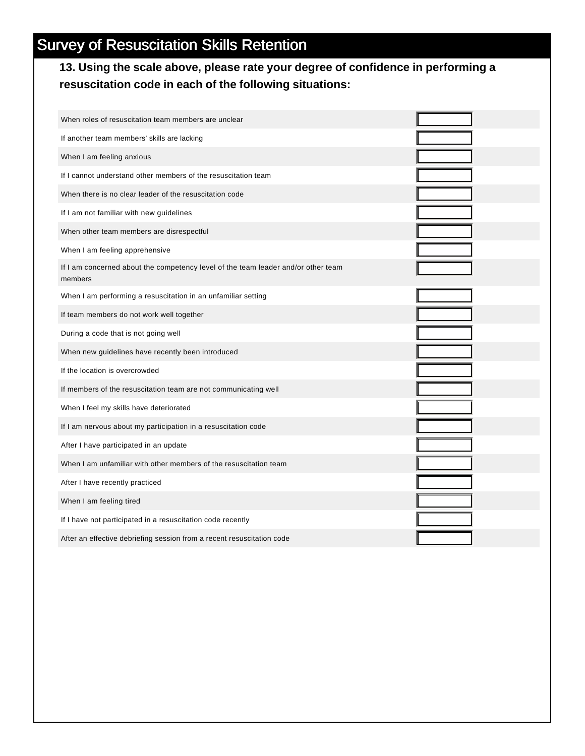#### **13. Using the scale above, please rate your degree of confidence in performing a resuscitation code in each of the following situations:**

| When roles of resuscitation team members are unclear                                         |  |
|----------------------------------------------------------------------------------------------|--|
| If another team members' skills are lacking                                                  |  |
| When I am feeling anxious                                                                    |  |
| If I cannot understand other members of the resuscitation team                               |  |
| When there is no clear leader of the resuscitation code                                      |  |
| If I am not familiar with new guidelines                                                     |  |
| When other team members are disrespectful                                                    |  |
| When I am feeling apprehensive                                                               |  |
| If I am concerned about the competency level of the team leader and/or other team<br>members |  |
| When I am performing a resuscitation in an unfamiliar setting                                |  |
| If team members do not work well together                                                    |  |
| During a code that is not going well                                                         |  |
| When new guidelines have recently been introduced                                            |  |
| If the location is overcrowded                                                               |  |
| If members of the resuscitation team are not communicating well                              |  |
| When I feel my skills have deteriorated                                                      |  |
| If I am nervous about my participation in a resuscitation code                               |  |
| After I have participated in an update                                                       |  |
| When I am unfamiliar with other members of the resuscitation team                            |  |
| After I have recently practiced                                                              |  |
| When I am feeling tired                                                                      |  |
| If I have not participated in a resuscitation code recently                                  |  |
| After an effective debriefing session from a recent resuscitation code                       |  |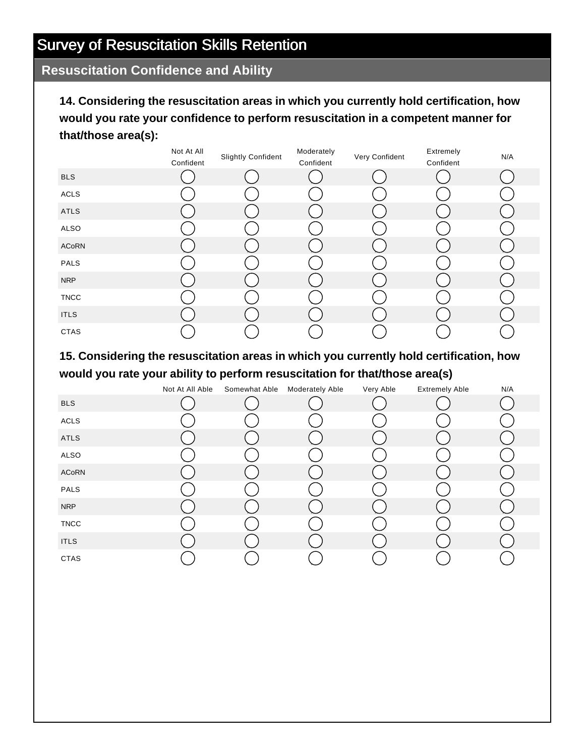#### **Resuscitation Confidence and Ability**

**14. Considering the resuscitation areas in which you currently hold certification, how would you rate your confidence to perform resuscitation in a competent manner for that/those area(s):**

|             | Not At All | <b>Slightly Confident</b> | Moderately | Very Confident | Extremely | N/A |
|-------------|------------|---------------------------|------------|----------------|-----------|-----|
|             | Confident  |                           | Confident  |                | Confident |     |
| <b>BLS</b>  |            |                           |            |                |           |     |
| ACLS        |            |                           |            |                |           |     |
| ATLS        |            |                           |            |                |           |     |
| ALSO        |            |                           |            |                |           |     |
| ACoRN       |            |                           |            |                |           |     |
| PALS        |            |                           |            |                |           |     |
| <b>NRP</b>  |            |                           |            |                |           |     |
| <b>TNCC</b> |            |                           |            |                |           |     |
| <b>ITLS</b> |            |                           |            |                |           |     |
| CTAS        |            |                           |            |                |           |     |

**15. Considering the resuscitation areas in which you currently hold certification, how would you rate your ability to perform resuscitation for that/those area(s)**

|              | Not At All Able | Somewhat Able | <b>Moderately Able</b> | Very Able | <b>Extremely Able</b> | N/A |
|--------------|-----------------|---------------|------------------------|-----------|-----------------------|-----|
| <b>BLS</b>   |                 |               |                        |           |                       |     |
| <b>ACLS</b>  |                 |               |                        |           |                       |     |
| ATLS         |                 |               |                        |           |                       |     |
| ALSO         |                 |               |                        |           |                       |     |
| <b>ACoRN</b> |                 |               |                        |           |                       |     |
| PALS         |                 |               |                        |           |                       |     |
| <b>NRP</b>   |                 |               |                        |           |                       |     |
| <b>TNCC</b>  |                 |               |                        |           |                       |     |
| <b>ITLS</b>  |                 |               |                        |           |                       |     |
| <b>CTAS</b>  |                 |               |                        |           |                       |     |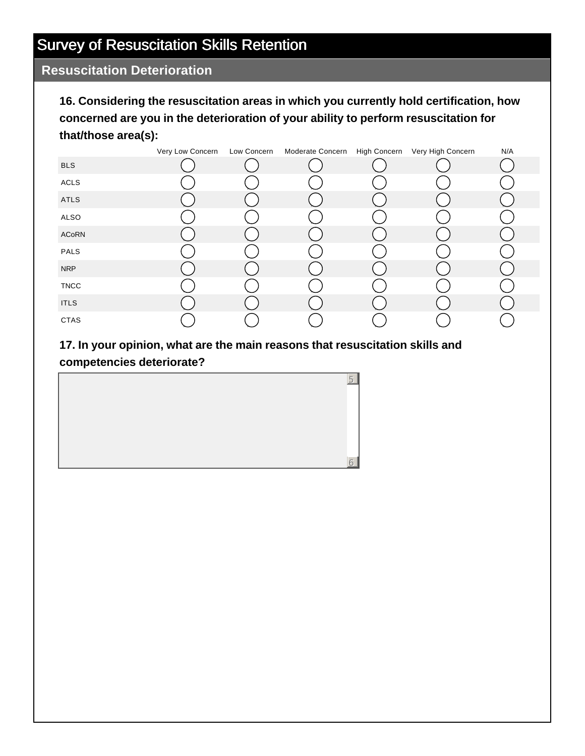#### **Resuscitation Deterioration**

**16. Considering the resuscitation areas in which you currently hold certification, how concerned are you in the deterioration of your ability to perform resuscitation for that/those area(s):**

|              | Very Low Concern | Low Concern | Moderate Concern | High Concern Very High Concern | N/A |
|--------------|------------------|-------------|------------------|--------------------------------|-----|
| <b>BLS</b>   |                  |             |                  |                                |     |
| ACLS         |                  |             |                  |                                |     |
| ATLS         |                  |             |                  |                                |     |
| ALSO         |                  |             |                  |                                |     |
| <b>ACoRN</b> |                  |             |                  |                                |     |
| PALS         |                  |             |                  |                                |     |
| <b>NRP</b>   |                  |             |                  |                                |     |
| <b>TNCC</b>  |                  |             |                  |                                |     |
| <b>ITLS</b>  |                  |             |                  |                                |     |
| CTAS         |                  |             |                  |                                |     |

#### **17. In your opinion, what are the main reasons that resuscitation skills and competencies deteriorate?**